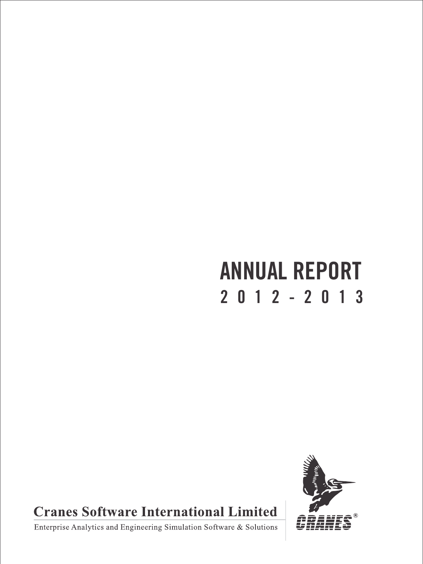# **ANNUAL REPORT 2 0 1 2 - 2 0 1 3**

**Cranes Software International Limited** 

Enterprise Analytics and Engineering Simulation Software & Solutions

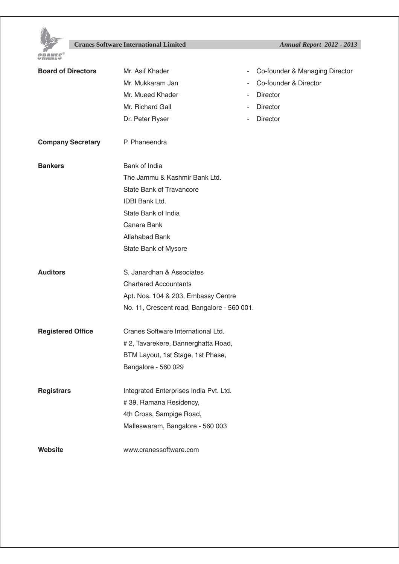

| <b>Board of Directors</b> | Mr. Asif Khader                             | $\overline{\phantom{a}}$ | Co-founder & Managing Director |
|---------------------------|---------------------------------------------|--------------------------|--------------------------------|
|                           | Mr. Mukkaram Jan                            |                          | Co-founder & Director          |
|                           | Mr. Mueed Khader                            |                          | Director                       |
|                           | Mr. Richard Gall                            |                          | Director                       |
|                           | Dr. Peter Ryser                             | $\overline{\phantom{a}}$ | Director                       |
| <b>Company Secretary</b>  | P. Phaneendra                               |                          |                                |
| <b>Bankers</b>            | Bank of India                               |                          |                                |
|                           | The Jammu & Kashmir Bank Ltd.               |                          |                                |
|                           | <b>State Bank of Travancore</b>             |                          |                                |
|                           | <b>IDBI Bank Ltd.</b>                       |                          |                                |
|                           | State Bank of India                         |                          |                                |
|                           | Canara Bank                                 |                          |                                |
|                           | Allahabad Bank                              |                          |                                |
|                           | State Bank of Mysore                        |                          |                                |
| <b>Auditors</b>           | S. Janardhan & Associates                   |                          |                                |
|                           | <b>Chartered Accountants</b>                |                          |                                |
|                           | Apt. Nos. 104 & 203, Embassy Centre         |                          |                                |
|                           | No. 11, Crescent road, Bangalore - 560 001. |                          |                                |
| <b>Registered Office</b>  | Cranes Software International Ltd.          |                          |                                |
|                           | # 2, Tavarekere, Bannerghatta Road,         |                          |                                |
|                           | BTM Layout, 1st Stage, 1st Phase,           |                          |                                |
|                           | Bangalore - 560 029                         |                          |                                |
| <b>Registrars</b>         | Integrated Enterprises India Pvt. Ltd.      |                          |                                |
|                           | #39, Ramana Residency,                      |                          |                                |
|                           | 4th Cross, Sampige Road,                    |                          |                                |
|                           | Malleswaram, Bangalore - 560 003            |                          |                                |
| Website                   | www.cranessoftware.com                      |                          |                                |
|                           |                                             |                          |                                |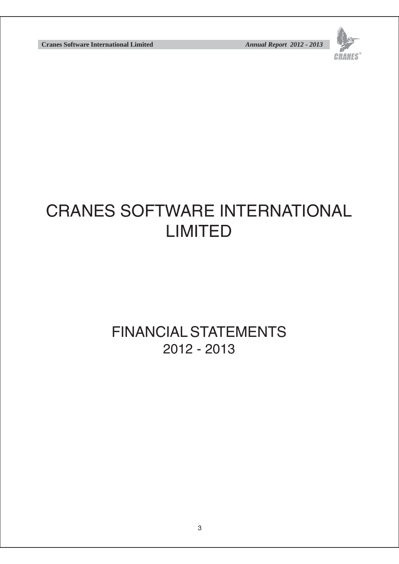

# CRANES SOFTWARE INTERNATIONAL LIMITED

## FINANCIAL STATEMENTS 2012 - 2013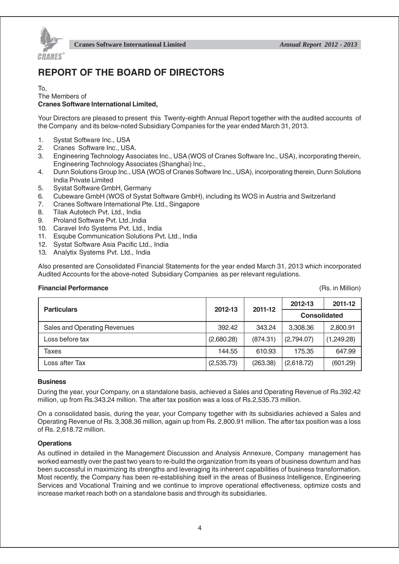

## **REPORT OF THE BOARD OF DIRECTORS**

#### To, The Members of **Cranes Software International Limited,**

Your Directors are pleased to present this Twenty-eighth Annual Report together with the audited accounts of the Company and its below-noted Subsidiary Companies for the year ended March 31, 2013.

- 1. Systat Software Inc., USA
- 2. Cranes Software Inc., USA.
- 3. Engineering Technology Associates Inc., USA (WOS of Cranes Software Inc., USA), incorporating therein, Engineering Technology Associates (Shanghai) Inc.,
- 4. Dunn Solutions Group Inc., USA (WOS of Cranes Software Inc., USA), incorporating therein, Dunn Solutions India Private Limited
- 5. Systat Software GmbH, Germany<br>6. Cubeware GmbH (WOS of Systat
- 6. Cubeware GmbH (WOS of Systat Software GmbH), including its WOS in Austria and Switzerland<br>7. Cranes Software International Pte. Ltd.. Singapore
- 7. Cranes Software International Pte. Ltd., Singapore
- 8. Tilak Autotech Pvt. Ltd., India
- 9. Proland Software Pvt. Ltd.,India
- 10. Caravel Info Systems Pvt. Ltd., India
- 11. Esqube Communication Solutions Pvt. Ltd., India
- 12. Systat Software Asia Pacific Ltd., India
- 13. Analytix Systems Pvt. Ltd., India

Also presented are Consolidated Financial Statements for the year ended March 31, 2013 which incorporated Audited Accounts for the above-noted Subsidiary Companies as per relevant regulations.

#### **Financial Performance** (Rs. in Million)

| <b>Particulars</b>           | 2012-13    | 2011-12  | 2012-13             | 2011-12    |
|------------------------------|------------|----------|---------------------|------------|
|                              |            |          | <b>Consolidated</b> |            |
| Sales and Operating Revenues | 392.42     | 343.24   | 3,308.36            | 2,800.91   |
| Loss before tax              | (2,680.28) | (874.31) | (2,794.07)          | (1,249.28) |
| Taxes                        | 144.55     | 610.93   | 175.35              | 647.99     |
| Loss after Tax               | (2,535.73) | (263.38) | (2,618.72)          | (601.29)   |

#### **Business**

During the year, your Company, on a standalone basis, achieved a Sales and Operating Revenue of Rs.392.42 million, up from Rs.343.24 million. The after tax position was a loss of Rs.2,535.73 million.

On a consolidated basis, during the year, your Company together with its subsidiaries achieved a Sales and Operating Revenue of Rs. 3,308.36 million, again up from Rs. 2,800.91 million. The after tax position was a loss of Rs. 2,618.72 million.

#### **Operations**

As outlined in detailed in the Management Discussion and Analysis Annexure, Company management has worked earnestly over the past two years to re-build the organization from its years of business downturn and has been successful in maximizing its strengths and leveraging its inherent capabilities of business transformation. Most recently, the Company has been re-establishing itself in the areas of Business Intelligence, Engineering Services and Vocational Training and we continue to improve operational effectiveness, optimize costs and increase market reach both on a standalone basis and through its subsidiaries.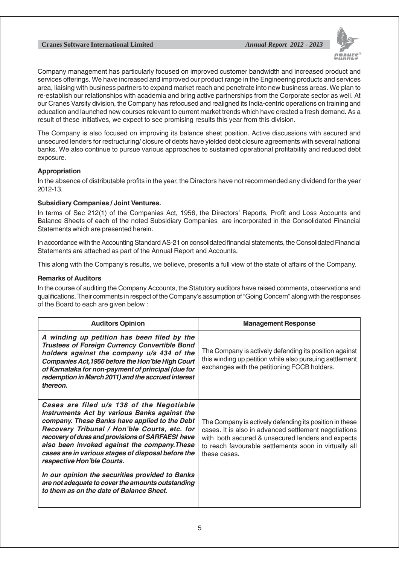

Company management has particularly focused on improved customer bandwidth and increased product and services offerings. We have increased and improved our product range in the Engineering products and services area, liaising with business partners to expand market reach and penetrate into new business areas. We plan to re-establish our relationships with academia and bring active partnerships from the Corporate sector as well. At our Cranes Varsity division, the Company has refocused and realigned its India-centric operations on training and education and launched new courses relevant to current market trends which have created a fresh demand. As a result of these initiatives, we expect to see promising results this year from this division.

The Company is also focused on improving its balance sheet position. Active discussions with secured and unsecured lenders for restructuring/ closure of debts have yielded debt closure agreements with several national banks. We also continue to pursue various approaches to sustained operational profitability and reduced debt exposure.

#### **Appropriation**

In the absence of distributable profits in the year, the Directors have not recommended any dividend for the year 2012-13.

#### **Subsidiary Companies / Joint Ventures.**

In terms of Sec 212(1) of the Companies Act, 1956, the Directors' Reports, Profit and Loss Accounts and Balance Sheets of each of the noted Subsidiary Companies are incorporated in the Consolidated Financial Statements which are presented herein.

In accordance with the Accounting Standard AS-21 on consolidated financial statements, the Consolidated Financial Statements are attached as part of the Annual Report and Accounts.

This along with the Company's results, we believe, presents a full view of the state of affairs of the Company.

#### **Remarks of Auditors**

In the course of auditing the Company Accounts, the Statutory auditors have raised comments, observations and qualifications. Their comments in respect of the Company's assumption of "Going Concern" along with the responses of the Board to each are given below :

| <b>Auditors Opinion</b>                                                                                                                                                                                                                                                                                                                                                            | <b>Management Response</b>                                                                                                                                                                                                                     |
|------------------------------------------------------------------------------------------------------------------------------------------------------------------------------------------------------------------------------------------------------------------------------------------------------------------------------------------------------------------------------------|------------------------------------------------------------------------------------------------------------------------------------------------------------------------------------------------------------------------------------------------|
| A winding up petition has been filed by the<br><b>Trustees of Foreign Currency Convertible Bond</b><br>holders against the company u/s 434 of the<br>Companies Act, 1956 before the Hon'ble High Court<br>of Karnataka for non-payment of principal (due for<br>redemption in March 2011) and the accrued interest<br>thereon.                                                     | The Company is actively defending its position against<br>this winding up petition while also pursuing settlement<br>exchanges with the petitioning FCCB holders.                                                                              |
| Cases are filed u/s 138 of the Negotiable<br>Instruments Act by various Banks against the<br>company. These Banks have applied to the Debt<br>Recovery Tribunal / Hon'ble Courts, etc. for<br>recovery of dues and provisions of SARFAESI have<br>also been invoked against the company. These<br>cases are in various stages of disposal before the<br>respective Hon'ble Courts. | The Company is actively defending its position in these<br>cases. It is also in advanced settlement negotiations<br>with both secured & unsecured lenders and expects<br>to reach favourable settlements soon in virtually all<br>these cases. |
| In our opinion the securities provided to Banks<br>are not adequate to cover the amounts outstanding<br>to them as on the date of Balance Sheet.                                                                                                                                                                                                                                   |                                                                                                                                                                                                                                                |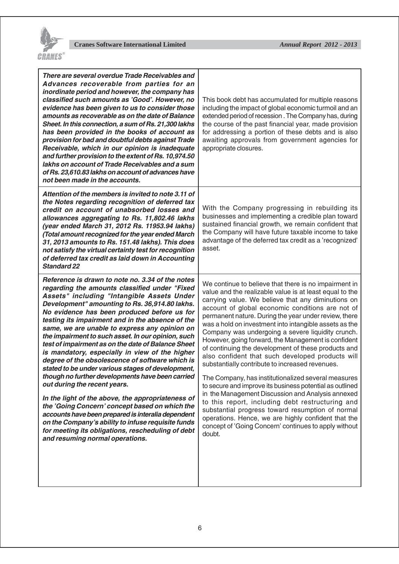

| There are several overdue Trade Receivables and<br>Advances recoverable from parties for an<br>inordinate period and however, the company has<br>classified such amounts as 'Good'. However, no<br>evidence has been given to us to consider those<br>amounts as recoverable as on the date of Balance<br>Sheet. In this connection, a sum of Rs. 21,300 lakhs<br>has been provided in the books of account as<br>provision for bad and doubtful debts against Trade<br>Receivable, which in our opinion is inadequate<br>and further provision to the extent of Rs. 10,974.50<br>lakhs on account of Trade Receivables and a sum<br>of Rs. 23,610.83 lakhs on account of advances have<br>not been made in the accounts.                                                                                                                                                                                                                                                                                                  | This book debt has accumulated for multiple reasons<br>including the impact of global economic turmoil and an<br>extended period of recession. The Company has, during<br>the course of the past financial year, made provision<br>for addressing a portion of these debts and is also<br>awaiting approvals from government agencies for<br>appropriate closures.                                                                                                                                                                                                                                                                                                                                                                                                                                                                                                                                                                                                                                                                |
|----------------------------------------------------------------------------------------------------------------------------------------------------------------------------------------------------------------------------------------------------------------------------------------------------------------------------------------------------------------------------------------------------------------------------------------------------------------------------------------------------------------------------------------------------------------------------------------------------------------------------------------------------------------------------------------------------------------------------------------------------------------------------------------------------------------------------------------------------------------------------------------------------------------------------------------------------------------------------------------------------------------------------|-----------------------------------------------------------------------------------------------------------------------------------------------------------------------------------------------------------------------------------------------------------------------------------------------------------------------------------------------------------------------------------------------------------------------------------------------------------------------------------------------------------------------------------------------------------------------------------------------------------------------------------------------------------------------------------------------------------------------------------------------------------------------------------------------------------------------------------------------------------------------------------------------------------------------------------------------------------------------------------------------------------------------------------|
| Attention of the members is invited to note 3.11 of<br>the Notes regarding recognition of deferred tax<br>credit on account of unabsorbed losses and<br>allowances aggregating to Rs. 11,802.46 lakhs<br>(year ended March 31, 2012 Rs. 11953.94 lakhs)<br>(Total amount recognized for the year ended March<br>31, 2013 amounts to Rs. 151.48 lakhs). This does<br>not satisfy the virtual certainty test for recognition<br>of deferred tax credit as laid down in Accounting<br><b>Standard 22</b>                                                                                                                                                                                                                                                                                                                                                                                                                                                                                                                      | With the Company progressing in rebuilding its<br>businesses and implementing a credible plan toward<br>sustained financial growth, we remain confident that<br>the Company will have future taxable income to take<br>advantage of the deferred tax credit as a 'recognized'<br>asset.                                                                                                                                                                                                                                                                                                                                                                                                                                                                                                                                                                                                                                                                                                                                           |
| Reference is drawn to note no. 3.34 of the notes<br>regarding the amounts classified under "Fixed<br>Assets" including "Intangible Assets Under<br>Development" amounting to Rs. 36,914.80 lakhs.<br>No evidence has been produced before us for<br>testing its impairment and in the absence of the<br>same, we are unable to express any opinion on<br>the impairment to such asset. In our opinion, such<br>test of impairment as on the date of Balance Sheet<br>is mandatory, especially in view of the higher<br>degree of the obsolescence of software which is<br>stated to be under various stages of development,<br>though no further developments have been carried<br>out during the recent years.<br>In the light of the above, the appropriateness of<br>the 'Going Concern' concept based on which the<br>accounts have been prepared is interalia dependent<br>on the Company's ability to infuse requisite funds<br>for meeting its obligations, rescheduling of debt<br>and resuming normal operations. | We continue to believe that there is no impairment in<br>value and the realizable value is at least equal to the<br>carrying value. We believe that any diminutions on<br>account of global economic conditions are not of<br>permanent nature. During the year under review, there<br>was a hold on investment into intangible assets as the<br>Company was undergoing a severe liquidity crunch.<br>However, going forward, the Management is confident<br>of continuing the development of these products and<br>also confident that such developed products will<br>substantially contribute to increased revenues.<br>The Company, has institutionalized several measures<br>to secure and improve its business potential as outlined<br>in the Management Discussion and Analysis annexed<br>to this report, including debt restructuring and<br>substantial progress toward resumption of normal<br>operations. Hence, we are highly confident that the<br>concept of 'Going Concern' continues to apply without<br>doubt. |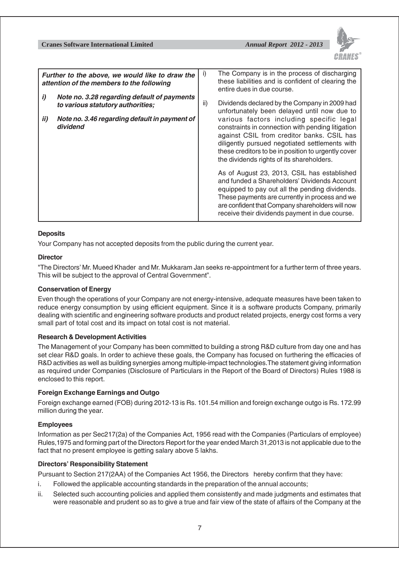

| Further to the above, we would like to draw the<br>attention of the members to the following |                                                                                  | i)  | The Company is in the process of discharging<br>these liabilities and is confident of clearing the<br>entire dues in due course.                                                                                                                                                                                                                                                                  |
|----------------------------------------------------------------------------------------------|----------------------------------------------------------------------------------|-----|---------------------------------------------------------------------------------------------------------------------------------------------------------------------------------------------------------------------------------------------------------------------------------------------------------------------------------------------------------------------------------------------------|
| i)                                                                                           | Note no. 3.28 regarding default of payments<br>to various statutory authorities; | ii) | Dividends declared by the Company in 2009 had<br>unfortunately been delayed until now due to<br>various factors including specific legal<br>constraints in connection with pending litigation<br>against CSIL from creditor banks. CSIL has<br>diligently pursued negotiated settlements with<br>these creditors to be in position to urgently cover<br>the dividends rights of its shareholders. |
| <i>ii</i> )                                                                                  | Note no. 3.46 regarding default in payment of<br>dividend                        |     |                                                                                                                                                                                                                                                                                                                                                                                                   |
|                                                                                              |                                                                                  |     | As of August 23, 2013, CSIL has established<br>and funded a Shareholders' Dividends Account<br>equipped to pay out all the pending dividends.<br>These payments are currently in process and we<br>are confident that Company shareholders will now<br>receive their dividends payment in due course.                                                                                             |

#### **Deposits**

Your Company has not accepted deposits from the public during the current year.

#### **Director**

"The Directors' Mr. Mueed Khader and Mr. Mukkaram Jan seeks re-appointment for a further term of three years. This will be subject to the approval of Central Government".

#### **Conservation of Energy**

Even though the operations of your Company are not energy-intensive, adequate measures have been taken to reduce energy consumption by using efficient equipment. Since it is a software products Company, primarily dealing with scientific and engineering software products and product related projects, energy cost forms a very small part of total cost and its impact on total cost is not material.

#### **Research & Development Activities**

The Management of your Company has been committed to building a strong R&D culture from day one and has set clear R&D goals. In order to achieve these goals, the Company has focused on furthering the efficacies of R&D activities as well as building synergies among multiple-impact technologies.The statement giving information as required under Companies (Disclosure of Particulars in the Report of the Board of Directors) Rules 1988 is enclosed to this report.

#### **Foreign Exchange Earnings and Outgo**

Foreign exchange earned (FOB) during 2012-13 is Rs. 101.54 million and foreign exchange outgo is Rs. 172.99 million during the year.

#### **Employees**

Information as per Sec217(2a) of the Companies Act, 1956 read with the Companies (Particulars of employee) Rules,1975 and forming part of the Directors Report for the year ended March 31,2013 is not applicable due to the fact that no present employee is getting salary above 5 lakhs.

#### **Directors' Responsibility Statement**

Pursuant to Section 217(2AA) of the Companies Act 1956, the Directors hereby confirm that they have:

- i. Followed the applicable accounting standards in the preparation of the annual accounts;
- ii. Selected such accounting policies and applied them consistently and made judgments and estimates that were reasonable and prudent so as to give a true and fair view of the state of affairs of the Company at the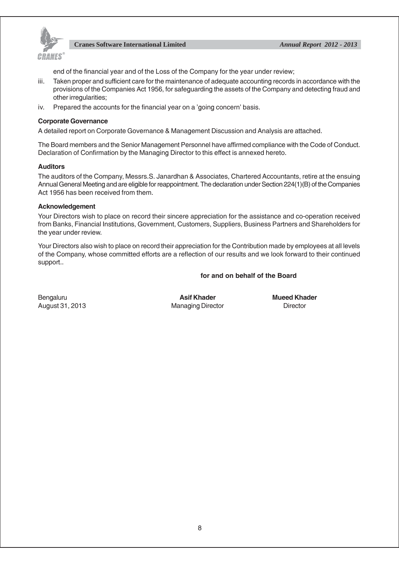

end of the financial year and of the Loss of the Company for the year under review;

- iii. Taken proper and sufficient care for the maintenance of adequate accounting records in accordance with the provisions of the Companies Act 1956, for safeguarding the assets of the Company and detecting fraud and other irregularities;
- iv. Prepared the accounts for the financial year on a 'going concern' basis.

#### **Corporate Governance**

A detailed report on Corporate Governance & Management Discussion and Analysis are attached.

The Board members and the Senior Management Personnel have affirmed compliance with the Code of Conduct. Declaration of Confirmation by the Managing Director to this effect is annexed hereto.

#### **Auditors**

The auditors of the Company, Messrs.S. Janardhan & Associates, Chartered Accountants, retire at the ensuing Annual General Meeting and are eligible for reappointment. The declaration under Section 224(1)(B) of the Companies Act 1956 has been received from them.

#### **Acknowledgement**

Your Directors wish to place on record their sincere appreciation for the assistance and co-operation received from Banks, Financial Institutions, Government, Customers, Suppliers, Business Partners and Shareholders for the year under review.

Your Directors also wish to place on record their appreciation for the Contribution made by employees at all levels of the Company, whose committed efforts are a reflection of our results and we look forward to their continued support..

#### **for and on behalf of the Board**

Bengaluru **Asif Khader Asif Khader Mueed Khader** August 31, 2013

Managing Director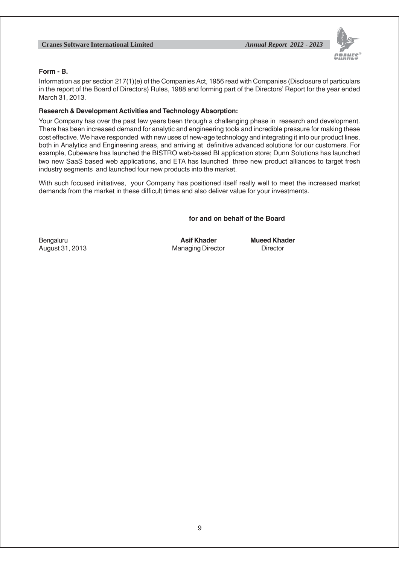

#### **Form - B.**

Information as per section 217(1)(e) of the Companies Act, 1956 read with Companies (Disclosure of particulars in the report of the Board of Directors) Rules, 1988 and forming part of the Directors' Report for the year ended March 31, 2013.

#### **Research & Development Activities and Technology Absorption:**

Your Company has over the past few years been through a challenging phase in research and development. There has been increased demand for analytic and engineering tools and incredible pressure for making these cost effective. We have responded with new uses of new-age technology and integrating it into our product lines, both in Analytics and Engineering areas, and arriving at definitive advanced solutions for our customers. For example, Cubeware has launched the BISTRO web-based BI application store; Dunn Solutions has launched two new SaaS based web applications, and ETA has launched three new product alliances to target fresh industry segments and launched four new products into the market.

With such focused initiatives, your Company has positioned itself really well to meet the increased market demands from the market in these difficult times and also deliver value for your investments.

**for and on behalf of the Board**

Bengaluru **Asif Khader Mueed Khader Asif Khader Mueed Khader** August 31, 2013 **Managing Director**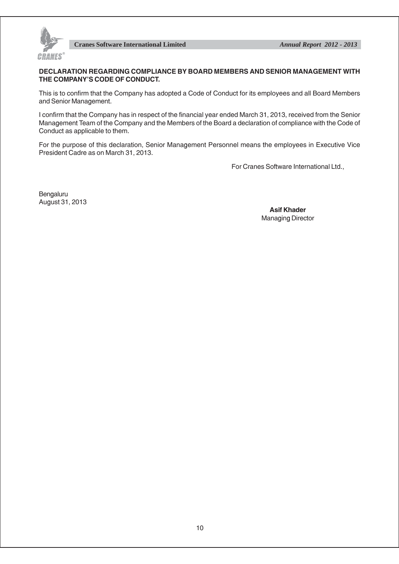

#### **DECLARATION REGARDING COMPLIANCE BY BOARD MEMBERS AND SENIOR MANAGEMENT WITH THE COMPANY'S CODE OF CONDUCT.**

This is to confirm that the Company has adopted a Code of Conduct for its employees and all Board Members and Senior Management.

I confirm that the Company has in respect of the financial year ended March 31, 2013, received from the Senior Management Team of the Company and the Members of the Board a declaration of compliance with the Code of Conduct as applicable to them.

For the purpose of this declaration, Senior Management Personnel means the employees in Executive Vice President Cadre as on March 31, 2013.

For Cranes Software International Ltd.,

Bengaluru August 31, 2013

**Asif Khader** Managing Director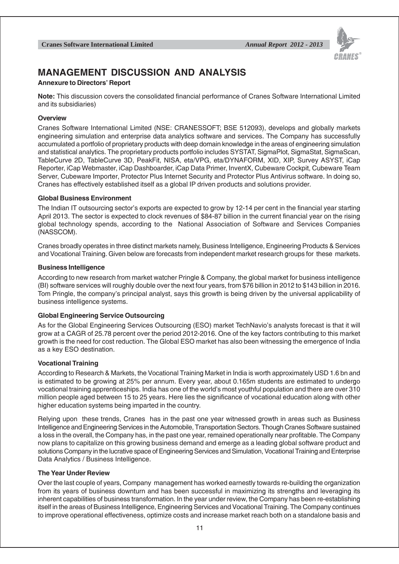

## **MANAGEMENT DISCUSSION AND ANALYSIS**

#### **Annexure to Directors' Report**

**Note:** This discussion covers the consolidated financial performance of Cranes Software International Limited and its subsidiaries)

#### **Overview**

Cranes Software International Limited (NSE: CRANESSOFT; BSE 512093), develops and globally markets engineering simulation and enterprise data analytics software and services. The Company has successfully accumulated a portfolio of proprietary products with deep domain knowledge in the areas of engineering simulation and statistical analytics. The proprietary products portfolio includes SYSTAT, SigmaPlot, SigmaStat, SigmaScan, TableCurve 2D, TableCurve 3D, PeakFit, NISA, eta/VPG, eta/DYNAFORM, XID, XIP, Survey ASYST, iCap Reporter, iCap Webmaster, iCap Dashboarder, iCap Data Primer, InventX, Cubeware Cockpit, Cubeware Team Server, Cubeware Importer, Protector Plus Internet Security and Protector Plus Antivirus software. In doing so, Cranes has effectively established itself as a global IP driven products and solutions provider.

#### **Global Business Environment**

The Indian IT outsourcing sector's exports are expected to grow by 12-14 per cent in the financial year starting April 2013. The sector is expected to clock revenues of \$84-87 billion in the current financial year on the rising global technology spends, according to the National Association of Software and Services Companies (NASSCOM).

Cranes broadly operates in three distinct markets namely, Business Intelligence, Engineering Products & Services and Vocational Training. Given below are forecasts from independent market research groups for these markets.

#### **Business Intelligence**

According to new research from market watcher Pringle & Company, the global market for business intelligence (BI) software services will roughly double over the next four years, from \$76 billion in 2012 to \$143 billion in 2016. Tom Pringle, the company's principal analyst, says this growth is being driven by the universal applicability of business intelligence systems.

#### **Global Engineering Service Outsourcing**

As for the Global Engineering Services Outsourcing (ESO) market TechNavio's analysts forecast is that it will grow at a CAGR of 25.78 percent over the period 2012-2016. One of the key factors contributing to this market growth is the need for cost reduction. The Global ESO market has also been witnessing the emergence of India as a key ESO destination.

#### **Vocational Training**

According to Research & Markets, the Vocational Training Market in India is worth approximately USD 1.6 bn and is estimated to be growing at 25% per annum. Every year, about 0.165m students are estimated to undergo vocational training apprenticeships. India has one of the world's most youthful population and there are over 310 million people aged between 15 to 25 years. Here lies the significance of vocational education along with other higher education systems being imparted in the country.

Relying upon these trends, Cranes has in the past one year witnessed growth in areas such as Business Intelligence and Engineering Services in the Automobile, Transportation Sectors. Though Cranes Software sustained a loss in the overall, the Company has, in the past one year, remained operationally near profitable. The Company now plans to capitalize on this growing business demand and emerge as a leading global software product and solutions Company in the lucrative space of Engineering Services and Simulation, Vocational Training and Enterprise Data Analytics / Business Intelligence.

#### **The Year Under Review**

Over the last couple of years, Company management has worked earnestly towards re-building the organization from its years of business downturn and has been successful in maximizing its strengths and leveraging its inherent capabilities of business transformation. In the year under review, the Company has been re-establishing itself in the areas of Business Intelligence, Engineering Services and Vocational Training. The Company continues to improve operational effectiveness, optimize costs and increase market reach both on a standalone basis and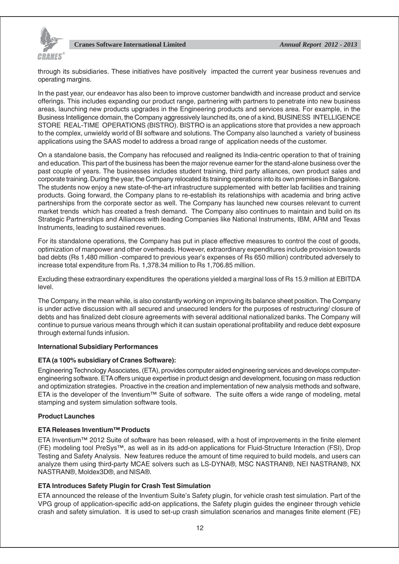

through its subsidiaries. These initiatives have positively impacted the current year business revenues and operating margins.

In the past year, our endeavor has also been to improve customer bandwidth and increase product and service offerings. This includes expanding our product range, partnering with partners to penetrate into new business areas, launching new products upgrades in the Engineering products and services area. For example, in the Business Intelligence domain, the Company aggressively launched its, one of a kind, BUSINESS INTELLIGENCE STORE REAL-TIME OPERATIONS (BISTRO). BISTRO is an applications store that provides a new approach to the complex, unwieldy world of BI software and solutions. The Company also launched a variety of business applications using the SAAS model to address a broad range of application needs of the customer.

On a standalone basis, the Company has refocused and realigned its India-centric operation to that of training and education. This part of the business has been the major revenue earner for the stand-alone business over the past couple of years. The businesses includes student training, third party alliances, own product sales and corporate training. During the year, the Company relocated its training operations into its own premises in Bangalore. The students now enjoy a new state-of-the-art infrastructure supplemented with better lab facilities and training products. Going forward, the Company plans to re-establish its relationships with academia and bring active partnerships from the corporate sector as well. The Company has launched new courses relevant to current market trends which has created a fresh demand. The Company also continues to maintain and build on its Strategic Partnerships and Alliances with leading Companies like National Instruments, IBM, ARM and Texas Instruments, leading to sustained revenues.

For its standalone operations, the Company has put in place effective measures to control the cost of goods, optimization of manpower and other overheads. However, extraordinary expenditures include provision towards bad debts (Rs 1,480 million -compared to previous year's expenses of Rs 650 million) contributed adversely to increase total expenditure from Rs. 1,378.34 million to Rs 1,706.85 million.

Excluding these extraordinary expenditures the operations yielded a marginal loss of Rs 15.9 million at EBITDA level.

The Company, in the mean while, is also constantly working on improving its balance sheet position. The Company is under active discussion with all secured and unsecured lenders for the purposes of restructuring/ closure of debts and has finalized debt closure agreements with several additional nationalized banks. The Company will continue to pursue various means through which it can sustain operational profitability and reduce debt exposure through external funds infusion.

#### **International Subsidiary Performances**

#### **ETA (a 100% subsidiary of Cranes Software):**

Engineering Technology Associates, (ETA), provides computer aided engineering services and develops computerengineering software. ETA offers unique expertise in product design and development, focusing on mass reduction and optimization strategies. Proactive in the creation and implementation of new analysis methods and software, ETA is the developer of the Inventium™ Suite of software. The suite offers a wide range of modeling, metal stamping and system simulation software tools.

#### **Product Launches**

#### **ETA Releases Inventium™ Products**

ETA Inventium™ 2012 Suite of software has been released, with a host of improvements in the finite element (FE) modeling tool PreSys™, as well as in its add-on applications for Fluid-Structure Interaction (FSI), Drop Testing and Safety Analysis. New features reduce the amount of time required to build models, and users can analyze them using third-party MCAE solvers such as LS-DYNA®, MSC NASTRAN®, NEI NASTRAN®, NX NASTRAN®, Moldex3D®, and NISA®.

#### **ETA Introduces Safety Plugin for Crash Test Simulation**

ETA announced the release of the Inventium Suite's Safety plugin, for vehicle crash test simulation. Part of the VPG group of application-specific add-on applications, the Safety plugin guides the engineer through vehicle crash and safety simulation. It is used to set-up crash simulation scenarios and manages finite element (FE)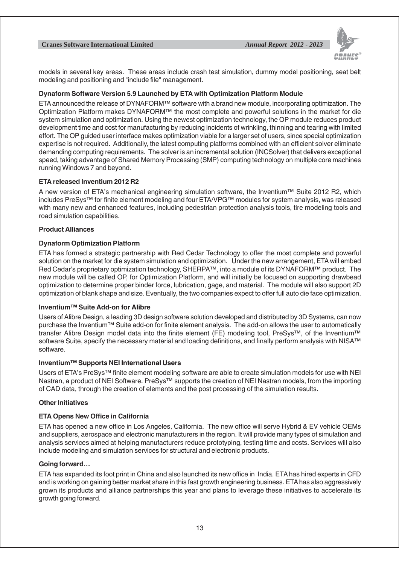

models in several key areas. These areas include crash test simulation, dummy model positioning, seat belt modeling and positioning and "include file" management.

#### **Dynaform Software Version 5.9 Launched by ETA with Optimization Platform Module**

ETA announced the release of DYNAFORM™ software with a brand new module, incorporating optimization. The Optimization Platform makes DYNAFORM™ the most complete and powerful solutions in the market for die system simulation and optimization. Using the newest optimization technology, the OP module reduces product development time and cost for manufacturing by reducing incidents of wrinkling, thinning and tearing with limited effort. The OP guided user interface makes optimization viable for a larger set of users, since special optimization expertise is not required. Additionally, the latest computing platforms combined with an efficient solver eliminate demanding computing requirements. The solver is an incremental solution (INCSolver) that delivers exceptional speed, taking advantage of Shared Memory Processing (SMP) computing technology on multiple core machines running Windows 7 and beyond.

#### **ETA released Inventium 2012 R2**

A new version of ETA's mechanical engineering simulation software, the Inventium™ Suite 2012 R2, which includes PreSys™ for finite element modeling and four ETA/VPG™ modules for system analysis, was released with many new and enhanced features, including pedestrian protection analysis tools, tire modeling tools and road simulation capabilities.

#### **Product Alliances**

#### **Dynaform Optimization Platform**

ETA has formed a strategic partnership with Red Cedar Technology to offer the most complete and powerful solution on the market for die system simulation and optimization. Under the new arrangement, ETA will embed Red Cedar's proprietary optimization technology, SHERPA™, into a module of its DYNAFORM™ product. The new module will be called OP, for Optimization Platform, and will initially be focused on supporting drawbead optimization to determine proper binder force, lubrication, gage, and material. The module will also support 2D optimization of blank shape and size. Eventually, the two companies expect to offer full auto die face optimization.

#### **Inventium™ Suite Add-on for Alibre**

Users of Alibre Design, a leading 3D design software solution developed and distributed by 3D Systems, can now purchase the Inventium™ Suite add-on for finite element analysis. The add-on allows the user to automatically transfer Alibre Design model data into the finite element (FE) modeling tool, PreSys™, of the Inventium™ software Suite, specify the necessary material and loading definitions, and finally perform analysis with NISA™ software.

#### **Inventium™ Supports NEI International Users**

Users of ETA's PreSys™ finite element modeling software are able to create simulation models for use with NEI Nastran, a product of NEI Software. PreSys™ supports the creation of NEI Nastran models, from the importing of CAD data, through the creation of elements and the post processing of the simulation results.

#### **Other Initiatives**

#### **ETA Opens New Office in California**

ETA has opened a new office in Los Angeles, California. The new office will serve Hybrid & EV vehicle OEMs and suppliers, aerospace and electronic manufacturers in the region. It will provide many types of simulation and analysis services aimed at helping manufacturers reduce prototyping, testing time and costs. Services will also include modeling and simulation services for structural and electronic products.

#### **Going forward…**

ETA has expanded its foot print in China and also launched its new office in India. ETA has hired experts in CFD and is working on gaining better market share in this fast growth engineering business. ETA has also aggressively grown its products and alliance partnerships this year and plans to leverage these initiatives to accelerate its growth going forward.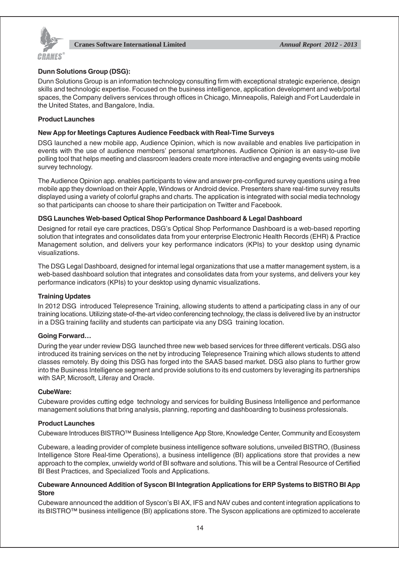

#### **Dunn Solutions Group (DSG):**

Dunn Solutions Group is an information technology consulting firm with exceptional strategic experience, design skills and technologic expertise. Focused on the business intelligence, application development and web/portal spaces, the Company delivers services through offices in Chicago, Minneapolis, Raleigh and Fort Lauderdale in the United States, and Bangalore, India.

#### **Product Launches**

#### **New App for Meetings Captures Audience Feedback with Real-Time Surveys**

DSG launched a new mobile app, Audience Opinion, which is now available and enables live participation in events with the use of audience members' personal smartphones. Audience Opinion is an easy-to-use live polling tool that helps meeting and classroom leaders create more interactive and engaging events using mobile survey technology.

The Audience Opinion app. enables participants to view and answer pre-configured survey questions using a free mobile app they download on their Apple, Windows or Android device. Presenters share real-time survey results displayed using a variety of colorful graphs and charts. The application is integrated with social media technology so that participants can choose to share their participation on Twitter and Facebook.

#### **DSG Launches Web-based Optical Shop Performance Dashboard & Legal Dashboard**

Designed for retail eye care practices, DSG's Optical Shop Performance Dashboard is a web-based reporting solution that integrates and consolidates data from your enterprise Electronic Health Records (EHR) & Practice Management solution, and delivers your key performance indicators (KPIs) to your desktop using dynamic visualizations.

The DSG Legal Dashboard, designed for internal legal organizations that use a matter management system, is a web-based dashboard solution that integrates and consolidates data from your systems, and delivers your key performance indicators (KPIs) to your desktop using dynamic visualizations.

#### **Training Updates**

In 2012 DSG introduced Telepresence Training, allowing students to attend a participating class in any of our training locations. Utilizing state-of-the-art video conferencing technology, the class is delivered live by an instructor in a DSG training facility and students can participate via any DSG training location.

#### **Going Forward…**

During the year under review DSG launched three new web based services for three different verticals. DSG also introduced its training services on the net by introducing Telepresence Training which allows students to attend classes remotely. By doing this DSG has forged into the SAAS based market. DSG also plans to further grow into the Business Intelligence segment and provide solutions to its end customers by leveraging its partnerships with SAP, Microsoft, Liferay and Oracle.

#### **CubeWare:**

Cubeware provides cutting edge technology and services for building Business Intelligence and performance management solutions that bring analysis, planning, reporting and dashboarding to business professionals.

#### **Product Launches**

Cubeware Introduces BISTRO™ Business Intelligence App Store, Knowledge Center, Community and Ecosystem

Cubeware, a leading provider of complete business intelligence software solutions, unveiled BISTRO, (Business Intelligence Store Real-time Operations), a business intelligence (BI) applications store that provides a new approach to the complex, unwieldy world of BI software and solutions. This will be a Central Resource of Certified BI Best Practices, and Specialized Tools and Applications.

#### **Cubeware Announced Addition of Syscon BI Integration Applications for ERP Systems to BISTRO BI App Store**

Cubeware announced the addition of Syscon's BI AX, IFS and NAV cubes and content integration applications to its BISTRO™ business intelligence (BI) applications store. The Syscon applications are optimized to accelerate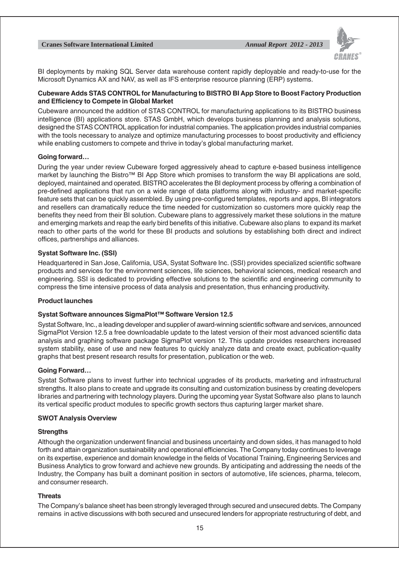

BI deployments by making SQL Server data warehouse content rapidly deployable and ready-to-use for the Microsoft Dynamics AX and NAV, as well as IFS enterprise resource planning (ERP) systems.

#### **Cubeware Adds STAS CONTROL for Manufacturing to BISTRO BI App Store to Boost Factory Production and Efficiency to Compete in Global Market**

Cubeware announced the addition of STAS CONTROL for manufacturing applications to its BISTRO business intelligence (BI) applications store. STAS GmbH, which develops business planning and analysis solutions, designed the STAS CONTROL application for industrial companies. The application provides industrial companies with the tools necessary to analyze and optimize manufacturing processes to boost productivity and efficiency while enabling customers to compete and thrive in today's global manufacturing market.

#### **Going forward…**

During the year under review Cubeware forged aggressively ahead to capture e-based business intelligence market by launching the Bistro™ BI App Store which promises to transform the way BI applications are sold, deployed, maintained and operated. BISTRO accelerates the BI deployment process by offering a combination of pre-defined applications that run on a wide range of data platforms along with industry- and market-specific feature sets that can be quickly assembled. By using pre-configured templates, reports and apps, BI integrators and resellers can dramatically reduce the time needed for customization so customers more quickly reap the benefits they need from their BI solution. Cubeware plans to aggressively market these solutions in the mature and emerging markets and reap the early bird benefits of this initiative. Cubeware also plans to expand its market reach to other parts of the world for these BI products and solutions by establishing both direct and indirect offices, partnerships and alliances.

#### **Systat Software Inc. (SSI)**

Headquartered in San Jose, California, USA, Systat Software Inc. (SSI) provides specialized scientific software products and services for the environment sciences, life sciences, behavioral sciences, medical research and engineering. SSI is dedicated to providing effective solutions to the scientific and engineering community to compress the time intensive process of data analysis and presentation, thus enhancing productivity.

#### **Product launches**

#### **Systat Software announces SigmaPlot™ Software Version 12.5**

Systat Software, Inc., a leading developer and supplier of award-winning scientific software and services, announced SigmaPlot Version 12.5 a free downloadable update to the latest version of their most advanced scientific data analysis and graphing software package SigmaPlot version 12. This update provides researchers increased system stability, ease of use and new features to quickly analyze data and create exact, publication-quality graphs that best present research results for presentation, publication or the web.

#### **Going Forward…**

Systat Software plans to invest further into technical upgrades of its products, marketing and infrastructural strengths. It also plans to create and upgrade its consulting and customization business by creating developers libraries and partnering with technology players. During the upcoming year Systat Software also plans to launch its vertical specific product modules to specific growth sectors thus capturing larger market share.

#### **SWOT Analysis Overview**

#### **Strengths**

Although the organization underwent financial and business uncertainty and down sides, it has managed to hold forth and attain organization sustainability and operational efficiencies. The Company today continues to leverage on its expertise, experience and domain knowledge in the fields of Vocational Training, Engineering Services and Business Analytics to grow forward and achieve new grounds. By anticipating and addressing the needs of the Industry, the Company has built a dominant position in sectors of automotive, life sciences, pharma, telecom, and consumer research.

#### **Threats**

The Company's balance sheet has been strongly leveraged through secured and unsecured debts. The Company remains in active discussions with both secured and unsecured lenders for appropriate restructuring of debt, and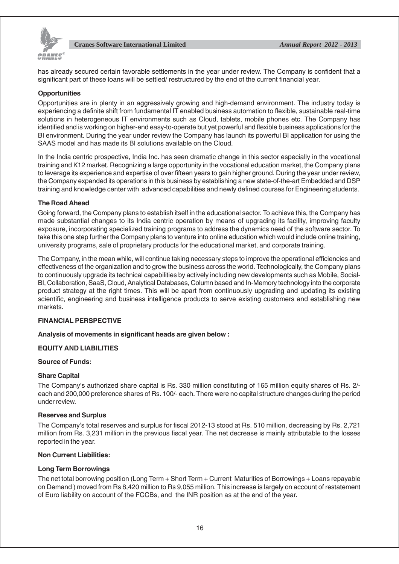

has already secured certain favorable settlements in the year under review. The Company is confident that a significant part of these loans will be settled/ restructured by the end of the current financial year.

#### **Opportunities**

Opportunities are in plenty in an aggressively growing and high-demand environment. The industry today is experiencing a definite shift from fundamental IT enabled business automation to flexible, sustainable real-time solutions in heterogeneous IT environments such as Cloud, tablets, mobile phones etc. The Company has identified and is working on higher-end easy-to-operate but yet powerful and flexible business applications for the BI environment. During the year under review the Company has launch its powerful BI application for using the SAAS model and has made its BI solutions available on the Cloud.

In the India centric prospective, India Inc. has seen dramatic change in this sector especially in the vocational training and K12 market. Recognizing a large opportunity in the vocational education market, the Company plans to leverage its experience and expertise of over fifteen years to gain higher ground. During the year under review, the Company expanded its operations in this business by establishing a new state-of-the-art Embedded and DSP training and knowledge center with advanced capabilities and newly defined courses for Engineering students.

#### **The Road Ahead**

Going forward, the Company plans to establish itself in the educational sector. To achieve this, the Company has made substantial changes to its India centric operation by means of upgrading its facility, improving faculty exposure, incorporating specialized training programs to address the dynamics need of the software sector. To take this one step further the Company plans to venture into online education which would include online training, university programs, sale of proprietary products for the educational market, and corporate training.

The Company, in the mean while, will continue taking necessary steps to improve the operational efficiencies and effectiveness of the organization and to grow the business across the world. Technologically, the Company plans to continuously upgrade its technical capabilities by actively including new developments such as Mobile, Social-BI, Collaboration, SaaS, Cloud, Analytical Databases, Column based and In-Memory technology into the corporate product strategy at the right times. This will be apart from continuously upgrading and updating its existing scientific, engineering and business intelligence products to serve existing customers and establishing new markets.

#### **FINANCIAL PERSPECTIVE**

#### **Analysis of movements in significant heads are given below :**

#### **EQUITY AND LIABILITIES**

#### **Source of Funds:**

#### **Share Capital**

The Company's authorized share capital is Rs. 330 million constituting of 165 million equity shares of Rs. 2/ each and 200,000 preference shares of Rs. 100/- each. There were no capital structure changes during the period under review.

#### **Reserves and Surplus**

The Company's total reserves and surplus for fiscal 2012-13 stood at Rs. 510 million, decreasing by Rs. 2,721 million from Rs. 3,231 million in the previous fiscal year. The net decrease is mainly attributable to the losses reported in the year.

#### **Non Current Liabilities:**

#### **Long Term Borrowings**

The net total borrowing position (Long Term + Short Term + Current Maturities of Borrowings + Loans repayable on Demand ) moved from Rs 8,420 million to Rs 9,055 million. This increase is largely on account of restatement of Euro liability on account of the FCCBs, and the INR position as at the end of the year.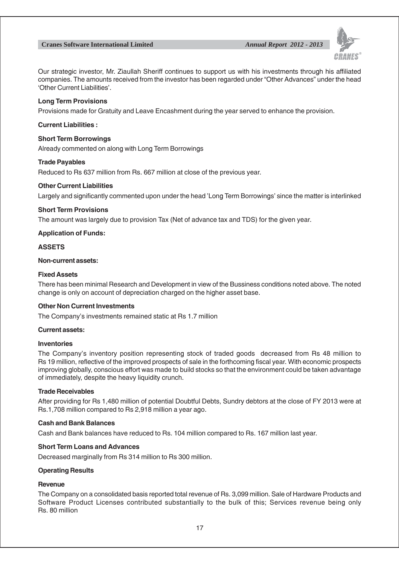

Our strategic investor, Mr. Ziaullah Sheriff continues to support us with his investments through his affiliated companies. The amounts received from the investor has been regarded under "Other Advances" under the head 'Other Current Liabilities'.

#### **Long Term Provisions**

Provisions made for Gratuity and Leave Encashment during the year served to enhance the provision.

#### **Current Liabilities :**

#### **Short Term Borrowings**

Already commented on along with Long Term Borrowings

#### **Trade Payables**

Reduced to Rs 637 million from Rs. 667 million at close of the previous year.

#### **Other Current Liabilities**

Largely and significantly commented upon under the head 'Long Term Borrowings' since the matter is interlinked

#### **Short Term Provisions**

The amount was largely due to provision Tax (Net of advance tax and TDS) for the given year.

#### **Application of Funds:**

#### **ASSETS**

#### **Non-current assets:**

#### **Fixed Assets**

There has been minimal Research and Development in view of the Bussiness conditions noted above. The noted change is only on account of depreciation charged on the higher asset base.

#### **Other Non Current Investments**

The Company's investments remained static at Rs 1.7 million

#### **Current assets:**

#### **Inventories**

The Company's inventory position representing stock of traded goods decreased from Rs 48 million to Rs 19 million, reflective of the improved prospects of sale in the forthcoming fiscal year. With economic prospects improving globally, conscious effort was made to build stocks so that the environment could be taken advantage of immediately, despite the heavy liquidity crunch.

#### **Trade Receivables**

After providing for Rs 1,480 million of potential Doubtful Debts, Sundry debtors at the close of FY 2013 were at Rs.1,708 million compared to Rs 2,918 million a year ago.

#### **Cash and Bank Balances**

Cash and Bank balances have reduced to Rs. 104 million compared to Rs. 167 million last year.

#### **Short Term Loans and Advances**

Decreased marginally from Rs 314 million to Rs 300 million.

#### **Operating Results**

#### **Revenue**

The Company on a consolidated basis reported total revenue of Rs. 3,099 million. Sale of Hardware Products and Software Product Licenses contributed substantially to the bulk of this; Services revenue being only Rs. 80 million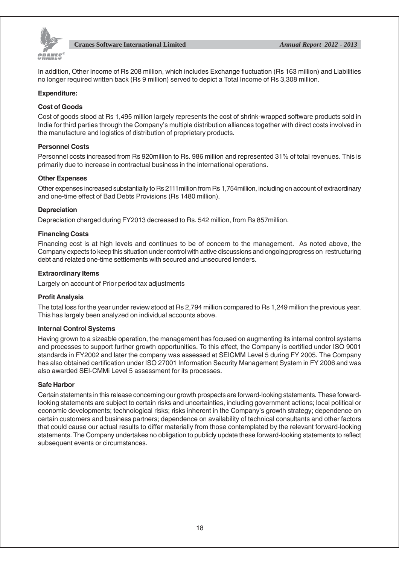

In addition, Other Income of Rs 208 million, which includes Exchange fluctuation (Rs 163 million) and Liabilities no longer required written back (Rs 9 million) served to depict a Total Income of Rs 3,308 million.

#### **Expenditure:**

#### **Cost of Goods**

Cost of goods stood at Rs 1,495 million largely represents the cost of shrink-wrapped software products sold in India for third parties through the Company's multiple distribution alliances together with direct costs involved in the manufacture and logistics of distribution of proprietary products.

#### **Personnel Costs**

Personnel costs increased from Rs 920million to Rs. 986 million and represented 31% of total revenues. This is primarily due to increase in contractual business in the international operations.

#### **Other Expenses**

Other expenses increased substantially to Rs 2111million from Rs 1,754million, including on account of extraordinary and one-time effect of Bad Debts Provisions (Rs 1480 million).

#### **Depreciation**

Depreciation charged during FY2013 decreased to Rs. 542 million, from Rs 857million.

#### **Financing Costs**

Financing cost is at high levels and continues to be of concern to the management. As noted above, the Company expects to keep this situation under control with active discussions and ongoing progress on restructuring debt and related one-time settlements with secured and unsecured lenders.

#### **Extraordinary Items**

Largely on account of Prior period tax adjustments

#### **Profit Analysis**

The total loss for the year under review stood at Rs 2,794 million compared to Rs 1,249 million the previous year. This has largely been analyzed on individual accounts above.

#### **Internal Control Systems**

Having grown to a sizeable operation, the management has focused on augmenting its internal control systems and processes to support further growth opportunities. To this effect, the Company is certified under ISO 9001 standards in FY2002 and later the company was assessed at SEICMM Level 5 during FY 2005. The Company has also obtained certification under ISO 27001 Information Security Management System in FY 2006 and was also awarded SEI-CMMi Level 5 assessment for its processes.

#### **Safe Harbor**

Certain statements in this release concerning our growth prospects are forward-looking statements. These forwardlooking statements are subject to certain risks and uncertainties, including government actions; local political or economic developments; technological risks; risks inherent in the Company's growth strategy; dependence on certain customers and business partners; dependence on availability of technical consultants and other factors that could cause our actual results to differ materially from those contemplated by the relevant forward-looking statements. The Company undertakes no obligation to publicly update these forward-looking statements to reflect subsequent events or circumstances.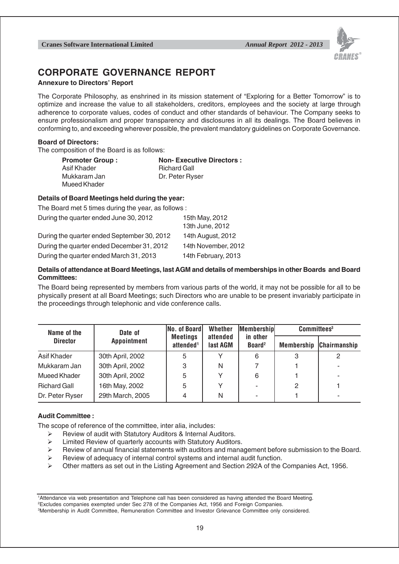

## **CORPORATE GOVERNANCE REPORT**

#### **Annexure to Directors' Report**

The Corporate Philosophy, as enshrined in its mission statement of "Exploring for a Better Tomorrow" is to optimize and increase the value to all stakeholders, creditors, employees and the society at large through adherence to corporate values, codes of conduct and other standards of behaviour. The Company seeks to ensure professionalism and proper transparency and disclosures in all its dealings. The Board believes in conforming to, and exceeding wherever possible, the prevalent mandatory guidelines on Corporate Governance.

#### **Board of Directors:**

The composition of the Board is as follows:

| <b>Promoter Group:</b> | <b>Non-Executive Directors:</b> |
|------------------------|---------------------------------|
| Asif Khader            | <b>Richard Gall</b>             |
| Mukkaram Jan           | Dr. Peter Ryser                 |
| Mueed Khader           |                                 |

#### **Details of Board Meetings held during the year:**

| The Board met 5 times during the year, as follows : |                                   |
|-----------------------------------------------------|-----------------------------------|
| During the quarter ended June 30, 2012              | 15th May, 2012<br>13th June, 2012 |
| During the quarter ended September 30, 2012         | 14th August, 2012                 |
| During the quarter ended December 31, 2012          | 14th November, 2012               |
| During the quarter ended March 31, 2013             | 14th February, 2013               |

#### **Details of attendance at Board Meetings, last AGM and details of memberships in other Boards and Board Committees:**

The Board being represented by members from various parts of the world, it may not be possible for all to be physically present at all Board Meetings; such Directors who are unable to be present invariably participate in the proceedings through telephonic and vide conference calls.

| Name of the                                                                                        | Date of          | No. of Board                   | <b>Whether</b>    | <b>Membership</b>        | Committees <sup>3</sup> |  |
|----------------------------------------------------------------------------------------------------|------------------|--------------------------------|-------------------|--------------------------|-------------------------|--|
| attended<br><b>Meetings</b><br>Appointment<br><b>Director</b><br>attended <sup>1</sup><br>last AGM |                  | in other<br>Board <sup>2</sup> | <b>Membership</b> | <b>Chairmanship</b>      |                         |  |
| Asif Khader                                                                                        | 30th April, 2002 | 5                              | v                 | 6                        | 3                       |  |
| Mukkaram Jan                                                                                       | 30th April, 2002 | 3                              | N                 |                          |                         |  |
| Mueed Khader                                                                                       | 30th April, 2002 | 5                              | Y                 | 6                        |                         |  |
| <b>Richard Gall</b>                                                                                | 16th May, 2002   | 5                              | v                 | $\overline{\phantom{a}}$ | 2                       |  |
| Dr. Peter Ryser                                                                                    | 29th March, 2005 | 4                              | N                 | $\overline{\phantom{a}}$ |                         |  |

#### **Audit Committee :**

The scope of reference of the committee, inter alia, includes:

- $\geq$  Review of audit with Statutory Auditors & Internal Auditors.<br> $\geq$  Limited Review of quarterly accounts with Statutory Auditor
- 
- $\triangleright$  Limited Review of quarterly accounts with Statutory Auditors.<br>  $\triangleright$  Review of annual financial statements with auditors and mana  $\triangleright$  Review of annual financial statements with auditors and management before submission to the Board.<br>  $\triangleright$  Review of adequacy of internal control systems and internal audit function.
- Review of adequacy of internal control systems and internal audit function.
- ¾ Other matters as set out in the Listing Agreement and Section 292A of the Companies Act, 1956.

<sup>1</sup> Attendance via web presentation and Telephone call has been considered as having attended the Board Meeting. 2 Excludes companies exempted under Sec 278 of the Companies Act, 1956 and Foreign Companies.

<sup>3</sup> Membership in Audit Committee, Remuneration Committee and Investor Grievance Committee only considered.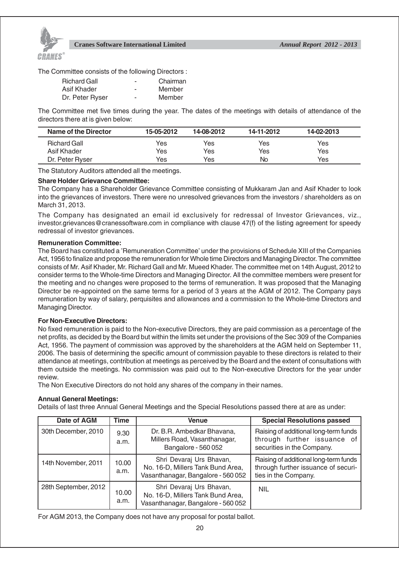

The Committee consists of the following Directors :

| <b>Richard Gall</b> | ۰ | Chairman |
|---------------------|---|----------|
| Asif Khader         |   | Member   |
| Dr. Peter Ryser     | - | Member   |

The Committee met five times during the year. The dates of the meetings with details of attendance of the directors there at is given below:

| Name of the Director | 15-05-2012 | 14-08-2012 | 14-11-2012 | 14-02-2013 |
|----------------------|------------|------------|------------|------------|
| <b>Richard Gall</b>  | Yes        | Yes        | Yes        | Yes        |
| Asif Khader          | Yes        | Yes        | Yes        | Yes        |
| Dr. Peter Ryser      | Yes        | Yes        | No         | Yes        |

The Statutory Auditors attended all the meetings.

#### **Share Holder Grievance Committee:**

The Company has a Shareholder Grievance Committee consisting of Mukkaram Jan and Asif Khader to look into the grievances of investors. There were no unresolved grievances from the investors / shareholders as on March 31, 2013.

The Company has designated an email id exclusively for redressal of Investor Grievances, viz., investor.grievances@cranessoftware.com in compliance with clause 47(f) of the listing agreement for speedy redressal of investor grievances.

#### **Remuneration Committee:**

The Board has constituted a 'Remuneration Committee' under the provisions of Schedule XIII of the Companies Act, 1956 to finalize and propose the remuneration for Whole time Directors and Managing Director. The committee consists of Mr. Asif Khader, Mr. Richard Gall and Mr. Mueed Khader. The committee met on 14th August, 2012 to consider terms to the Whole-time Directors and Managing Director. All the committee members were present for the meeting and no changes were proposed to the terms of remuneration. It was proposed that the Managing Director be re-appointed on the same terms for a period of 3 years at the AGM of 2012. The Company pays remuneration by way of salary, perquisites and allowances and a commission to the Whole-time Directors and Managing Director.

#### **For Non-Executive Directors:**

No fixed remuneration is paid to the Non-executive Directors, they are paid commission as a percentage of the net profits, as decided by the Board but within the limits set under the provisions of the Sec 309 of the Companies Act, 1956. The payment of commission was approved by the shareholders at the AGM held on September 11, 2006. The basis of determining the specific amount of commission payable to these directors is related to their attendance at meetings, contribution at meetings as perceived by the Board and the extent of consultations with them outside the meetings. No commission was paid out to the Non-executive Directors for the year under review.

The Non Executive Directors do not hold any shares of the company in their names.

#### **Annual General Meetings:**

Details of last three Annual General Meetings and the Special Resolutions passed there at are as under:

| Date of AGM          | Time          | <b>Venue</b>                                                                                        | <b>Special Resolutions passed</b>                                                                    |
|----------------------|---------------|-----------------------------------------------------------------------------------------------------|------------------------------------------------------------------------------------------------------|
| 30th December, 2010  | 9.30<br>a.m.  | Dr. B.R. Ambedkar Bhavana,<br>Millers Road, Vasanthanagar,<br>Bangalore - 560 052                   | Raising of additional long-term funds<br>through further issuance of<br>securities in the Company.   |
| 14th November, 2011  | 10.00<br>a.m. | Shri Devaraj Urs Bhavan,<br>No. 16-D, Millers Tank Bund Area,<br>Vasanthanagar, Bangalore - 560 052 | Raising of additional long-term funds<br>through further issuance of securi-<br>ties in the Company. |
| 28th September, 2012 | 10.00<br>a.m. | Shri Devaraj Urs Bhavan,<br>No. 16-D, Millers Tank Bund Area,<br>Vasanthanagar, Bangalore - 560 052 | <b>NIL</b>                                                                                           |

For AGM 2013, the Company does not have any proposal for postal ballot.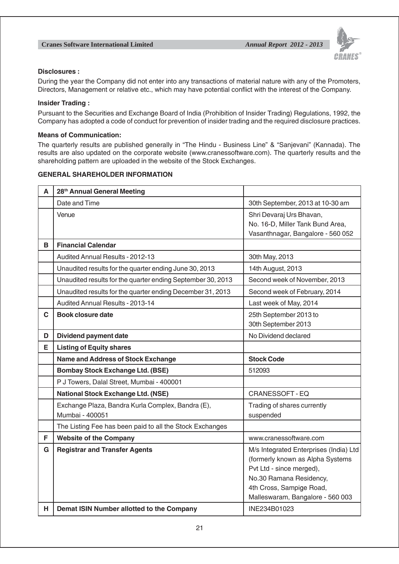

#### **Disclosures :**

During the year the Company did not enter into any transactions of material nature with any of the Promoters, Directors, Management or relative etc., which may have potential conflict with the interest of the Company.

#### **Insider Trading :**

Pursuant to the Securities and Exchange Board of India (Prohibition of Insider Trading) Regulations, 1992, the Company has adopted a code of conduct for prevention of insider trading and the required disclosure practices.

#### **Means of Communication:**

The quarterly results are published generally in "The Hindu - Business Line" & "Sanjevani" (Kannada). The results are also updated on the corporate website (www.cranessoftware.com). The quarterly results and the shareholding pattern are uploaded in the website of the Stock Exchanges.

#### **GENERAL SHAREHOLDER INFORMATION**

| A           | 28 <sup>th</sup> Annual General Meeting                              |                                                                                                                                                                                                   |
|-------------|----------------------------------------------------------------------|---------------------------------------------------------------------------------------------------------------------------------------------------------------------------------------------------|
|             | Date and Time                                                        | 30th September, 2013 at 10-30 am                                                                                                                                                                  |
|             | Venue                                                                | Shri Devaraj Urs Bhavan,<br>No. 16-D, Miller Tank Bund Area,<br>Vasanthnagar, Bangalore - 560 052                                                                                                 |
| B           | <b>Financial Calendar</b>                                            |                                                                                                                                                                                                   |
|             | Audited Annual Results - 2012-13                                     | 30th May, 2013                                                                                                                                                                                    |
|             | Unaudited results for the quarter ending June 30, 2013               | 14th August, 2013                                                                                                                                                                                 |
|             | Unaudited results for the quarter ending September 30, 2013          | Second week of November, 2013                                                                                                                                                                     |
|             | Unaudited results for the quarter ending December 31, 2013           | Second week of February, 2014                                                                                                                                                                     |
|             | Audited Annual Results - 2013-14                                     | Last week of May, 2014                                                                                                                                                                            |
| $\mathbf C$ | <b>Book closure date</b>                                             | 25th September 2013 to<br>30th September 2013                                                                                                                                                     |
| D           | <b>Dividend payment date</b>                                         | No Dividend declared                                                                                                                                                                              |
| E           | <b>Listing of Equity shares</b>                                      |                                                                                                                                                                                                   |
|             | <b>Name and Address of Stock Exchange</b>                            | <b>Stock Code</b>                                                                                                                                                                                 |
|             | <b>Bombay Stock Exchange Ltd. (BSE)</b>                              | 512093                                                                                                                                                                                            |
|             | P J Towers, Dalal Street, Mumbai - 400001                            |                                                                                                                                                                                                   |
|             | <b>National Stock Exchange Ltd. (NSE)</b>                            | <b>CRANESSOFT - EQ</b>                                                                                                                                                                            |
|             | Exchange Plaza, Bandra Kurla Complex, Bandra (E),<br>Mumbai - 400051 | Trading of shares currently<br>suspended                                                                                                                                                          |
|             | The Listing Fee has been paid to all the Stock Exchanges             |                                                                                                                                                                                                   |
| F.          | <b>Website of the Company</b>                                        | www.cranessoftware.com                                                                                                                                                                            |
| G           | <b>Registrar and Transfer Agents</b>                                 | M/s Integrated Enterprises (India) Ltd<br>(formerly known as Alpha Systems<br>Pvt Ltd - since merged),<br>No.30 Ramana Residency,<br>4th Cross, Sampige Road,<br>Malleswaram, Bangalore - 560 003 |
| н           | Demat ISIN Number allotted to the Company                            | INE234B01023                                                                                                                                                                                      |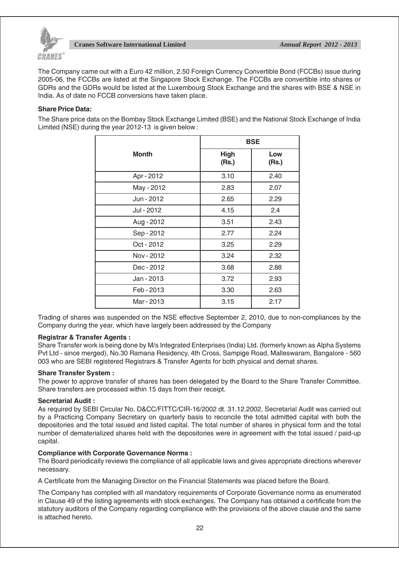

The Company came out with a Euro 42 million, 2.50 Foreign Currency Convertible Bond (FCCBs) issue during 2005-06, the FCCBs are listed at the Singapore Stock Exchange. The FCCBs are convertible into shares or GDRs and the GDRs would be listed at the Luxembourg Stock Exchange and the shares with BSE & NSE in India. As of date no FCCB conversions have taken place.

#### **Share Price Data:**

The Share price data on the Bombay Stock Exchange Limited (BSE) and the National Stock Exchange of India Limited (NSE) during the year 2012-13 is given below :

|              | <b>BSE</b>           |              |  |
|--------------|----------------------|--------------|--|
| <b>Month</b> | <b>High</b><br>(Rs.) | Low<br>(Rs.) |  |
| Apr - 2012   | 3.10                 | 2.40         |  |
| May - 2012   | 2.83                 | 2.07         |  |
| Jun - 2012   | 2.65                 | 2.29         |  |
| Jul - 2012   | 4.15                 | 2.4          |  |
| Aug - 2012   | 3.51                 | 2.43         |  |
| Sep - 2012   | 2.77                 | 2.24         |  |
| Oct - 2012   | 3.25                 | 2.29         |  |
| Nov - 2012   | 3.24                 | 2.32         |  |
| Dec - 2012   | 3.68                 | 2.88         |  |
| Jan - 2013   | 3.72                 | 2.93         |  |
| Feb - 2013   | 3.30                 | 2.63         |  |
| Mar - 2013   | 3.15                 | 2.17         |  |

Trading of shares was suspended on the NSE effective September 2, 2010, due to non-compliances by the Company during the year, which have largely been addressed by the Company

#### **Registrar & Transfer Agents :**

Share Transfer work is being done by M/s Integrated Enterprises (India) Ltd. (formerly known as Alpha Systems Pvt Ltd - since merged), No.30 Ramana Residency, 4th Cross, Sampige Road, Malleswaram, Bangalore - 560 003 who are SEBI registered Registrars & Transfer Agents for both physical and demat shares.

#### **Share Transfer System :**

The power to approve transfer of shares has been delegated by the Board to the Share Transfer Committee. Share transfers are processed within 15 days from their receipt.

#### **Secretarial Audit :**

As required by SEBI Circular No. D&CC/FITTC/CIR-16/2002 dt. 31.12.2002, Secretarial Audit was carried out by a Practicing Company Secretary on quarterly basis to reconcile the total admitted capital with both the depositories and the total issued and listed capital. The total number of shares in physical form and the total number of dematerialized shares held with the depositories were in agreement with the total issued / paid-up capital.

#### **Compliance with Corporate Governance Norms :**

The Board periodically reviews the compliance of all applicable laws and gives appropriate directions wherever necessary.

A Certificate from the Managing Director on the Financial Statements was placed before the Board.

The Company has complied with all mandatory requirements of Corporate Governance norms as enumerated in Clause 49 of the listing agreements with stock exchanges. The Company has obtained a certificate from the statutory auditors of the Company regarding compliance with the provisions of the above clause and the same is attached hereto.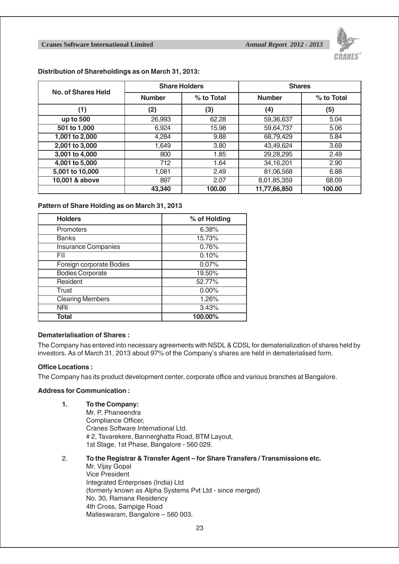

#### **Distribution of Shareholdings as on March 31, 2013:**

| No. of Shares Held | <b>Share Holders</b> |            | <b>Shares</b> |            |  |
|--------------------|----------------------|------------|---------------|------------|--|
|                    | <b>Number</b>        | % to Total | <b>Number</b> | % to Total |  |
| (1)                | (2)                  | (3)        | (4)           | (5)        |  |
| up to 500          | 26,993               | 62.28      | 59,36,637     | 5.04       |  |
| 501 to 1,000       | 6,924                | 15.98      | 59,64,737     | 5.06       |  |
| 1,001 to 2,000     | 4,284                | 9.88       | 68,79,429     | 5.84       |  |
| 2,001 to 3,000     | 1,649                | 3.80       | 43,49,624     | 3.69       |  |
| 3,001 to 4,000     | 800                  | 1.85       | 29,28,295     | 2.49       |  |
| 4,001 to 5,000     | 712                  | 1.64       | 34, 16, 201   | 2.90       |  |
| 5,001 to 10,000    | 1,081                | 2.49       | 81,06,568     | 6.88       |  |
| 10,001 & above     | 897                  | 2.07       | 8,01,85,359   | 68.09      |  |
|                    | 43,340               | 100.00     | 11,77,66,850  | 100.00     |  |

#### **Pattern of Share Holding as on March 31, 2013**

| <b>Holders</b>           | % of Holding |
|--------------------------|--------------|
| Promoters                | 6.38%        |
| <b>Banks</b>             | 15.73%       |
| Insurance Companies      | 0.76%        |
| FII                      | 0.10%        |
| Foreign corporate Bodies | 0.07%        |
| <b>Bodies Corporate</b>  | 19.50%       |
| Resident                 | 52.77%       |
| Trust                    | $0.00\%$     |
| <b>Clearing Members</b>  | 1.26%        |
| <b>NRI</b>               | 3.43%        |
| Total                    | 100.00%      |

#### **Dematerialisation of Shares :**

The Company has entered into necessary agreements with NSDL & CDSL for dematerialization of shares held by investors. As of March 31, 2013 about 97% of the Company's shares are held in dematerialised form.

#### **Office Locations :**

The Company has its product development center, corporate office and various branches at Bangalore.

#### **Address for Communication :**

- **1. To the Company:**
	- Mr. P. Phaneendra Compliance Officer, Cranes Software International Ltd. # 2, Tavarekere, Bannerghatta Road, BTM Layout, 1st Stage, 1st Phase, Bangalore - 560 029.
- 2. **To the Registrar & Transfer Agent for Share Transfers / Transmissions etc.** Mr. Vijay Gopal Vice President Integrated Enterprises (India) Ltd (formerly known as Alpha Systems Pvt Ltd - since merged) No. 30, Ramana Residency 4th Cross, Sampige Road Malleswaram, Bangalore – 560 003.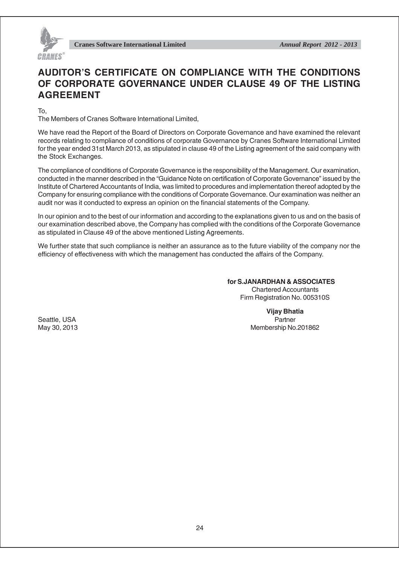

## **AUDITOR'S CERTIFICATE ON COMPLIANCE WITH THE CONDITIONS OF CORPORATE GOVERNANCE UNDER CLAUSE 49 OF THE LISTING AGREEMENT**

To,

The Members of Cranes Software International Limited,

We have read the Report of the Board of Directors on Corporate Governance and have examined the relevant records relating to compliance of conditions of corporate Governance by Cranes Software International Limited for the year ended 31st March 2013, as stipulated in clause 49 of the Listing agreement of the said company with the Stock Exchanges.

The compliance of conditions of Corporate Governance is the responsibility of the Management. Our examination, conducted in the manner described in the "Guidance Note on certification of Corporate Governance" issued by the Institute of Chartered Accountants of India, was limited to procedures and implementation thereof adopted by the Company for ensuring compliance with the conditions of Corporate Governance. Our examination was neither an audit nor was it conducted to express an opinion on the financial statements of the Company.

In our opinion and to the best of our information and according to the explanations given to us and on the basis of our examination described above, the Company has complied with the conditions of the Corporate Governance as stipulated in Clause 49 of the above mentioned Listing Agreements.

We further state that such compliance is neither an assurance as to the future viability of the company nor the efficiency of effectiveness with which the management has conducted the affairs of the Company.

> **for S.JANARDHAN & ASSOCIATES** Chartered Accountants Firm Registration No. 005310S

> > **Vijay Bhatia** Membership No. 201862

Seattle, USA<br>May 30, 2013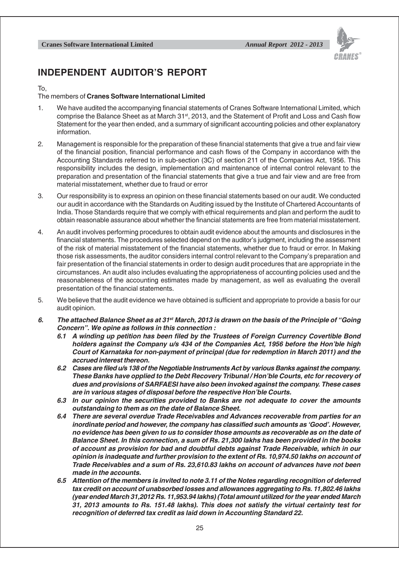

## **INDEPENDENT AUDITOR'S REPORT**

#### To,

#### The members of **Cranes Software International Limited**

- 1. We have audited the accompanying financial statements of Cranes Software International Limited, which comprise the Balance Sheet as at March 31<sup>st</sup>, 2013, and the Statement of Profit and Loss and Cash flow Statement for the year then ended, and a summary of significant accounting policies and other explanatory information.
- 2. Management is responsible for the preparation of these financial statements that give a true and fair view of the financial position, financial performance and cash flows of the Company in accordance with the Accounting Standards referred to in sub-section (3C) of section 211 of the Companies Act, 1956. This responsibility includes the design, implementation and maintenance of internal control relevant to the preparation and presentation of the financial statements that give a true and fair view and are free from material misstatement, whether due to fraud or error
- 3. Our responsibility is to express an opinion on these financial statements based on our audit. We conducted our audit in accordance with the Standards on Auditing issued by the Institute of Chartered Accountants of India. Those Standards require that we comply with ethical requirements and plan and perform the audit to obtain reasonable assurance about whether the financial statements are free from material misstatement.
- 4. An audit involves performing procedures to obtain audit evidence about the amounts and disclosures in the financial statements. The procedures selected depend on the auditor's judgment, including the assessment of the risk of material misstatement of the financial statements, whether due to fraud or error. In Making those risk assessments, the auditor considers internal control relevant to the Company's preparation and fair presentation of the financial statements in order to design audit procedures that are appropriate in the circumstances. An audit also includes evaluating the appropriateness of accounting policies used and the reasonableness of the accounting estimates made by management, as well as evaluating the overall presentation of the financial statements.
- 5. We believe that the audit evidence we have obtained is sufficient and appropriate to provide a basis for our audit opinion.
- *6. The attached Balance Sheet as at 31st March, 2013 is drawn on the basis of the Principle of "Going Concern". We opine as follows in this connection :*
	- *6.1 A winding up petition has been filed by the Trustees of Foreign Currency Covertible Bond holders against the Company u/s 434 of the Companies Act, 1956 before the Hon'ble high Court of Karnataka for non-payment of principal (due for redemption in March 2011) and the accrued interest thereon.*
	- *6.2 Cases are filed u/s 138 of the Negotiable Instruments Act by various Banks against the company. These Banks have opplied to the Debt Recovery Tribunal / Hon'ble Courts, etc for recovery of dues and provisions of SARFAESI have also been invoked against the company. These cases are in various stages of disposal before the respective Hon'ble Courts.*
	- *6.3 In our opinion the securities provided to Banks are not adequate to cover the amounts outstandaing to them as on the date of Balance Sheet.*
	- *6.4 There are several overdue Trade Receivables and Advances recoverable from parties for an inordinate period and however, the company has classified such amounts as 'Good'. However, no evidence has been given to us to consider those amounts as recoverable as on the date of Balance Sheet. In this connection, a sum of Rs. 21,300 lakhs has been provided in the books of account as provision for bad and doubtful debts against Trade Receivable, which in our opinion is inadequate and further provision to the extent of Rs. 10,974.50 lakhs on account of Trade Receivables and a sum of Rs. 23,610.83 lakhs on account of advances have not been made in the accounts.*
	- *6.5 Attention of the members is invited to note 3.11 of the Notes regarding recognition of deferred tax credit on account of unabsorbed losses and allowances aggregating to Rs. 11,802.46 lakhs (year ended March 31,2012 Rs. 11,953.94 lakhs) (Total amount utilized for the year ended March 31, 2013 amounts to Rs. 151.48 lakhs). This does not satisfy the virtual certainty test for recognition of deferred tax credit as laid down in Accounting Standard 22.*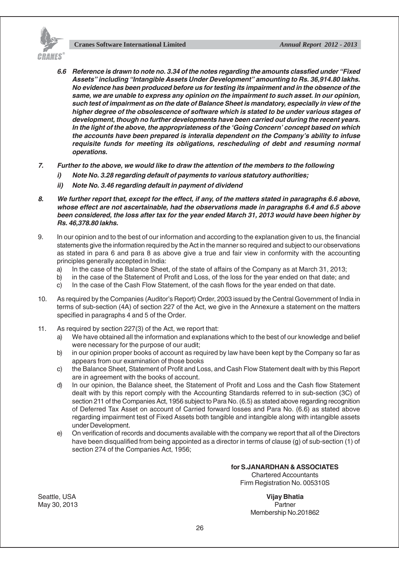

- *6.6 Reference is drawn to note no. 3.34 of the notes regarding the amounts classfied under "Fixed Assets" including "Intangible Assets Under Development" amounting to Rs. 36,914.80 lakhs. No evidence has been produced before us for testing its impairment and in the obsence of the same, we are unable to express any opinion on the impairment to such asset. In our opinion, such test of impairment as on the date of Balance Sheet is mandatory, especially in view of the higher degree of the obsolescence of software which is stated to be under various stages of development, though no further developments have been carried out during the recent years. In the light of the above, the appropriateness of the 'Going Concern' concept based on which the accounts have been prepared is interalia dependent on the Company's ability to infuse requisite funds for meeting its obligations, rescheduling of debt and resuming normal operations.*
- *7. Further to the above, we would like to draw the attention of the members to the following*
	- *i) Note No. 3.28 regarding default of payments to various statutory authorities;*
	- *ii) Note No. 3.46 regarding default in payment of dividend*
- *8. We further report that, except for the effect, if any, of the matters stated in paragraphs 6.6 above, whose effect are not ascertainable, had the observations made in paragraphs 6.4 and 6.5 above been considered, the loss after tax for the year ended March 31, 2013 would have been higher by Rs. 46,378.80 lakhs.*
- 9. In our opinion and to the best of our information and according to the explanation given to us, the financial statements give the information required by the Act in the manner so required and subject to our observations as stated in para 6 and para 8 as above give a true and fair view in conformity with the accounting principles generally accepted in India:
	- a) In the case of the Balance Sheet, of the state of affairs of the Company as at March 31, 2013;
	- b) in the case of the Statement of Profit and Loss, of the loss for the year ended on that date; and
	- c) In the case of the Cash Flow Statement, of the cash flows for the year ended on that date.
- 10. As required by the Companies (Auditor's Report) Order, 2003 issued by the Central Government of India in terms of sub-section (4A) of section 227 of the Act, we give in the Annexure a statement on the matters specified in paragraphs 4 and 5 of the Order.
- 11. As required by section 227(3) of the Act, we report that:
	- a) We have obtained all the information and explanations which to the best of our knowledge and belief were necessary for the purpose of our audit;
	- b) in our opinion proper books of account as required by law have been kept by the Company so far as appears from our examination of those books
	- c) the Balance Sheet, Statement of Profit and Loss, and Cash Flow Statement dealt with by this Report are in agreement with the books of account.
	- d) In our opinion, the Balance sheet, the Statement of Profit and Loss and the Cash flow Statement dealt with by this report comply with the Accounting Standards referred to in sub-section (3C) of section 211 of the Companies Act, 1956 subject to Para No. (6.5) as stated above regarding recognition of Deferred Tax Asset on account of Carried forward losses and Para No. (6.6) as stated above regarding impairment test of Fixed Assets both tangible and intangible along with intangible assets under Development.
	- e) On verification of records and documents available with the company we report that all of the Directors have been disqualified from being appointed as a director in terms of clause (g) of sub-section (1) of section 274 of the Companies Act, 1956;

### **for S.JANARDHAN & ASSOCIATES**

Chartered Accountants Firm Registration No. 005310S

Seattle, USA **Vijay Bhatia** May 30, 2013 **Partner Partner Partner Partner** Membership No.201862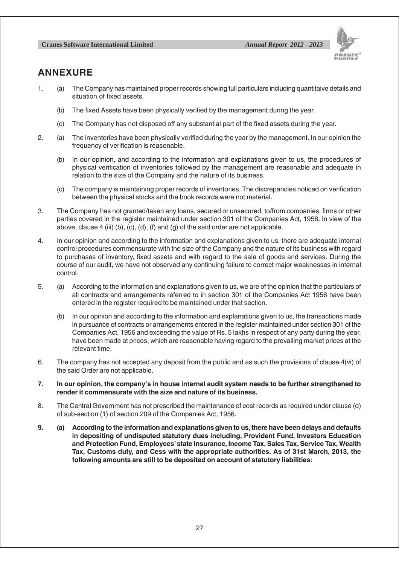

## **ANNEXURE**

- 1. (a) The Company has maintained proper records showing full particulars including quantitaive details and situation of fixed assets.
	- (b) The fixed Assets have been physically verified by the management during the year.
	- (c) The Company has not disposed off any substantial part of the fixed assets during the year.
- 2. (a) The inventories have been physically verified during the year by the management. In our opinion the frequency of verification is reasonable.
	- (b) In our opinion, and according to the information and explanations given to us, the procedures of physical verification of inventories followed by the management are reasonable and adequate in relation to the size of the Company and the nature of its business.
	- (c) The company is maintaining proper records of inventories. The discrepancies noticed on verification between the physical stocks and the book records were not material.
- 3. The Company has not granted/taken any loans, secured or unsecured, to/from companies, firms or other parties covered in the register maintained under section 301 of the Companies Act, 1956. In view of the above, clause 4 (iii) (b), (c), (d), (f) and (g) of the said order are not applicable.
- 4. In our opinion and according to the information and explanations given to us, there are adequate internal control procedures commensurate with the size of the Company and the nature of its business with regard to purchases of inventory, fixed assets and with regard to the sale of goods and services. During the course of our audit, we have not observed any continuing failure to correct major weaknesses in internal control.
- 5. (a) According to the information and explanations given to us, we are of the opinion that the particulars of all contracts and arrangements referred to in section 301 of the Companies Act 1956 have been entered in the register required to be maintained under that section.
	- (b) In our opinion and according to the information and explanations given to us, the transactions made in pursuance of contracts or arrangements entered in the register maintained under section 301 of the Companies Act, 1956 and exceeding the value of Rs. 5 lakhs in respect of any party during the year, have been made at prices, which are reasonable having regard to the prevailing market prices at the relevant time.
- 6. The company has not accepted any deposit from the public and as such the provisions of clause 4(vi) of the said Order are not applicable.
- **7. In our opinion, the company's in house internal audit system needs to be further strengthened to render it commensurate with the size and nature of its business.**
- 8. The Central Government has not prescribed the maintenance of cost records as required under clause (d) of sub-section (1) of section 209 of the Companies Act, 1956.
- **9. (a) According to the information and explanations given to us, there have been delays and defaults in depositing of undisputed statutory dues including, Provident Fund, Investors Education and Protection Fund, Employees' state Insurance, Income Tax, Sales Tax, Service Tax, Wealth Tax, Customs duty, and Cess with the appropriate authorities. As of 31st March, 2013, the following amounts are still to be deposited on account of statutory liabilities:**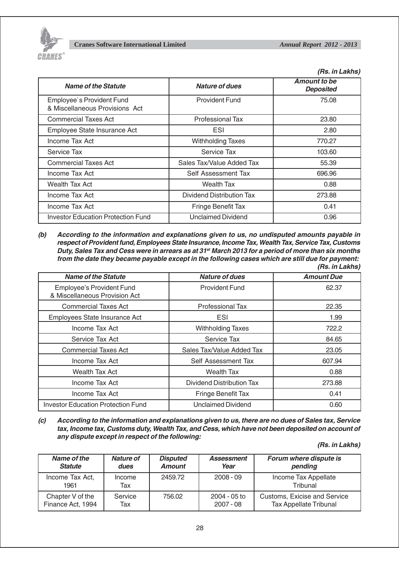

*(Rs. in Lakhs)*

| Name of the Statute                                         | <b>Nature of dues</b>     | Amount to be<br><b>Deposited</b> |
|-------------------------------------------------------------|---------------------------|----------------------------------|
| Employee's Provident Fund<br>& Miscellaneous Provisions Act | <b>Provident Fund</b>     | 75.08                            |
| <b>Commercial Taxes Act</b>                                 | Professional Tax          | 23.80                            |
| Employee State Insurance Act                                | ESI                       | 2.80                             |
| Income Tax Act                                              | <b>Withholding Taxes</b>  | 770.27                           |
| Service Tax                                                 | Service Tax               | 103.60                           |
| <b>Commercial Taxes Act</b>                                 | Sales Tax/Value Added Tax | 55.39                            |
| Income Tax Act                                              | Self Assessment Tax       | 696.96                           |
| Wealth Tax Act                                              | <b>Wealth Tax</b>         | 0.88                             |
| Income Tax Act                                              | Dividend Distribution Tax | 273.88                           |
| Income Tax Act                                              | <b>Fringe Benefit Tax</b> | 0.41                             |
| <b>Investor Education Protection Fund</b>                   | <b>Unclaimed Dividend</b> | 0.96                             |

*(b) According to the information and explanations given to us, no undisputed amounts payable in respect of Provident fund, Employees State Insurance, Income Tax, Wealth Tax, Service Tax, Customs Duty, Sales Tax and Cess were in arrears as at 31st March 2013 for a period of more than six months from the date they became payable except in the following cases which are still due for payment: (Rs. in Lakhs)*

| <b>Name of the Statute</b>                                        | <b>Nature of dues</b>            | <b>Amount Due</b> |
|-------------------------------------------------------------------|----------------------------------|-------------------|
| <b>Employee's Provident Fund</b><br>& Miscellaneous Provision Act | <b>Provident Fund</b>            | 62.37             |
| <b>Commercial Taxes Act</b>                                       | <b>Professional Tax</b>          | 22.35             |
| Employees State Insurance Act                                     | ESI                              | 1.99              |
| Income Tax Act                                                    | <b>Withholding Taxes</b>         | 722.2             |
| Service Tax Act                                                   | Service Tax                      | 84.65             |
| <b>Commercial Taxes Act</b>                                       | Sales Tax/Value Added Tax        | 23.05             |
| Income Tax Act                                                    | Self Assessment Tax              | 607.94            |
| Wealth Tax Act                                                    | <b>Wealth Tax</b>                | 0.88              |
| Income Tax Act                                                    | <b>Dividend Distribution Tax</b> | 273.88            |
| Income Tax Act                                                    | <b>Fringe Benefit Tax</b>        | 0.41              |
| <b>Investor Education Protection Fund</b>                         | <b>Unclaimed Dividend</b>        | 0.60              |

*(c) According to the information and explanations given to us, there are no dues of Sales tax, Service tax, Income tax, Customs duty, Wealth Tax, and Cess, which have not been deposited on account of any dispute except in respect of the following:*

*(Rs. in Lakhs)*

| Name of the             | Nature of     | <b>Disputed</b> | <b>Assessment</b> | Forum where dispute is           |
|-------------------------|---------------|-----------------|-------------------|----------------------------------|
| <b>Statute</b>          | dues          | <b>Amount</b>   | Year              | pending                          |
| Income Tax Act,<br>1961 | Income<br>Tax | 2459.72         | $2008 - 09$       | Income Tax Appellate<br>Tribunal |
| Chapter V of the        | Service       | 756.02          | $2004 - 05$ to    | Customs, Exicise and Service     |
| Finance Act, 1994       | Tax           |                 | $2007 - 08$       | <b>Tax Appellate Tribunal</b>    |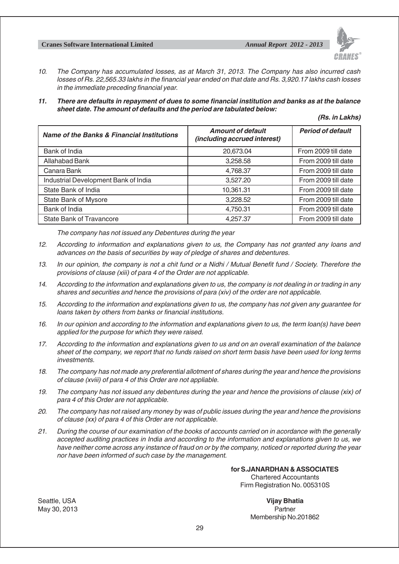

- *10. The Company has accumulated losses, as at March 31, 2013. The Company has also incurred cash losses of Rs. 22,565.33 lakhs in the financial year ended on that date and Rs. 3,920.17 lakhs cash losses in the immediate preceding financial year.*
- *11. There are defaults in repayment of dues to some financial institution and banks as at the balance sheet date. The amount of defaults and the period are tabulated below:*

*(Rs. in Lakhs)*

| <b>Name of the Banks &amp; Financial Institutions</b> | <b>Amount of default</b><br>(including accrued interest) | <b>Period of default</b> |
|-------------------------------------------------------|----------------------------------------------------------|--------------------------|
| Bank of India                                         | 20,673.04                                                | From 2009 till date      |
| Allahabad Bank                                        | 3,258.58                                                 | From 2009 till date      |
| Canara Bank                                           | 4,768.37                                                 | From 2009 till date      |
| Industrial Development Bank of India                  | 3,527.20                                                 | From 2009 till date      |
| State Bank of India                                   | 10,361.31                                                | From 2009 till date      |
| State Bank of Mysore                                  | 3,228.52                                                 | From 2009 till date      |
| Bank of India                                         | 4,750.31                                                 | From 2009 till date      |
| <b>State Bank of Travancore</b>                       | 4,257.37                                                 | From 2009 till date      |

*The company has not issued any Debentures during the year*

- *12. According to information and explanations given to us, the Company has not granted any loans and advances on the basis of securities by way of pledge of shares and debentures.*
- *13. In our opinion, the company is not a chit fund or a Nidhi / Mutual Benefit fund / Society. Therefore the provisions of clause (xiii) of para 4 of the Order are not applicable.*
- *14. According to the information and explanations given to us, the company is not dealing in or trading in any shares and securities and hence the provisions of para (xiv) of the order are not applicable.*
- *15. According to the information and explanations given to us, the company has not given any guarantee for loans taken by others from banks or financial institutions.*
- *16. In our opinion and according to the information and explanations given to us, the term loan(s) have been applied for the purpose for which they were raised.*
- *17. According to the information and explanations given to us and on an overall examination of the balance sheet of the company, we report that no funds raised on short term basis have been used for long terms investments.*
- *18. The company has not made any preferential allotment of shares during the year and hence the provisions of clause (xviii) of para 4 of this Order are not appliable.*
- *19. The company has not issued any debentures during the year and hence the provisions of clause (xix) of para 4 of this Order are not applicable.*
- *20. The company has not raised any money by was of public issues during the year and hence the provisions of clause (xx) of para 4 of this Order are not applicable.*
- *21. During the course of our examination of the books of accounts carried on in acordance with the generally accepted auditing practices in India and according to the information and explanations given to us, we have neither come across any instance of fraud on or by the company, noticed or reported during the year nor have been informed of such case by the management.*

**for S.JANARDHAN & ASSOCIATES** Chartered Accountants Firm Registration No. 005310S

Seattle, USA **Vijay Bhatia** Membership No.201862

May 30, 2013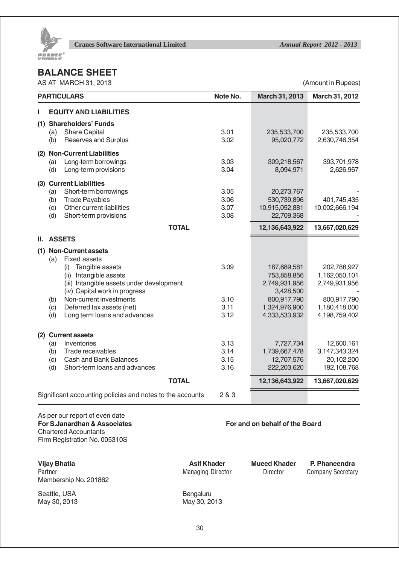

## **BALANCE SHEET**

AS AT MARCH 31, 2013 (Amount in Rupees)

|     |                          | <b>PARTICULARS</b>                                                                                                                                                                                                                                                         | Note No.                     | March 31, 2013                                                                                            | March 31, 2012                                                                                 |
|-----|--------------------------|----------------------------------------------------------------------------------------------------------------------------------------------------------------------------------------------------------------------------------------------------------------------------|------------------------------|-----------------------------------------------------------------------------------------------------------|------------------------------------------------------------------------------------------------|
|     |                          | <b>EQUITY AND LIABILITIES</b>                                                                                                                                                                                                                                              |                              |                                                                                                           |                                                                                                |
|     | (a)<br>(b)               | (1) Shareholders' Funds<br><b>Share Capital</b><br><b>Reserves and Surplus</b>                                                                                                                                                                                             | 3.01<br>3.02                 | 235,533,700<br>95,020,772                                                                                 | 235,533,700<br>2,630,746,354                                                                   |
| (2) | (a)<br>(d)               | <b>Non-Current Liabilities</b><br>Long-term borrowings<br>Long-term provisions                                                                                                                                                                                             | 3.03<br>3.04                 | 309,218,567<br>8,094,971                                                                                  | 393,701,978<br>2,626,967                                                                       |
|     | (a)<br>(b)<br>(c)<br>(d) | (3) Current Liabilities<br>Short-term borrowings<br><b>Trade Payables</b><br>Other current liabilities<br>Short-term provisions                                                                                                                                            | 3.05<br>3.06<br>3.07<br>3.08 | 20,273,767<br>530,739,896<br>10,915,052,881<br>22,709,368                                                 | 401,745,435<br>10,002,666,194                                                                  |
|     |                          | <b>TOTAL</b>                                                                                                                                                                                                                                                               |                              | 12,136,643,922                                                                                            | 13,667,020,629                                                                                 |
| Н.  |                          | <b>ASSETS</b>                                                                                                                                                                                                                                                              |                              |                                                                                                           |                                                                                                |
| (1) | (a)<br>(b)<br>(c)<br>(d) | <b>Non-Current assets</b><br><b>Fixed assets</b><br>Tangible assets<br>(i)<br>(ii) Intangible assets<br>(iii) Intangible assets under development<br>(iv) Capital work in progress<br>Non-current investments<br>Deferred tax assets (net)<br>Long term loans and advances | 3.09<br>3.10<br>3.11<br>3.12 | 187,689,581<br>753,858,856<br>2,749,931,956<br>3,428,500<br>800,917,790<br>1,324,976,900<br>4,333,533,932 | 202,788,927<br>1,162,050,101<br>2,749,931,956<br>800,917,790<br>1,180,418,000<br>4,198,759,402 |
| (2) | (a)<br>(b)<br>(c)<br>(d) | <b>Current assets</b><br>Inventories<br>Trade receivables<br><b>Cash and Bank Balances</b><br>Short-term loans and advances<br><b>TOTAL</b>                                                                                                                                | 3.13<br>3.14<br>3.15<br>3.16 | 7,727,734<br>1,739,667,478<br>12,707,576<br>222,203,620<br>12,136,643,922                                 | 12,600,161<br>3, 147, 343, 324<br>20,102,200<br>192,108,768<br>13,667,020,629                  |
|     |                          | Significant accounting policies and notes to the accounts                                                                                                                                                                                                                  | 2 & 3                        |                                                                                                           |                                                                                                |

As per our report of even date<br>For S.Janardhan & Associates Chartered Accountants Firm Registration No. 005310S

**Vijay Bhatia Asif Khader Mueed Khader P. Phaneendra**<br>Partner **Asif Khader Munaging Director** Director Company Secretary Membership No. 201862

Seattle, USA<br>
May 30, 2013<br>
May 30, 2013<br>
May 30, 2013 May 30, 2013

**For and on behalf of the Board** 

Company Secretary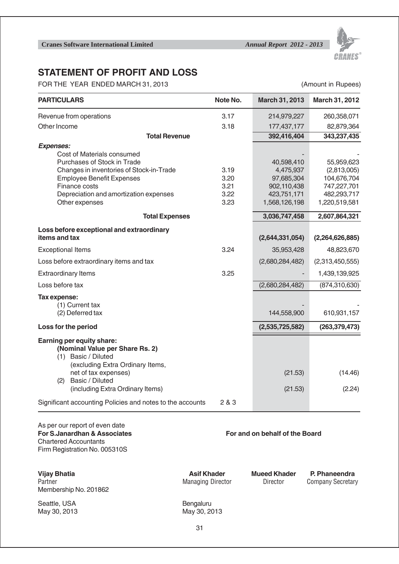

## **STATEMENT OF PROFIT AND LOSS**

FOR THE YEAR ENDED MARCH 31, 2013 (Amount in Rupees)

| <b>PARTICULARS</b>                                                                                                                                                                                                       | Note No.                     | March 31, 2013                                                      | March 31, 2012                                                         |
|--------------------------------------------------------------------------------------------------------------------------------------------------------------------------------------------------------------------------|------------------------------|---------------------------------------------------------------------|------------------------------------------------------------------------|
| Revenue from operations                                                                                                                                                                                                  | 3.17                         | 214,979,227                                                         | 260,358,071                                                            |
| Other Income                                                                                                                                                                                                             | 3.18                         | 177,437,177                                                         | 82,879,364                                                             |
| <b>Total Revenue</b>                                                                                                                                                                                                     |                              | 392,416,404                                                         | 343,237,435                                                            |
| <b>Expenses:</b><br>Cost of Materials consumed<br>Purchases of Stock in Trade<br>Changes in inventories of Stock-in-Trade<br><b>Employee Benefit Expenses</b><br>Finance costs<br>Depreciation and amortization expenses | 3.19<br>3.20<br>3.21<br>3.22 | 40,598,410<br>4,475,937<br>97,685,304<br>902,110,438<br>423,751,171 | 55,959,623<br>(2,813,005)<br>104,676,704<br>747,227,701<br>482,293,717 |
| Other expenses                                                                                                                                                                                                           | 3.23                         | 1,568,126,198                                                       | 1,220,519,581                                                          |
| <b>Total Expenses</b>                                                                                                                                                                                                    |                              | 3,036,747,458                                                       | 2,607,864,321                                                          |
| Loss before exceptional and extraordinary<br>items and tax                                                                                                                                                               |                              | (2,644,331,054)                                                     | (2,264,626,885)                                                        |
| <b>Exceptional Items</b>                                                                                                                                                                                                 | 3.24                         | 35,953,428                                                          | 48,823,670                                                             |
| Loss before extraordinary items and tax                                                                                                                                                                                  |                              | (2,680,284,482)                                                     | (2,313,450,555)                                                        |
| <b>Extraordinary Items</b>                                                                                                                                                                                               | 3.25                         |                                                                     | 1,439,139,925                                                          |
| Loss before tax                                                                                                                                                                                                          |                              | (2,680,284,482)                                                     | (874, 310, 630)                                                        |
| Tax expense:<br>(1) Current tax<br>(2) Deferred tax                                                                                                                                                                      |                              | 144,558,900                                                         | 610,931,157                                                            |
| Loss for the period                                                                                                                                                                                                      |                              | (2,535,725,582)                                                     | (263, 379, 473)                                                        |
| Earning per equity share:<br>(Nominal Value per Share Rs. 2)<br>(1) Basic / Diluted<br>(excluding Extra Ordinary Items,<br>net of tax expenses)<br>Basic / Diluted<br>(2)<br>(including Extra Ordinary Items)            |                              | (21.53)<br>(21.53)                                                  | (14.46)<br>(2.24)                                                      |
| Significant accounting Policies and notes to the accounts                                                                                                                                                                | 2 & 3                        |                                                                     |                                                                        |

As per our report of even date<br>For S.Janardhan & Associates Chartered Accountants Firm Registration No. 005310S

#### For and on behalf of the Board

**Vijay Bhatia Asif Khader Mueed Khader P. Phaneendra**<br> **Asif Khader Mueed Khader P. Phaneendra**<br>
Managing Director Director Company Secretary Membership No. 201862

Seattle, USA Bengaluru May 30, 2013

Managing Director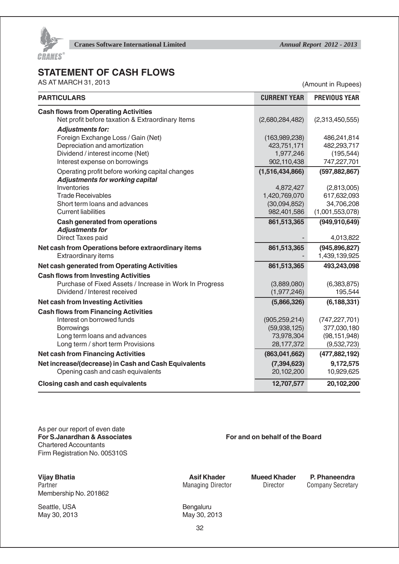

# **STATEMENT OF CASH FLOWS**<br>AS AT MARCH 31, 2013

| AS AT MARCH 31, 2013                                                                                                                                                                                             |                                                                              | (Amount in Rupees)                                                                 |
|------------------------------------------------------------------------------------------------------------------------------------------------------------------------------------------------------------------|------------------------------------------------------------------------------|------------------------------------------------------------------------------------|
| <b>PARTICULARS</b>                                                                                                                                                                                               | <b>CURRENT YEAR</b>                                                          | <b>PREVIOUS YEAR</b>                                                               |
| <b>Cash flows from Operating Activities</b><br>Net profit before taxation & Extraordinary Items                                                                                                                  | (2,680,284,482)                                                              | (2,313,450,555)                                                                    |
| <b>Adjustments for:</b><br>Foreign Exchange Loss / Gain (Net)<br>Depreciation and amortization<br>Dividend / interest income (Net)<br>Interest expense on borrowings                                             | (163,989,238)<br>423,751,171<br>1,977,246<br>902,110,438                     | 486,241,814<br>482,293,717<br>(195, 544)<br>747,227,701                            |
| Operating profit before working capital changes<br><b>Adjustments for working capital</b><br>Inventories<br><b>Trade Receivables</b><br>Short term loans and advances<br><b>Current liabilities</b>              | (1,516,434,866)<br>4,872,427<br>1,420,769,070<br>(30,094,852)<br>982,401,586 | (597, 882, 867)<br>(2,813,005)<br>617,632,093<br>34,706,208<br>(1,001,553,078)     |
| <b>Cash generated from operations</b><br><b>Adjustments for</b><br>Direct Taxes paid                                                                                                                             | 861,513,365                                                                  | (949, 910, 649)<br>4,013,822                                                       |
| Net cash from Operations before extraordinary items<br>Extraordinary items                                                                                                                                       | 861,513,365                                                                  | (945, 896, 827)<br>1,439,139,925                                                   |
| <b>Net cash generated from Operating Activities</b>                                                                                                                                                              | 861,513,365                                                                  | 493,243,098                                                                        |
| <b>Cash flows from Investing Activities</b><br>Purchase of Fixed Assets / Increase in Work In Progress<br>Dividend / Interest received                                                                           | (3,889,080)<br>(1,977,246)                                                   | (6,383,875)<br>195,544                                                             |
| <b>Net cash from Investing Activities</b>                                                                                                                                                                        | (5,866,326)                                                                  | (6, 188, 331)                                                                      |
| <b>Cash flows from Financing Activities</b><br>Interest on borrowed funds<br><b>Borrowings</b><br>Long term loans and advances<br>Long term / short term Provisions<br><b>Net cash from Financing Activities</b> | (905, 259, 214)<br>(59,938,125)<br>73,978,304<br>28,177,372<br>(863,041,662) | (747, 227, 701)<br>377,030,180<br>(98, 151, 948)<br>(9,532,723)<br>(477, 882, 192) |
| Net increase/(decrease) in Cash and Cash Equivalents<br>Opening cash and cash equivalents                                                                                                                        | (7, 394, 623)<br>20,102,200                                                  | 9,172,575<br>10,929,625                                                            |
| <b>Closing cash and cash equivalents</b>                                                                                                                                                                         | 12,707,577                                                                   | 20,102,200                                                                         |

As per our report of even date **For S.Janardhan & Associates For and on behalf of the Board** Chartered Accountants Firm Registration No. 005310S

Membership No. 201862

Seattle, USA<br>
May 30, 2013<br>
May 30, 2013<br>
May 30, 2013 May 30, 2013

**Vijay Bhatia Asif Khader Mueed Khader P. Phaneendra**<br>
Partner **P. Phaneendra** Managing Director Director Company Secretary Company Secretary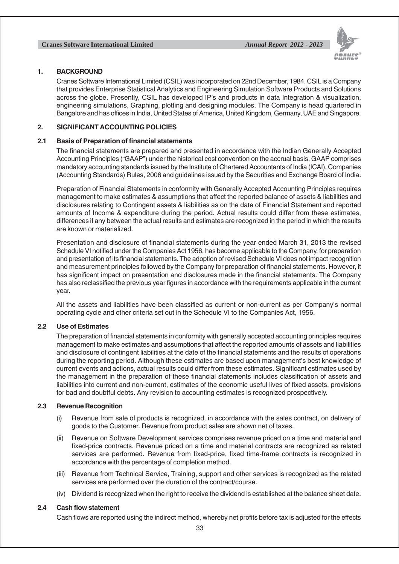

#### **1. BACKGROUND**

Cranes Software International Limited (CSIL) was incorporated on 22nd December, 1984. CSIL is a Company that provides Enterprise Statistical Analytics and Engineering Simulation Software Products and Solutions across the globe. Presently, CSIL has developed IP's and products in data Integration & visualization, engineering simulations, Graphing, plotting and designing modules. The Company is head quartered in Bangalore and has offices in India, United States of America, United Kingdom, Germany, UAE and Singapore.

#### **2. SIGNIFICANT ACCOUNTING POLICIES**

#### **2.1 Basis of Preparation of financial statements**

The financial statements are prepared and presented in accordance with the Indian Generally Accepted Accounting Principles ("GAAP") under the historical cost convention on the accrual basis. GAAP comprises mandatory accounting standards issued by the Institute of Chartered Accountants of India (ICAI), Companies (Accounting Standards) Rules, 2006 and guidelines issued by the Securities and Exchange Board of India.

Preparation of Financial Statements in conformity with Generally Accepted Accounting Principles requires management to make estimates & assumptions that affect the reported balance of assets & liabilities and disclosures relating to Contingent assets & liabilities as on the date of Financial Statement and reported amounts of Income & expenditure during the period. Actual results could differ from these estimates, differences if any between the actual results and estimates are recognized in the period in which the results are known or materialized.

Presentation and disclosure of financial statements during the year ended March 31, 2013 the revised Schedule VI notified under the Companies Act 1956, has become applicable to the Company, for preparation and presentation of its financial statements. The adoption of revised Schedule VI does not impact recognition and measurement principles followed by the Company for preparation of financial statements. However, it has significant impact on presentation and disclosures made in the financial statements. The Company has also reclassified the previous year figures in accordance with the requirements applicable in the current year.

All the assets and liabilities have been classified as current or non-current as per Company's normal operating cycle and other criteria set out in the Schedule VI to the Companies Act, 1956.

#### **2.2 Use of Estimates**

The preparation of financial statements in conformity with generally accepted accounting principles requires management to make estimates and assumptions that affect the reported amounts of assets and liabilities and disclosure of contingent liabilities at the date of the financial statements and the results of operations during the reporting period. Although these estimates are based upon management's best knowledge of current events and actions, actual results could differ from these estimates. Significant estimates used by the management in the preparation of these financial statements includes classification of assets and liabilities into current and non-current, estimates of the economic useful lives of fixed assets, provisions for bad and doubtful debts. Any revision to accounting estimates is recognized prospectively.

#### **2.3 Revenue Recognition**

- (i) Revenue from sale of products is recognized, in accordance with the sales contract, on delivery of goods to the Customer. Revenue from product sales are shown net of taxes.
- (ii) Revenue on Software Development services comprises revenue priced on a time and material and fixed-price contracts. Revenue priced on a time and material contracts are recognized as related services are performed. Revenue from fixed-price, fixed time-frame contracts is recognized in accordance with the percentage of completion method.
- (iii) Revenue from Technical Service, Training, support and other services is recognized as the related services are performed over the duration of the contract/course.
- (iv) Dividend is recognized when the right to receive the dividend is established at the balance sheet date.

#### **2.4 Cash flow statement**

Cash flows are reported using the indirect method, whereby net profits before tax is adjusted for the effects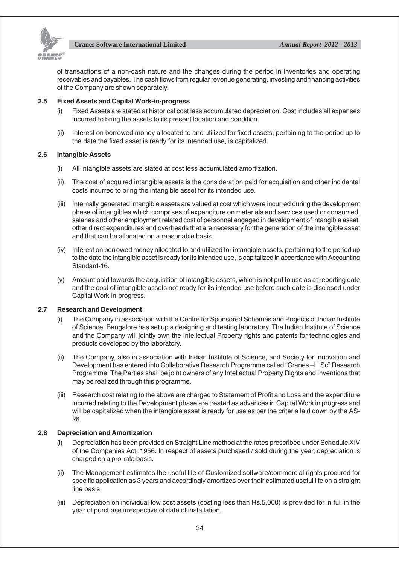

of transactions of a non-cash nature and the changes during the period in inventories and operating receivables and payables. The cash flows from regular revenue generating, investing and financing activities of the Company are shown separately.

#### **2.5 Fixed Assets and Capital Work-in-progress**

- (i) Fixed Assets are stated at historical cost less accumulated depreciation. Cost includes all expenses incurred to bring the assets to its present location and condition.
- (ii) Interest on borrowed money allocated to and utilized for fixed assets, pertaining to the period up to the date the fixed asset is ready for its intended use, is capitalized.

#### **2.6 Intangible Assets**

- (i) All intangible assets are stated at cost less accumulated amortization.
- (ii) The cost of acquired intangible assets is the consideration paid for acquisition and other incidental costs incurred to bring the intangible asset for its intended use.
- (iii) Internally generated intangible assets are valued at cost which were incurred during the development phase of intangibles which comprises of expenditure on materials and services used or consumed, salaries and other employment related cost of personnel engaged in development of intangible asset, other direct expenditures and overheads that are necessary for the generation of the intangible asset and that can be allocated on a reasonable basis.
- (iv) Interest on borrowed money allocated to and utilized for intangible assets, pertaining to the period up to the date the intangible asset is ready for its intended use, is capitalized in accordance with Accounting Standard-16.
- (v) Amount paid towards the acquisition of intangible assets, which is not put to use as at reporting date and the cost of intangible assets not ready for its intended use before such date is disclosed under Capital Work-in-progress.

#### **2.7 Research and Development**

- (i) The Company in association with the Centre for Sponsored Schemes and Projects of Indian Institute of Science, Bangalore has set up a designing and testing laboratory. The Indian Institute of Science and the Company will jointly own the Intellectual Property rights and patents for technologies and products developed by the laboratory.
- (ii) The Company, also in association with Indian Institute of Science, and Society for Innovation and Development has entered into Collaborative Research Programme called "Cranes –I I Sc" Research Programme. The Parties shall be joint owners of any Intellectual Property Rights and Inventions that may be realized through this programme.
- (iii) Research cost relating to the above are charged to Statement of Profit and Loss and the expenditure incurred relating to the Development phase are treated as advances in Capital Work in progress and will be capitalized when the intangible asset is ready for use as per the criteria laid down by the AS-26.

#### **2.8 Depreciation and Amortization**

- Depreciation has been provided on Straight Line method at the rates prescribed under Schedule XIV of the Companies Act, 1956. In respect of assets purchased / sold during the year, depreciation is charged on a pro-rata basis.
- (ii) The Management estimates the useful life of Customized software/commercial rights procured for specific application as 3 years and accordingly amortizes over their estimated useful life on a straight line basis.
- (iii) Depreciation on individual low cost assets (costing less than Rs.5,000) is provided for in full in the year of purchase irrespective of date of installation.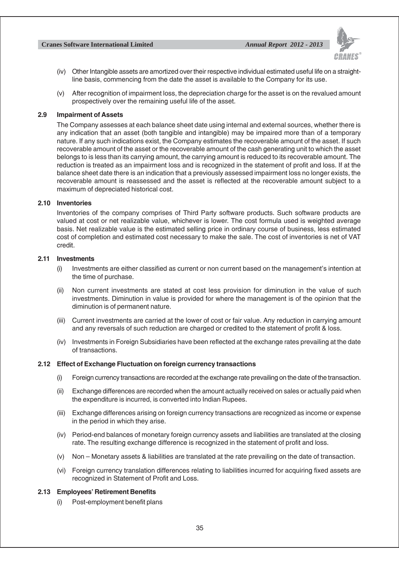

- (iv) Other Intangible assets are amortized over their respective individual estimated useful life on a straightline basis, commencing from the date the asset is available to the Company for its use.
- (v) After recognition of impairment loss, the depreciation charge for the asset is on the revalued amount prospectively over the remaining useful life of the asset.

#### **2.9 Impairment of Assets**

The Company assesses at each balance sheet date using internal and external sources, whether there is any indication that an asset (both tangible and intangible) may be impaired more than of a temporary nature. If any such indications exist, the Company estimates the recoverable amount of the asset. If such recoverable amount of the asset or the recoverable amount of the cash generating unit to which the asset belongs to is less than its carrying amount, the carrying amount is reduced to its recoverable amount. The reduction is treated as an impairment loss and is recognized in the statement of profit and loss. If at the balance sheet date there is an indication that a previously assessed impairment loss no longer exists, the recoverable amount is reassessed and the asset is reflected at the recoverable amount subject to a maximum of depreciated historical cost.

#### **2.10 Inventories**

Inventories of the company comprises of Third Party software products. Such software products are valued at cost or net realizable value, whichever is lower. The cost formula used is weighted average basis. Net realizable value is the estimated selling price in ordinary course of business, less estimated cost of completion and estimated cost necessary to make the sale. The cost of inventories is net of VAT credit.

#### **2.11 Investments**

- (i) Investments are either classified as current or non current based on the management's intention at the time of purchase.
- (ii) Non current investments are stated at cost less provision for diminution in the value of such investments. Diminution in value is provided for where the management is of the opinion that the diminution is of permanent nature.
- (iii) Current investments are carried at the lower of cost or fair value. Any reduction in carrying amount and any reversals of such reduction are charged or credited to the statement of profit & loss.
- (iv) Investments in Foreign Subsidiaries have been reflected at the exchange rates prevailing at the date of transactions.

#### **2.12 Effect of Exchange Fluctuation on foreign currency transactions**

- (i) Foreign currency transactions are recorded at the exchange rate prevailing on the date of the transaction.
- (ii) Exchange differences are recorded when the amount actually received on sales or actually paid when the expenditure is incurred, is converted into Indian Rupees.
- (iii) Exchange differences arising on foreign currency transactions are recognized as income or expense in the period in which they arise.
- (iv) Period-end balances of monetary foreign currency assets and liabilities are translated at the closing rate. The resulting exchange difference is recognized in the statement of profit and loss.
- (v) Non Monetary assets & liabilities are translated at the rate prevailing on the date of transaction.
- (vi) Foreign currency translation differences relating to liabilities incurred for acquiring fixed assets are recognized in Statement of Profit and Loss.

#### **2.13 Employees' Retirement Benefits**

(i) Post-employment benefit plans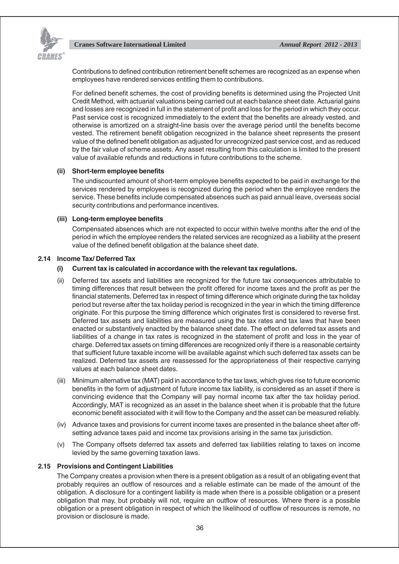

Contributions to defined contribution retirement benefit schemes are recognized as an expense when employees have rendered services entitling them to contributions.

For defined benefit schemes, the cost of providing benefits is determined using the Projected Unit Credit Method, with actuarial valuations being carried out at each balance sheet date. Actuarial gains and losses are recognized in full in the statement of profit and loss for the period in which they occur. Past service cost is recognized immediately to the extent that the benefits are already vested, and otherwise is amortized on a straight-line basis over the average period until the benefits become vested. The retirement benefit obligation recognized in the balance sheet represents the present value of the defined benefit obligation as adjusted for unrecognized past service cost, and as reduced by the fair value of scheme assets. Any asset resulting from this calculation is limited to the present value of available refunds and reductions in future contributions to the scheme.

#### **(ii) Short-term employee benefits**

The undiscounted amount of short-term employee benefits expected to be paid in exchange for the services rendered by employees is recognized during the period when the employee renders the service. These benefits include compensated absences such as paid annual leave, overseas social security contributions and performance incentives.

#### **(iii) Long-term employee benefits**

Compensated absences which are not expected to occur within twelve months after the end of the period in which the employee renders the related services are recognized as a liability at the present value of the defined benefit obligation at the balance sheet date.

#### **2.14 Income Tax/ Deferred Tax**

#### **(i) Current tax is calculated in accordance with the relevant tax regulations.**

- (ii) Deferred tax assets and liabilities are recognized for the future tax consequences attributable to timing differences that result between the profit offered for income taxes and the profit as per the financial statements. Deferred tax in respect of timing difference which originate during the tax holiday period but reverse after the tax holiday period is recognized in the year in which the timing difference originate. For this purpose the timing difference which originates first is considered to reverse first. Deferred tax assets and liabilities are measured using the tax rates and tax laws that have been enacted or substantively enacted by the balance sheet date. The effect on deferred tax assets and liabilities of a change in tax rates is recognized in the statement of profit and loss in the year of charge. Deferred tax assets on timing differences are recognized only if there is a reasonable certainty that sufficient future taxable income will be available against which such deferred tax assets can be realized. Deferred tax assets are reassessed for the appropriateness of their respective carrying values at each balance sheet dates.
- (iii) Minimum alternative tax (MAT) paid in accordance to the tax laws, which gives rise to future economic benefits in the form of adjustment of future income tax liability, is considered as an asset if there is convincing evidence that the Company will pay normal income tax after the tax holiday period. Accordingly, MAT is recognized as an asset in the balance sheet when it is probable that the future economic benefit associated with it will flow to the Company and the asset can be measured reliably.
- (iv) Advance taxes and provisions for current income taxes are presented in the balance sheet after offsetting advance taxes paid and income tax provisions arising in the same tax jurisdiction.
- (v) The Company offsets deferred tax assets and deferred tax liabilities relating to taxes on income levied by the same governing taxation laws.

#### **2.15 Provisions and Contingent Liabilities**

The Company creates a provision when there is a present obligation as a result of an obligating event that probably requires an outflow of resources and a reliable estimate can be made of the amount of the obligation. A disclosure for a contingent liability is made when there is a possible obligation or a present obligation that may, but probably will not, require an outflow of resources. Where there is a possible obligation or a present obligation in respect of which the likelihood of outflow of resources is remote, no provision or disclosure is made.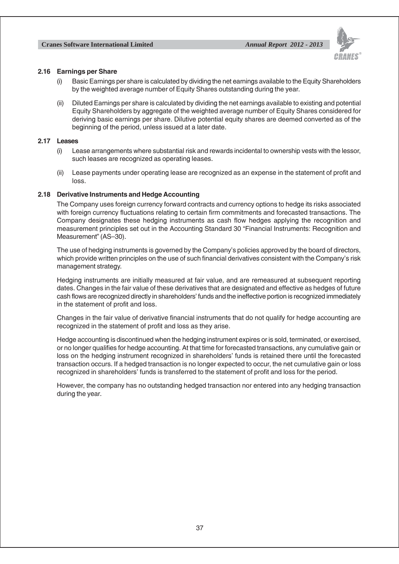

#### **2.16 Earnings per Share**

- (i) Basic Earnings per share is calculated by dividing the net earnings available to the Equity Shareholders by the weighted average number of Equity Shares outstanding during the year.
- (ii) Diluted Earnings per share is calculated by dividing the net earnings available to existing and potential Equity Shareholders by aggregate of the weighted average number of Equity Shares considered for deriving basic earnings per share. Dilutive potential equity shares are deemed converted as of the beginning of the period, unless issued at a later date.

#### **2.17 Leases**

- (i) Lease arrangements where substantial risk and rewards incidental to ownership vests with the lessor, such leases are recognized as operating leases.
- (ii) Lease payments under operating lease are recognized as an expense in the statement of profit and loss.

#### **2.18 Derivative Instruments and Hedge Accounting**

The Company uses foreign currency forward contracts and currency options to hedge its risks associated with foreign currency fluctuations relating to certain firm commitments and forecasted transactions. The Company designates these hedging instruments as cash flow hedges applying the recognition and measurement principles set out in the Accounting Standard 30 "Financial Instruments: Recognition and Measurement" (AS–30).

The use of hedging instruments is governed by the Company's policies approved by the board of directors, which provide written principles on the use of such financial derivatives consistent with the Company's risk management strategy.

Hedging instruments are initially measured at fair value, and are remeasured at subsequent reporting dates. Changes in the fair value of these derivatives that are designated and effective as hedges of future cash flows are recognized directly in shareholders' funds and the ineffective portion is recognized immediately in the statement of profit and loss.

Changes in the fair value of derivative financial instruments that do not qualify for hedge accounting are recognized in the statement of profit and loss as they arise.

Hedge accounting is discontinued when the hedging instrument expires or is sold, terminated, or exercised, or no longer qualifies for hedge accounting. At that time for forecasted transactions, any cumulative gain or loss on the hedging instrument recognized in shareholders' funds is retained there until the forecasted transaction occurs. If a hedged transaction is no longer expected to occur, the net cumulative gain or loss recognized in shareholders' funds is transferred to the statement of profit and loss for the period.

However, the company has no outstanding hedged transaction nor entered into any hedging transaction during the year.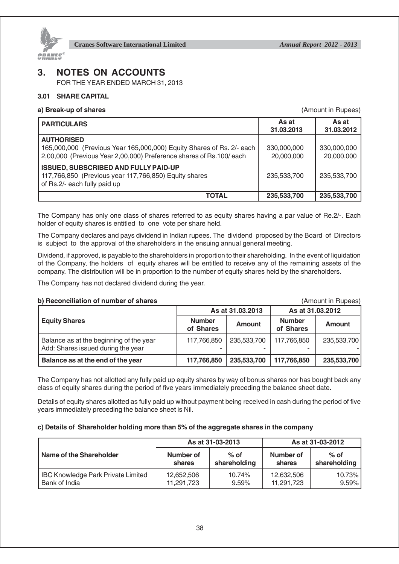

### **3. NOTES ON ACCOUNTS**

FOR THE YEAR ENDED MARCH 31, 2013

#### **3.01 SHARE CAPITAL**

#### **a) Break-up of shares** (Amount in Rupees)

| <b>PARTICULARS</b>                                                                                                                                               | As at<br>31.03.2013       | As at<br>31.03.2012       |
|------------------------------------------------------------------------------------------------------------------------------------------------------------------|---------------------------|---------------------------|
| <b>AUTHORISED</b><br>165,000,000 (Previous Year 165,000,000) Equity Shares of Rs. 2/- each<br>2,00,000 (Previous Year 2,00,000) Preference shares of Rs.100/each | 330,000,000<br>20,000,000 | 330,000,000<br>20,000,000 |
| <b>ISSUED, SUBSCRIBED AND FULLY PAID-UP</b><br>117,766,850 (Previous year 117,766,850) Equity shares<br>of Rs.2/- each fully paid up                             | 235,533,700               | 235,533,700               |
| TOTAL                                                                                                                                                            | 235,533,700               | 235,533,700               |

The Company has only one class of shares referred to as equity shares having a par value of Re.2/-. Each holder of equity shares is entitled to one vote per share held.

The Company declares and pays dividend in Indian rupees. The dividend proposed by the Board of Directors is subject to the approval of the shareholders in the ensuing annual general meeting.

Dividend, if approved, is payable to the shareholders in proportion to their shareholding. In the event of liquidation of the Company, the holders of equity shares will be entitled to receive any of the remaining assets of the company. The distribution will be in proportion to the number of equity shares held by the shareholders.

The Company has not declared dividend during the year.

#### **b) Reconciliation of number of shares** (Amount in Rupees)

|                                                                               |                            | As at 31.03.2013 | As at 31.03.2012           |             |
|-------------------------------------------------------------------------------|----------------------------|------------------|----------------------------|-------------|
| <b>Equity Shares</b>                                                          | <b>Number</b><br>of Shares | Amount           | <b>Number</b><br>of Shares | Amount      |
| Balance as at the beginning of the year<br>Add: Shares issued during the year | 117,766,850                | 235,533,700      | 117,766,850                | 235,533,700 |
| Balance as at the end of the year                                             | 117,766,850                | 235,533,700      | 117,766,850                | 235,533,700 |

The Company has not allotted any fully paid up equity shares by way of bonus shares nor has bought back any class of equity shares during the period of five years immediately preceding the balance sheet date.

Details of equity shares allotted as fully paid up without payment being received in cash during the period of five years immediately preceding the balance sheet is Nil.

#### **c) Details of Shareholder holding more than 5% of the aggregate shares in the company**

|                                           |            | As at 31-03-2013 |            | As at 31-03-2012 |
|-------------------------------------------|------------|------------------|------------|------------------|
| <b>Name of the Shareholder</b>            | Number of  | $%$ of           | Number of  | $%$ of           |
|                                           | shares     | shareholding     | shares     | shareholding     |
| <b>IBC Knowledge Park Private Limited</b> | 12,652,506 | 10.74%           | 12,632,506 | 10.73%           |
| Bank of India                             | 11,291,723 | 9.59%            | 11,291,723 | 9.59%            |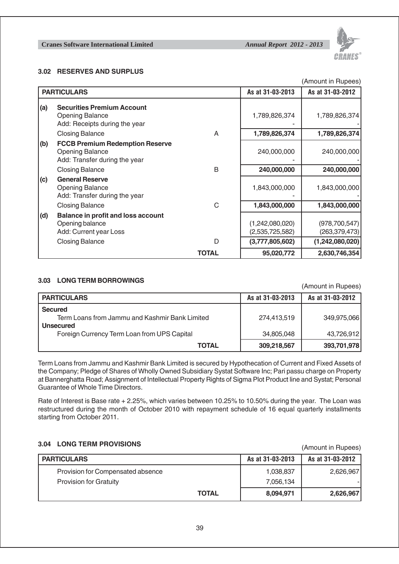

#### **3.02 RESERVES AND SURPLUS**

|     |                                                                                                                  |              |                                                       | (Amount in Rupees)                                    |
|-----|------------------------------------------------------------------------------------------------------------------|--------------|-------------------------------------------------------|-------------------------------------------------------|
|     | <b>PARTICULARS</b>                                                                                               |              | As at 31-03-2013                                      | As at 31-03-2012                                      |
| (a) | <b>Securities Premium Account</b><br><b>Opening Balance</b><br>Add: Receipts during the year                     |              | 1,789,826,374                                         | 1,789,826,374                                         |
|     | <b>Closing Balance</b>                                                                                           | A            | 1,789,826,374                                         | 1,789,826,374                                         |
| (b) | <b>FCCB Premium Redemption Reserve</b><br><b>Opening Balance</b><br>Add: Transfer during the year                |              | 240,000,000                                           | 240,000,000                                           |
|     | <b>Closing Balance</b>                                                                                           | B            | 240,000,000                                           | 240,000,000                                           |
| (c) | <b>General Reserve</b><br><b>Opening Balance</b><br>Add: Transfer during the year                                |              | 1,843,000,000                                         | 1,843,000,000                                         |
|     | <b>Closing Balance</b>                                                                                           | $\mathsf{C}$ | 1,843,000,000                                         | 1,843,000,000                                         |
| (d) | <b>Balance in profit and loss account</b><br>Opening balance<br>Add: Current year Loss<br><b>Closing Balance</b> | D            | (1,242,080,020)<br>(2,535,725,582)<br>(3,777,805,602) | (978, 700, 547)<br>(263, 379, 473)<br>(1,242,080,020) |
|     |                                                                                                                  | TOTAL        | 95,020,772                                            | 2,630,746,354                                         |

#### **3.03 LONG TERM BORROWINGS**

(Amount in Rupees)

(Amount in Rupees)

| <b>PARTICULARS</b>                                                                   | As at 31-03-2013 | As at 31-03-2012 |
|--------------------------------------------------------------------------------------|------------------|------------------|
| <b>Secured</b><br>Term Loans from Jammu and Kashmir Bank Limited<br><b>Unsecured</b> | 274,413,519      | 349,975,066      |
| Foreign Currency Term Loan from UPS Capital                                          | 34,805,048       | 43,726,912       |
| <b>TOTAL</b>                                                                         | 309,218,567      | 393,701,978      |

Term Loans from Jammu and Kashmir Bank Limited is secured by Hypothecation of Current and Fixed Assets of the Company; Pledge of Shares of Wholly Owned Subsidiary Systat Software Inc; Pari passu charge on Property at Bannerghatta Road; Assignment of Intellectual Property Rights of Sigma Plot Product line and Systat; Personal Guarantee of Whole Time Directors.

Rate of Interest is Base rate + 2.25%, which varies between 10.25% to 10.50% during the year. The Loan was restructured during the month of October 2010 with repayment schedule of 16 equal quarterly installments starting from October 2011.

#### **3.04 LONG TERM PROVISIONS**

| <b>PARTICULARS</b>                |              | As at 31-03-2013 | As at 31-03-2012 |
|-----------------------------------|--------------|------------------|------------------|
| Provision for Compensated absence |              | 1,038,837        | 2,626,967        |
| <b>Provision for Gratuity</b>     |              | 7.056.134        |                  |
|                                   | <b>TOTAL</b> | 8,094,971        | 2,626,967        |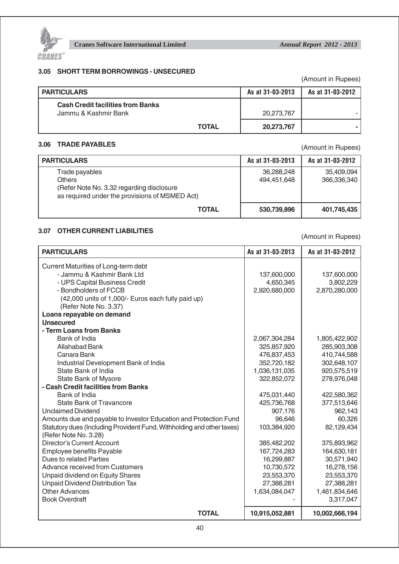

#### **3.05 SHORT TERM BORROWINGS - UNSECURED**

| <b>PARTICULARS</b>                                               |              | As at 31-03-2013 | As at 31-03-2012 |
|------------------------------------------------------------------|--------------|------------------|------------------|
| <b>Cash Credit facilities from Banks</b><br>Jammu & Kashmir Bank |              | 20,273,767       |                  |
|                                                                  | <b>TOTAL</b> | 20,273,767       |                  |

#### **3.06 TRADE PAYABLES**

| <b>PARTICULARS</b>                             | As at 31-03-2013 | As at 31-03-2012 |
|------------------------------------------------|------------------|------------------|
| Trade payables                                 | 36,288,248       | 35,409,094       |
| <b>Others</b>                                  | 494,451,648      | 366,336,340      |
| (Refer Note No. 3.32 regarding disclosure      |                  |                  |
| as required under the provisions of MSMED Act) |                  |                  |
| <b>TOTAL</b>                                   | 530,739,896      | 401,745,435      |

#### **3.07 OTHER CURRENT LIABILITIES**

| <b>PARTICULARS</b>                                                     | As at 31-03-2013 | As at 31-03-2012 |
|------------------------------------------------------------------------|------------------|------------------|
| Current Maturities of Long-term debt                                   |                  |                  |
| - Jammu & Kashmir Bank Ltd                                             | 137,600,000      | 137,600,000      |
| - UPS Capital Business Credit                                          | 4,650,345        | 3,802,229        |
| - Bondholders of FCCB                                                  | 2,920,680,000    | 2,870,280,000    |
| (42,000 units of 1,000/- Euros each fully paid up)                     |                  |                  |
| (Refer Note No. 3.37)                                                  |                  |                  |
| Loans repayable on demand                                              |                  |                  |
| <b>Unsecured</b>                                                       |                  |                  |
| - Term Loans from Banks                                                |                  |                  |
| Bank of India                                                          | 2,067,304,284    | 1,805,422,902    |
| Allahabad Bank                                                         | 325,857,920      | 285,903,308      |
| Canara Bank                                                            | 476,837,453      | 410,744,588      |
| Industrial Development Bank of India                                   | 352,720,182      | 302,648,107      |
| State Bank of India                                                    | 1,036,131,035    | 920,575,519      |
| <b>State Bank of Mysore</b>                                            | 322,852,072      | 278,976,048      |
| - Cash Credit facilities from Banks                                    |                  |                  |
| Bank of India                                                          | 475,031,440      | 422,580,362      |
| <b>State Bank of Travancore</b>                                        | 425,736,768      | 377,513,646      |
| <b>Unclaimed Dividend</b>                                              | 907,176          | 962,143          |
| Amounts due and payable to Investor Education and Protection Fund      | 96,646           | 60,326           |
| Statutory dues (Including Provident Fund, Withholding and other taxes) | 103,384,920      | 82,129,434       |
| (Refer Note No. 3.28)                                                  |                  |                  |
| <b>Director's Current Account</b>                                      | 385,482,202      | 375,893,962      |
| Employee benefits Payable                                              | 167,724,283      | 164,630,181      |
| Dues to related Parties                                                | 16,299,887       | 30,571,940       |
| Advance received from Customers                                        | 10,730,572       | 16,278,156       |
| Unpaid dividend on Equity Shares                                       | 23,553,370       | 23,553,370       |
| Unpaid Dividend Distribution Tax                                       | 27,388,281       | 27,388,281       |
| <b>Other Advances</b>                                                  | 1,634,084,047    | 1,461,834,646    |
| <b>Book Overdraft</b>                                                  |                  | 3,317,047        |
| <b>TOTAL</b>                                                           | 10,915,052,881   | 10,002,666,194   |

(Amount in Rupees)

(Amount in Rupees)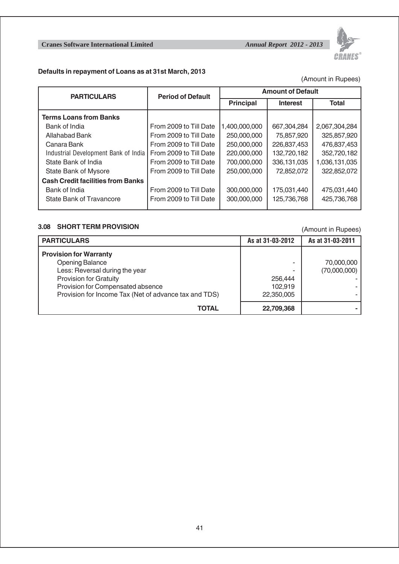

#### **Defaults in repayment of Loans as at 31st March, 2013**

(Amount in Rupees)

| <b>PARTICULARS</b>                       | <b>Period of Default</b> |                  | <b>Amount of Default</b> |               |
|------------------------------------------|--------------------------|------------------|--------------------------|---------------|
|                                          |                          | <b>Principal</b> | <b>Interest</b>          | Total         |
| <b>Terms Loans from Banks</b>            |                          |                  |                          |               |
| Bank of India                            | From 2009 to Till Date   | 1,400,000,000    | 667,304,284              | 2,067,304,284 |
| Allahabad Bank                           | From 2009 to Till Date   | 250,000,000      | 75,857,920               | 325,857,920   |
| Canara Bank                              | From 2009 to Till Date   | 250,000,000      | 226,837,453              | 476,837,453   |
| Industrial Development Bank of India     | From 2009 to Till Date   | 220,000,000      | 132,720,182              | 352,720,182   |
| State Bank of India                      | From 2009 to Till Date   | 700,000,000      | 336,131,035              | 1,036,131,035 |
| State Bank of Mysore                     | From 2009 to Till Date   | 250,000,000      | 72,852,072               | 322,852,072   |
| <b>Cash Credit facilities from Banks</b> |                          |                  |                          |               |
| Bank of India                            | From 2009 to Till Date   | 300,000,000      | 175,031,440              | 475,031,440   |
| State Bank of Travancore                 | From 2009 to Till Date   | 300,000,000      | 125,736,768              | 425,736,768   |

#### **3.08 SHORT TERM PROVISION**

| <b>PARTICULARS</b>                                    | As at 31-03-2012 | As at 31-03-2011 |
|-------------------------------------------------------|------------------|------------------|
| <b>Provision for Warranty</b>                         |                  |                  |
| <b>Opening Balance</b>                                |                  | 70,000,000       |
| Less: Reversal during the year                        |                  | (70,000,000)     |
| <b>Provision for Gratuity</b>                         | 256.444          |                  |
| Provision for Compensated absence                     | 102,919          |                  |
| Provision for Income Tax (Net of advance tax and TDS) | 22,350,005       |                  |
| TOTAL                                                 | 22,709,368       |                  |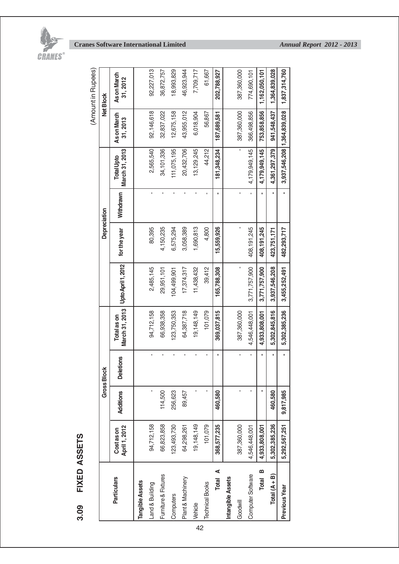



**3.09 FIXED ASSETS**

3.09

FIXED ASSETS

|                        |                             |           |                    |                               |                    |               |           |                                     |                         | (Amount in Rupees)      |
|------------------------|-----------------------------|-----------|--------------------|-------------------------------|--------------------|---------------|-----------|-------------------------------------|-------------------------|-------------------------|
|                        |                             |           | <b>Gross Block</b> |                               |                    | Depreciation  |           |                                     |                         | Net Block               |
| <b>Particulars</b>     | April 1, 2012<br>Cost as on | Additions | <b>Deletions</b>   | March 31, 2013<br>Total as on | Upto April 1, 2012 | for the year  | Withdrawn | March 31, 2013<br><b>Total Upto</b> | As on March<br>31, 2013 | As on March<br>31, 2012 |
| Tangible Assets        |                             |           |                    |                               |                    |               |           |                                     |                         |                         |
| Land & Building        | 94,712,158                  |           |                    | 94,712,158                    | 2,485,145          | 80,395        | ı         | 2,565,540                           | 92,146,618              | 92,227,013              |
| Furniture & Fixtures   | 66,823,858                  | 114,500   |                    | 66,938,358                    | 29,951,101         | 4,150,235     |           | 34,101,336                          | 32,837,022              | 36,872,757              |
| Computers              | 123,493,730                 | 256,623   |                    | 123,750,353                   | 104,499,901        | 6,575,294     |           | 111,075,195                         | 12,675,158              | 18,993,829              |
| Plant & Machinery      | 64,298,261                  | 89,457    |                    | 64,387,718                    | 17,374,317         | 3,058,389     |           | 20,432,706                          | 43,955,012              | 46,923,944              |
| Vehicle                | 19, 148, 149                |           |                    | 19, 148, 149                  | 11,438,432         | 1,690,813     |           | 13, 129, 245                        | 6,018,904               | 7,709,717               |
| <b>Technical Books</b> | 101,079                     |           |                    | 101,079                       | 39,412             | 4,800         |           | 44,212                              | 56,867                  | 61,667                  |
| Total A                | 368,577,235                 | 460,580   | ٠                  | 369,037,815                   | 165,788,308        | 15,559,926    |           | 181,348,234                         | 187,689,581             | 202,788,927             |
| Intangible Assets      |                             |           |                    |                               |                    |               |           |                                     |                         |                         |
| Goodwill               | 387,360,000                 |           | ×,                 | 387,360,000                   |                    | ı             |           |                                     | 387,360,000             | 387,360,000             |
| Computer Software      | 4,546,448,001               |           | ı,                 | 4,546,448,001                 | 3,771,757,900      | 408, 191, 245 | r.        | 4,179,949,145                       | 366,498,856             | 774,690,101             |
| Total B                | 4,933,808,001               |           | ٠                  | 4,933,808,001                 | 3,771,757,900      | 408,191,245   |           | 4,179,949,145                       | 753,858,856             | 1,162,050,101           |
| Total $(A + B)$        | 5,302,385,236               | 460,580   | ı,                 | 5,302,845,816                 | 3,937,546,208      | 423,751,171   | ı,        | 4,361,297,379                       | 941,548,437             | 1,364,839,028           |
| Previous Year          | 5,292,567,251               | 9,817,985 | ı                  | 5,302,385,236                 | 3,455,252,491      | 482,293,717   | ı         | 3,937,546,208 1,364,839,028         |                         | 1,837,314,760           |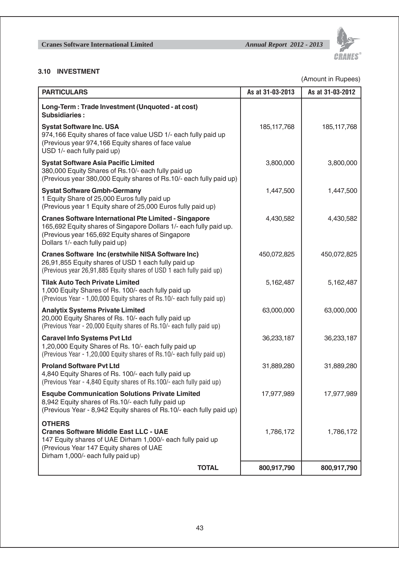

### **3.10 INVESTMENT**

| (Amount in Rupees) |  |  |
|--------------------|--|--|
|--------------------|--|--|

| <b>PARTICULARS</b>                                                                                                                                                                                                         | As at 31-03-2013 | As at 31-03-2012 |
|----------------------------------------------------------------------------------------------------------------------------------------------------------------------------------------------------------------------------|------------------|------------------|
| Long-Term: Trade Investment (Unquoted - at cost)<br><b>Subsidiaries:</b>                                                                                                                                                   |                  |                  |
| <b>Systat Software Inc. USA</b><br>974,166 Equity shares of face value USD 1/- each fully paid up<br>(Previous year 974,166 Equity shares of face value<br>USD 1/- each fully paid up)                                     | 185, 117, 768    | 185, 117, 768    |
| <b>Systat Software Asia Pacific Limited</b><br>380,000 Equity Shares of Rs.10/- each fully paid up<br>(Previous year 380,000 Equity shares of Rs.10/- each fully paid up)                                                  | 3,800,000        | 3,800,000        |
| <b>Systat Software Gmbh-Germany</b><br>1 Equity Share of 25,000 Euros fully paid up<br>(Previous year 1 Equity share of 25,000 Euros fully paid up)                                                                        | 1,447,500        | 1,447,500        |
| <b>Cranes Software International Pte Limited - Singapore</b><br>165,692 Equity shares of Singapore Dollars 1/- each fully paid up.<br>(Previous year 165,692 Equity shares of Singapore<br>Dollars 1/- each fully paid up) | 4,430,582        | 4,430,582        |
| <b>Cranes Software Inc (erstwhile NISA Software Inc)</b><br>26,91,855 Equity shares of USD 1 each fully paid up<br>(Previous year 26,91,885 Equity shares of USD 1 each fully paid up)                                     | 450,072,825      | 450,072,825      |
| <b>Tilak Auto Tech Private Limited</b><br>1,000 Equity Shares of Rs. 100/- each fully paid up<br>(Previous Year - 1,00,000 Equity shares of Rs.10/- each fully paid up)                                                    | 5,162,487        | 5,162,487        |
| <b>Analytix Systems Private Limited</b><br>20,000 Equity Shares of Rs. 10/- each fully paid up<br>(Previous Year - 20,000 Equity shares of Rs.10/- each fully paid up)                                                     | 63,000,000       | 63,000,000       |
| <b>Caravel Info Systems Pvt Ltd</b><br>1,20,000 Equity Shares of Rs. 10/- each fully paid up<br>(Previous Year - 1,20,000 Equity shares of Rs.10/- each fully paid up)                                                     | 36,233,187       | 36,233,187       |
| <b>Proland Software Pvt Ltd</b><br>4,840 Equity Shares of Rs. 100/- each fully paid up<br>(Previous Year - 4,840 Equity shares of Rs.100/- each fully paid up)                                                             | 31,889,280       | 31,889,280       |
| <b>Esqube Communication Solutions Private Limited</b><br>8,942 Equity shares of Rs.10/- each fully paid up<br>(Previous Year - 8,942 Equity shares of Rs.10/- each fully paid up)                                          | 17,977,989       | 17,977,989       |
| <b>OTHERS</b><br><b>Cranes Software Middle East LLC - UAE</b><br>147 Equity shares of UAE Dirham 1,000/- each fully paid up<br>(Previous Year 147 Equity shares of UAE<br>Dirham 1,000/- each fully paid up)               | 1,786,172        | 1,786,172        |
| <b>TOTAL</b>                                                                                                                                                                                                               | 800,917,790      | 800,917,790      |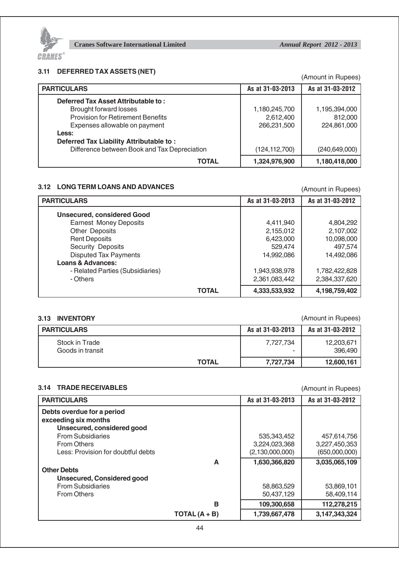

(Amount in Rupees)

#### **3.11 DEFERRED TAX ASSETS (NET)**

| <b>PARTICULARS</b>                           | As at 31-03-2013 | As at 31-03-2012 |
|----------------------------------------------|------------------|------------------|
| Deferred Tax Asset Attributable to:          |                  |                  |
| Brought forward losses                       | 1,180,245,700    | 1,195,394,000    |
| <b>Provision for Retirement Benefits</b>     | 2,612,400        | 812,000          |
| Expenses allowable on payment                | 266,231,500      | 224,861,000      |
| Less:                                        |                  |                  |
| Deferred Tax Liability Attributable to:      |                  |                  |
| Difference between Book and Tax Depreciation | (124, 112, 700)  | (240, 649, 000)  |
| TOTAL                                        | 1,324,976,900    | 1,180,418,000    |

#### **3.12 LONG TERM LOANS AND ADVANCES**

| <b>PARTICULARS</b>                | As at 31-03-2013 | As at 31-03-2012 |
|-----------------------------------|------------------|------------------|
| <b>Unsecured, considered Good</b> |                  |                  |
| <b>Earnest Money Deposits</b>     | 4,411,940        | 4,804,292        |
| <b>Other Deposits</b>             | 2,155,012        | 2,107,002        |
| <b>Rent Deposits</b>              | 6,423,000        | 10,098,000       |
| Security Deposits                 | 529,474          | 497,574          |
| <b>Disputed Tax Payments</b>      | 14.992.086       | 14,492,086       |
| <b>Loans &amp; Advances:</b>      |                  |                  |
| - Related Parties (Subsidiaries)  | 1,943,938,978    | 1,782,422,828    |
| - Others                          | 2,361,083,442    | 2,384,337,620    |
| <b>TOTAL</b>                      | 4,333,533,932    | 4,198,759,402    |

#### **3.13 INVENTORY**

Stock in Trade 7,727,734 | 12,203,671 | 2,203,671 | 2,203,671 | 2,203,671 | 2,203,671 | 2,203,671 | 2,203,671 | Goods in transit 396,490 **TOTAL** 7,727,734 12,600,161 **PARTICULARS As at 31-03-2013** As at 31-03-2012 (Amount in Rupees)

#### **3.14 TRADE RECEIVABLES**

| <b>PARTICULARS</b>                 |                | As at 31-03-2013   | As at 31-03-2012 |
|------------------------------------|----------------|--------------------|------------------|
| Debts overdue for a period         |                |                    |                  |
| exceeding six months               |                |                    |                  |
| Unsecured, considered good         |                |                    |                  |
| <b>From Subsidiaries</b>           |                | 535, 343, 452      | 457,614,756      |
| <b>From Others</b>                 |                | 3,224,023,368      | 3,227,450,353    |
| Less: Provision for doubtful debts |                | (2, 130, 000, 000) | (650,000,000)    |
|                                    | A              | 1,630,366,820      | 3,035,065,109    |
| <b>Other Debts</b>                 |                |                    |                  |
| <b>Unsecured, Considered good</b>  |                |                    |                  |
| <b>From Subsidiaries</b>           |                | 58,863,529         | 53,869,101       |
| <b>From Others</b>                 |                | 50,437,129         | 58,409,114       |
|                                    | B              | 109,300,658        | 112,278,215      |
|                                    | $TOTAL(A + B)$ | 1,739,667,478      | 3,147,343,324    |

(Amount in Rupees)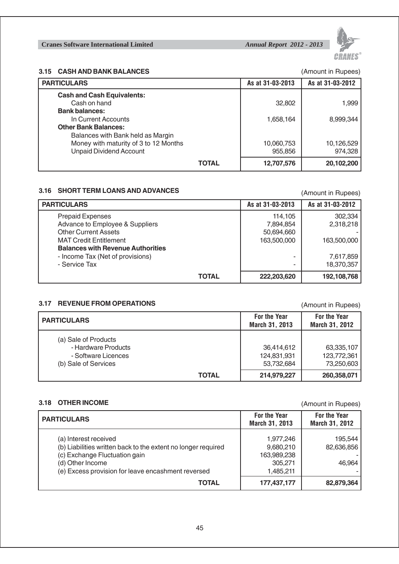

(Amount in Rupees)

#### **3.15 CASH AND BANK BALANCES**

| <b>PARTICULARS</b>                    | As at 31-03-2013 | As at 31-03-2012 |
|---------------------------------------|------------------|------------------|
| <b>Cash and Cash Equivalents:</b>     |                  |                  |
| Cash on hand                          | 32,802           | 1,999            |
| <b>Bank balances:</b>                 |                  |                  |
| In Current Accounts                   | 1,658,164        | 8,999,344        |
| <b>Other Bank Balances:</b>           |                  |                  |
| Balances with Bank held as Margin     |                  |                  |
| Money with maturity of 3 to 12 Months | 10,060,753       | 10,126,529       |
| <b>Unpaid Dividend Account</b>        | 955,856          | 974,328          |
| <b>TOTAL</b>                          | 12,707,576       | 20,102,200       |

#### **3.16 SHORT TERM LOANS AND ADVANCES**

| 3.16 SHORT TERM LOANS AND ADVANCES                                                                                                                                                                                          |              |                                                        | (Amount in Rupees)                                             |
|-----------------------------------------------------------------------------------------------------------------------------------------------------------------------------------------------------------------------------|--------------|--------------------------------------------------------|----------------------------------------------------------------|
| <b>PARTICULARS</b>                                                                                                                                                                                                          |              | As at 31-03-2013                                       | As at 31-03-2012                                               |
| <b>Prepaid Expenses</b><br>Advance to Employee & Suppliers<br><b>Other Current Assets</b><br><b>MAT Credit Entitlement</b><br><b>Balances with Revenue Authorities</b><br>- Income Tax (Net of provisions)<br>- Service Tax |              | 114,105<br>7,894,854<br>50,694,660<br>163,500,000<br>- | 302,334<br>2,318,218<br>163,500,000<br>7,617,859<br>18,370,357 |
|                                                                                                                                                                                                                             | <b>TOTAL</b> | 222,203,620                                            | 192,108,768                                                    |

#### **3.17 REVENUE FROM OPERATIONS**

| <b>PARTICULARS</b>                                                                         |              | <b>For the Year</b><br>March 31, 2013   | <b>For the Year</b><br>March 31, 2012   |
|--------------------------------------------------------------------------------------------|--------------|-----------------------------------------|-----------------------------------------|
| (a) Sale of Products<br>- Hardware Products<br>- Software Licences<br>(b) Sale of Services |              | 36,414,612<br>124,831,931<br>53,732,684 | 63,335,107<br>123,772,361<br>73,250,603 |
|                                                                                            | <b>TOTAL</b> | 214,979,227                             | 260,358,071                             |

#### **3.18 OTHER INCOME**

(Amount in Rupees)

| <b>PARTICULARS</b>                                                                                                                                                                                | For the Year<br>March 31, 2013                                | For the Year<br>March 31, 2012  |
|---------------------------------------------------------------------------------------------------------------------------------------------------------------------------------------------------|---------------------------------------------------------------|---------------------------------|
| (a) Interest received<br>(b) Liabilities written back to the extent no longer required<br>(c) Exchange Fluctuation gain<br>(d) Other Income<br>(e) Excess provision for leave encashment reversed | 1,977,246<br>9,680,210<br>163,989,238<br>305,271<br>1,485,211 | 195,544<br>82,636,856<br>46,964 |
| <b>TOTAL</b>                                                                                                                                                                                      | 177,437,177                                                   | 82,879,364                      |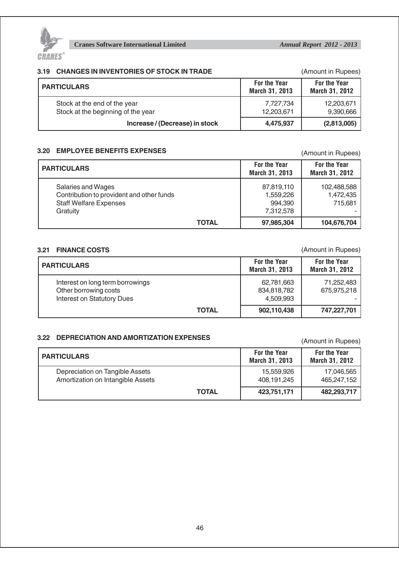

#### **3.19 CHANGES IN INVENTORIES OF STOCK IN TRADE**

(Amount in Rupees)

(Amount in Rupees)

| <b>PARTICULARS</b>                                                 | <b>For the Year</b><br>March 31, 2013 | <b>For the Year</b><br>March 31, 2012 |
|--------------------------------------------------------------------|---------------------------------------|---------------------------------------|
| Stock at the end of the year<br>Stock at the beginning of the year | 7.727.734<br>12,203,671               | 12,203,671<br>9,390,666               |
| Increase / (Decrease) in stock                                     | 4,475,937                             | (2,813,005)                           |

#### **3.20 EMPLOYEE BENEFITS EXPENSES**

| <b>PARTICULARS</b>                                                                                           | For the Year<br>March 31, 2013                  | For the Year<br>March 31, 2012      |
|--------------------------------------------------------------------------------------------------------------|-------------------------------------------------|-------------------------------------|
| Salaries and Wages<br>Contribution to provident and other funds<br><b>Staff Welfare Expenses</b><br>Gratuity | 87,819,110<br>1,559,226<br>994,390<br>7,312,578 | 102,488,588<br>1,472,435<br>715,681 |
| <b>TOTAL</b>                                                                                                 | 97,985,304                                      | 104,676,704                         |

#### **3.21 FINANCE COSTS**

Interest on long term borrowings<br>
Other borrowing costs  $62,781,663$   $62,781,663$   $63,818,782$   $675,975,218$ Other borrowing costs 834,818,782<br>
Interest on Statutory Dues 834,818,782<br>
A,509,993 Interest on Statutory Dues TOTAL 902,110,438 747,227,701 **PARTICULARS For the Year** For the Year For the Year For the Year For the Year For the Year For the Year For the Year For the Year For the Year For the Year For the Year For the Year For the Year For the Year For the Yea **March 31, 2012** 

#### **3.22 DEPRECIATION AND AMORTIZATION EXPENSES**

(Amount in Rupees)

| <b>PARTICULARS</b>                                                   |              | <b>For the Year</b><br>March 31, 2013 | <b>For the Year</b><br>March 31, 2012 |
|----------------------------------------------------------------------|--------------|---------------------------------------|---------------------------------------|
| Depreciation on Tangible Assets<br>Amortization on Intangible Assets |              | 15,559,926<br>408, 191, 245           | 17,046,565<br>465,247,152             |
|                                                                      | <b>TOTAL</b> | 423,751,171                           | 482,293,717                           |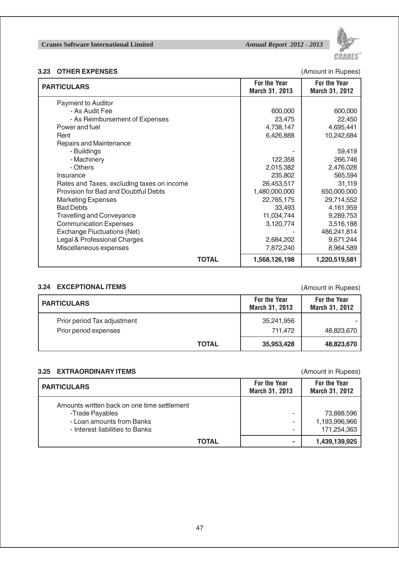**Cranes Software International Limited** *Annual Report 2012 - 2013*



(Amount in Rupees)

#### **3.23 OTHER EXPENSES**

| <b>PARTICULARS</b>                         | <b>For the Year</b><br>March 31, 2013 | <b>For the Year</b><br>March 31, 2012 |
|--------------------------------------------|---------------------------------------|---------------------------------------|
| Payment to Auditor                         |                                       |                                       |
| - As Audit Fee                             | 600,000                               | 600,000                               |
| - As Reimbursement of Expenses             | 23,475                                | 22,450                                |
| Power and fuel                             | 4,738,147                             | 4,695,441                             |
| Rent                                       | 6,426,888                             | 10,242,684                            |
| Repairs and Maintenance                    |                                       |                                       |
| - Buildings                                |                                       | 59,419                                |
| - Machinery                                | 122,358                               | 266,746                               |
| - Others                                   | 2,015,382                             | 2,476,028                             |
| Insurance                                  | 235,802                               | 565,594                               |
| Rates and Taxes, excluding taxes on income | 26,453,517                            | 31,119                                |
| Provision for Bad and Doubtful Debts       | 1,480,000,000                         | 650,000,000                           |
| <b>Marketing Expenses</b>                  | 22,765,175                            | 29,714,552                            |
| <b>Bad Debts</b>                           | 33,493                                | 4,161,959                             |
| <b>Travelling and Conveyance</b>           | 11,034,744                            | 9,289,753                             |
| <b>Communication Expenses</b>              | 3,120,774                             | 3,516,188                             |
| <b>Exchange Fluctuations (Net)</b>         |                                       | 486,241,814                           |
| Legal & Professional Charges               | 2,684,202                             | 9,671,244                             |
| Miscellaneous expenses                     | 7,872,240                             | 8,964,589                             |
| <b>TOTAL</b>                               | 1,568,126,198                         | 1,220,519,581                         |

#### **3.24 EXCEPTIONAL ITEMS**

| 3.24<br><b>EXCEPTIONAL ITEMS</b> |              |                                       | (Amount in Rupees)                    |
|----------------------------------|--------------|---------------------------------------|---------------------------------------|
| <b>PARTICULARS</b>               |              | <b>For the Year</b><br>March 31, 2013 | <b>For the Year</b><br>March 31, 2012 |
| Prior period Tax adjustment      |              | 35,241,956                            |                                       |
| Prior period expenses            |              | 711.472                               | 48.823.670                            |
|                                  | <b>TOTAL</b> | 35,953,428                            | 48,823,670                            |

#### **3.25 EXTRAORDINARY ITEMS**

| <b>PARTICULARS</b>                                                                                                             |              | <b>For the Year</b><br>March 31, 2013 | <b>For the Year</b><br>March 31, 2012      |
|--------------------------------------------------------------------------------------------------------------------------------|--------------|---------------------------------------|--------------------------------------------|
| Amounts written back on one time settlement<br>-Trade Payables<br>- Loan amounts from Banks<br>- Interest liabilities to Banks |              |                                       | 73,888,596<br>1,193,996,966<br>171,254,363 |
|                                                                                                                                | <b>TOTAL</b> |                                       | 1,439,139,925                              |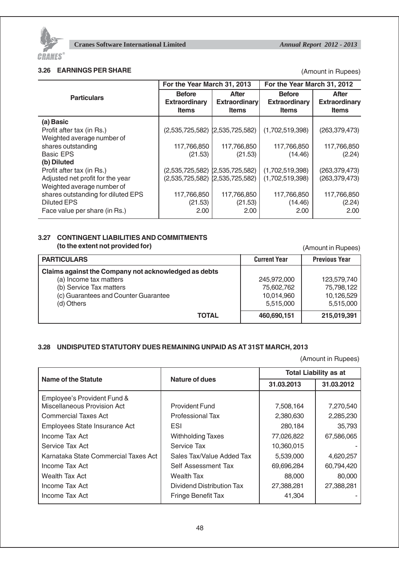

#### **3.26 EARNINGS PER SHARE**

(Amount in Rupees)

|                                                                | For the Year March 31, 2013                           |                                        | For the Year March 31, 2012                           |                                               |
|----------------------------------------------------------------|-------------------------------------------------------|----------------------------------------|-------------------------------------------------------|-----------------------------------------------|
| <b>Particulars</b>                                             | <b>Before</b><br><b>Extraordinary</b><br><b>Items</b> | After<br>Extraordinary<br><b>Items</b> | <b>Before</b><br><b>Extraordinary</b><br><b>Items</b> | After<br><b>Extraordinary</b><br><b>Items</b> |
| (a) Basic                                                      |                                                       |                                        |                                                       |                                               |
| Profit after tax (in Rs.)<br>Weighted average number of        | $(2,535,725,582)$ $(2,535,725,582)$                   |                                        | (1,702,519,398)                                       | (263, 379, 473)                               |
| shares outstanding                                             | 117,766,850                                           | 117,766,850                            | 117,766,850                                           | 117,766,850                                   |
| <b>Basic EPS</b>                                               | (21.53)                                               | (21.53)                                | (14.46)                                               | (2.24)                                        |
| (b) Diluted                                                    |                                                       |                                        |                                                       |                                               |
| Profit after tax (in Rs.)                                      | $(2,535,725,582)$ $(2,535,725,582)$                   |                                        | (1,702,519,398)                                       | (263, 379, 473)                               |
| Adjusted net profit for the year<br>Weighted average number of | $(2,535,725,582)$ $(2,535,725,582)$                   |                                        | (1,702,519,398)                                       | (263, 379, 473)                               |
| shares outstanding for diluted EPS                             | 117,766,850                                           | 117,766,850                            | 117,766,850                                           | 117,766,850                                   |
| <b>Diluted EPS</b>                                             | (21.53)                                               | (21.53)                                | (14.46)                                               | (2.24)                                        |
| Face value per share (in Rs.)                                  | 2.00                                                  | 2.00                                   | 2.00                                                  | 2.00                                          |

#### **3.27 CONTINGENT LIABILITIES AND COMMITMENTS (to the extent not provided for)**

(Amount in Rupees)

| <b>PARTICULARS</b>                                   | <b>Current Year</b> | <b>Previous Year</b> |
|------------------------------------------------------|---------------------|----------------------|
| Claims against the Company not acknowledged as debts |                     |                      |
| (a) Income tax matters                               | 245,972,000         | 123,579,740          |
| (b) Service Tax matters                              | 75,602,762          | 75,798,122           |
| (c) Guarantees and Counter Guarantee                 | 10,014,960          | 10,126,529           |
| (d) Others                                           | 5,515,000           | 5,515,000            |
| <b>TOTAL</b>                                         | 460,690,151         | 215,019,391          |

#### **3.28 UNDISPUTED STATUTORY DUES REMAINING UNPAID AS AT 31ST MARCH, 2013**

|                                      |                           | <b>Total Liability as at</b> |            |  |
|--------------------------------------|---------------------------|------------------------------|------------|--|
| Name of the Statute                  | Nature of dues            | 31.03.2013                   | 31.03.2012 |  |
| Employee's Provident Fund &          |                           |                              |            |  |
| <b>Miscellaneous Provision Act</b>   | Provident Fund            | 7,508,164                    | 7,270,540  |  |
| <b>Commercial Taxes Act</b>          | Professional Tax          | 2,380,630                    | 2,285,230  |  |
| Employees State Insurance Act        | ESI                       | 280.184                      | 35,793     |  |
| Income Tax Act                       | <b>Withholding Taxes</b>  | 77,026,822                   | 67,586,065 |  |
| Service Tax Act                      | Service Tax               | 10,360,015                   |            |  |
| Karnataka State Commercial Taxes Act | Sales Tax/Value Added Tax | 5,539,000                    | 4,620,257  |  |
| Income Tax Act                       | Self Assessment Tax       | 69,696,284                   | 60,794,420 |  |
| Wealth Tax Act                       | Wealth Tax                | 88,000                       | 80,000     |  |
| Income Tax Act                       | Dividend Distribution Tax | 27,388,281                   | 27,388,281 |  |
| Income Tax Act                       | <b>Fringe Benefit Tax</b> | 41,304                       |            |  |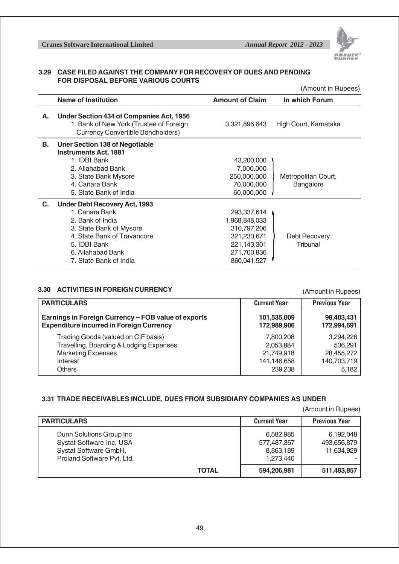

#### **3.29 CASE FILED AGAINST THE COMPANY FOR RECOVERY OF DUES AND PENDING FOR DISPOSAL BEFORE VARIOUS COURTS**

|    |                                                                                                                                                                                                     |                                                                                                         | (Amount in Rupees)               |
|----|-----------------------------------------------------------------------------------------------------------------------------------------------------------------------------------------------------|---------------------------------------------------------------------------------------------------------|----------------------------------|
|    | <b>Name of Institution</b>                                                                                                                                                                          | <b>Amount of Claim</b>                                                                                  | In which Forum                   |
| Α. | Under Section 434 of Companies Act, 1956<br>1. Bank of New York (Trustee of Foreign<br><b>Currency Convertible Bondholders)</b>                                                                     | 3,321,896,643                                                                                           | High Court, Karnataka            |
| В. | <b>Uner Section 138 of Negotiable</b><br><b>Instruments Act, 1881</b><br>1. IDBI Bank<br>2. Allahabad Bank<br>3. State Bank Mysore<br>4. Canara Bank<br>5. State Bank of India                      | 43,200,000<br>7,000,000<br>250,000,000<br>70,000,000<br>60,000,000                                      | Metropolitan Court,<br>Bangalore |
| C. | <b>Under Debt Recovery Act, 1993</b><br>1. Canara Bank<br>2. Bank of India<br>3. State Bank of Mysore<br>4. State Bank of Travancore<br>5. IDBI Bank<br>6. Allahabad Bank<br>7. State Bank of India | 293,337,614<br>1,968,848,033<br>310,797,206<br>321,230,671<br>221,143,301<br>271,700,836<br>860,041,527 | Debt Recovery<br>Tribunal        |

#### **3.30 ACTIVITIES IN FOREIGN CURRENCY**

(Amount in Rupees)

| <b>PARTICULARS</b>                                  | <b>Current Year</b> | <b>Previous Year</b> |
|-----------------------------------------------------|---------------------|----------------------|
| Earnings in Foreign Currency - FOB value of exports | 101,535,009         | 98,403,431           |
| <b>Expenditure incurred in Foreign Currency</b>     | 172,989,906         | 172,994,691          |
| Trading Goods (valued on CIF basis)                 | 7,800,208           | 3,294,226            |
| Travelling, Boarding & Lodging Expenses             | 2,053,884           | 536,291              |
| <b>Marketing Expenses</b>                           | 21,749,918          | 28,455,272           |
| Interest                                            | 141,146,658         | 140,703,719          |
| <b>Others</b>                                       | 239,238             | 5,182                |

#### **3.31 TRADE RECEIVABLES INCLUDE, DUES FROM SUBSIDIARY COMPANIES AS UNDER**

| <b>PARTICULARS</b>                                                                                          |              | <b>Current Year</b>                                | <b>Previous Year</b>                   |
|-------------------------------------------------------------------------------------------------------------|--------------|----------------------------------------------------|----------------------------------------|
| Dunn Solutions Group Inc<br>Systat Software Inc, USA<br>Systat Software GmbH,<br>Proland Software Pvt. Ltd. |              | 6,582,985<br>577,487,367<br>8,863,189<br>1,273,440 | 6,192,048<br>493,656,879<br>11,634,929 |
|                                                                                                             | <b>TOTAL</b> | 594,206,981                                        | 511,483,857                            |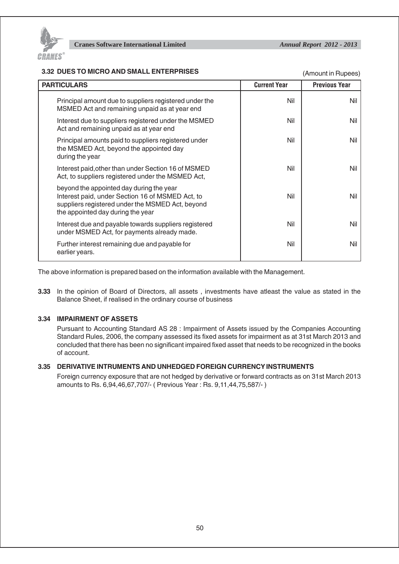

#### **3.32 DUES TO MICRO AND SMALL ENTERPRISES**

(Amount in Rupees)

| <b>PARTICULARS</b>                                                                                                                                                                    | <b>Current Year</b> | <b>Previous Year</b> |
|---------------------------------------------------------------------------------------------------------------------------------------------------------------------------------------|---------------------|----------------------|
| Principal amount due to suppliers registered under the<br>MSMED Act and remaining unpaid as at year end                                                                               | Nil                 | Nil                  |
| Interest due to suppliers registered under the MSMED<br>Act and remaining unpaid as at year end                                                                                       | Nil                 | Nil                  |
| Principal amounts paid to suppliers registered under<br>the MSMED Act, beyond the appointed day<br>during the year                                                                    | Nil                 | Nil                  |
| Interest paid, other than under Section 16 of MSMED<br>Act, to suppliers registered under the MSMED Act,                                                                              | Nil                 | Nil                  |
| beyond the appointed day during the year<br>Interest paid, under Section 16 of MSMED Act, to<br>suppliers registered under the MSMED Act, beyond<br>the appointed day during the year | Nil                 | Nil                  |
| Interest due and payable towards suppliers registered<br>under MSMED Act, for payments already made.                                                                                  | Nil                 | Nil                  |
| Further interest remaining due and payable for<br>earlier years.                                                                                                                      | Nil                 | Nil                  |

The above information is prepared based on the information available with the Management.

**3.33** In the opinion of Board of Directors, all assets , investments have atleast the value as stated in the Balance Sheet, if realised in the ordinary course of business

#### **3.34 IMPAIRMENT OF ASSETS**

Pursuant to Accounting Standard AS 28 : Impairment of Assets issued by the Companies Accounting Standard Rules, 2006, the company assessed its fixed assets for impairment as at 31st March 2013 and concluded that there has been no significant impaired fixed asset that needs to be recognized in the books of account.

#### **3.35 DERIVATIVE INTRUMENTS AND UNHEDGED FOREIGN CURRENCY INSTRUMENTS**

Foreign currency exposure that are not hedged by derivative or forward contracts as on 31st March 2013 amounts to Rs. 6,94,46,67,707/- ( Previous Year : Rs. 9,11,44,75,587/- )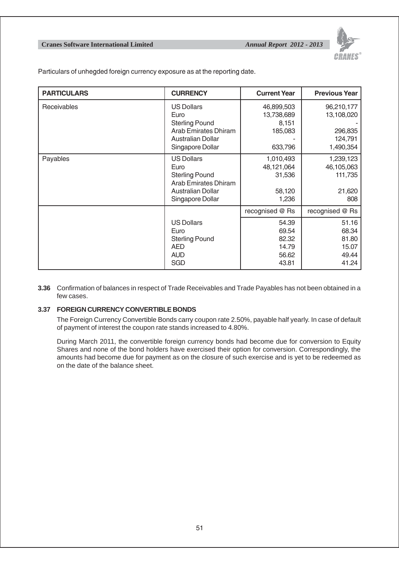

| <b>PARTICULARS</b> | <b>CURRENCY</b>                                                                                                                   | <b>Current Year</b>                                  | <b>Previous Year</b>                                |
|--------------------|-----------------------------------------------------------------------------------------------------------------------------------|------------------------------------------------------|-----------------------------------------------------|
| Receivables        | <b>US Dollars</b><br>Euro<br><b>Sterling Pound</b><br><b>Arab Emirates Dhiram</b>                                                 | 46,899,503<br>13,738,689<br>8,151<br>185,083         | 96,210,177<br>13,108,020<br>296,835                 |
|                    | <b>Australian Dollar</b><br>Singapore Dollar                                                                                      | 633,796                                              | 124,791<br>1,490,354                                |
| Payables           | <b>US Dollars</b><br>Euro<br><b>Sterling Pound</b><br><b>Arab Emirates Dhiram</b><br><b>Australian Dollar</b><br>Singapore Dollar | 1,010,493<br>48,121,064<br>31,536<br>58,120<br>1,236 | 1,239,123<br>46,105,063<br>111,735<br>21,620<br>808 |
|                    |                                                                                                                                   | recognised @ Rs                                      | recognised @ Rs                                     |
|                    | <b>US Dollars</b><br>Euro<br><b>Sterling Pound</b><br><b>AED</b><br><b>AUD</b><br><b>SGD</b>                                      | 54.39<br>69.54<br>82.32<br>14.79<br>56.62<br>43.81   | 51.16<br>68.34<br>81.80<br>15.07<br>49.44<br>41.24  |

Particulars of unhegded foreign currency exposure as at the reporting date.

**3.36** Confirmation of balances in respect of Trade Receivables and Trade Payables has not been obtained in a few cases.

#### **3.37 FOREIGN CURRENCY CONVERTIBLE BONDS**

The Foreign Currency Convertible Bonds carry coupon rate 2.50%, payable half yearly. In case of default of payment of interest the coupon rate stands increased to 4.80%.

During March 2011, the convertible foreign currency bonds had become due for conversion to Equity Shares and none of the bond holders have exercised their option for conversion. Correspondingly, the amounts had become due for payment as on the closure of such exercise and is yet to be redeemed as on the date of the balance sheet.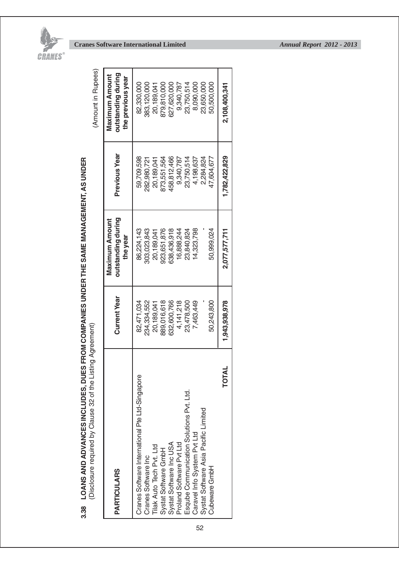

3.38

| (Disclosure required by Clause 32 of the Listing Agreement)<br><b>LOANS AND ADVANCES INCLUDES. DUES F</b><br>3.38 |                     | FROM COMPANIES UNDER THE SAME MANAGEMENT, AS UNDER |                      | (Amount in Rupees)                                        |
|-------------------------------------------------------------------------------------------------------------------|---------------------|----------------------------------------------------|----------------------|-----------------------------------------------------------|
| PARTICULARS                                                                                                       | <b>Current Year</b> | outstanding during<br>Maximum Amount<br>the year   | <b>Previous Year</b> | outstanding during<br>Maximum Amount<br>the previous year |
| Cranes Software International Pte Ltd-Singapore                                                                   | 82.471.034          | 86.224.143                                         | 59.709.598           | 82.330.000                                                |
| Cranes Software Inc                                                                                               | 234,334,552         | 303,023,843                                        | 282,980,721          | 383,120,000                                               |
| <b>Tilak Auto Tech Pvt. Ltd</b>                                                                                   | 20,189,041          | 20,189,041                                         | 20,189,041           | 20,189,041                                                |
| Systat Software GmbH                                                                                              | 889,016,618         | 923,651,876                                        | 873,551,564          | 879.810,000                                               |
| Systat Software Inc USA                                                                                           | 632,600,766         | 638,436,918                                        | 458.812.466          | 627,620,000                                               |
| Proland Software Pvt Ltd                                                                                          | 4,141,218           | 16,888,244                                         | 9,340,787            | 9,340,787                                                 |
| Esqube Communication Solutions Pvt. Ltd.                                                                          | 23,478,500          | 23,840,824                                         | 23,750,514           | 23,750,514                                                |
| Caravel Info System Pvt Ltd                                                                                       | 7,463,449           | 14,323,798                                         | 4,198,637            | 8,090,000                                                 |
| Systat Software Asia Pacific Limited                                                                              |                     |                                                    | 2,284,824            | 23,650,000                                                |
| Cubeware GmbH                                                                                                     | 50,243,800          | 50,999,024                                         | 47,604,677           | 50,500,000                                                |
| TOTAL                                                                                                             | 1,943,938,978       | 2,077,577,711                                      | 1,782,422,829        | 2,108,400,341                                             |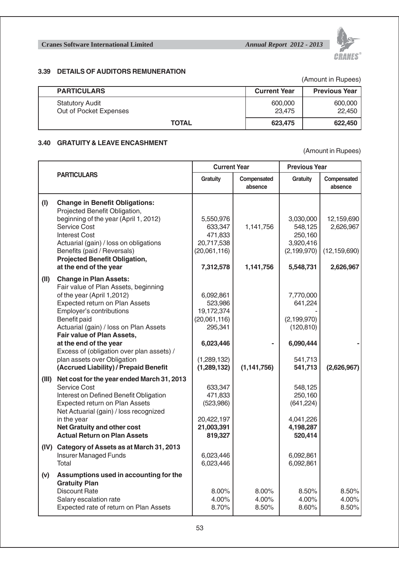

#### **3.39 DETAILS OF AUDITORS REMUNERATION**

|                                                  |                     | (Amount in Rupees)   |
|--------------------------------------------------|---------------------|----------------------|
| <b>PARTICULARS</b>                               | <b>Current Year</b> | <b>Previous Year</b> |
| <b>Statutory Audit</b><br>Out of Pocket Expenses | 600,000<br>23.475   | 600,000<br>22,450    |
| <b>TOTAL</b>                                     | 623,475             | 622,450              |

#### **3.40 GRATUITY & LEAVE ENCASHMENT**

|               |                                                                                                                                                                                                                                                                                                                                                                                                                 | <b>Current Year</b>                                                                                        |                         | <b>Previous Year</b>                                                                   |                                                        |
|---------------|-----------------------------------------------------------------------------------------------------------------------------------------------------------------------------------------------------------------------------------------------------------------------------------------------------------------------------------------------------------------------------------------------------------------|------------------------------------------------------------------------------------------------------------|-------------------------|----------------------------------------------------------------------------------------|--------------------------------------------------------|
|               | <b>PARTICULARS</b>                                                                                                                                                                                                                                                                                                                                                                                              | Gratuity                                                                                                   | Compensated<br>absence  | <b>Gratuity</b>                                                                        | Compensated<br>absence                                 |
| (1)           | <b>Change in Benefit Obligations:</b><br>Projected Benefit Obligation,<br>beginning of the year (April 1, 2012)<br><b>Service Cost</b><br><b>Interest Cost</b><br>Actuarial (gain) / loss on obligations<br>Benefits (paid / Reversals)<br><b>Projected Benefit Obligation,</b><br>at the end of the year                                                                                                       | 5,550,976<br>633,347<br>471,833<br>20,717,538<br>(20,061,116)<br>7,312,578                                 | 1,141,756<br>1,141,756  | 3,030,000<br>548,125<br>250,160<br>3,920,416<br>(2, 199, 970)<br>5,548,731             | 12,159,690<br>2,626,967<br>(12, 159, 690)<br>2,626,967 |
| (II)          | <b>Change in Plan Assets:</b><br>Fair value of Plan Assets, beginning<br>of the year (April 1,2012)<br>Expected return on Plan Assets<br>Employer's contributions<br>Benefit paid<br>Actuarial (gain) / loss on Plan Assets<br><b>Fair value of Plan Assets,</b><br>at the end of the year<br>Excess of (obligation over plan assets) /<br>plan assets over Obligation<br>(Accrued Liability) / Prepaid Benefit | 6,092,861<br>523,986<br>19,172,374<br>(20,061,116)<br>295,341<br>6,023,446<br>(1,289,132)<br>(1, 289, 132) | (1, 141, 756)           | 7,770,000<br>641,224<br>(2, 199, 970)<br>(120, 810)<br>6,090,444<br>541,713<br>541,713 | (2,626,967)                                            |
| (III)<br>(IV) | Net cost for the year ended March 31, 2013<br><b>Service Cost</b><br>Interest on Defined Benefit Obligation<br>Expected return on Plan Assets<br>Net Actuarial (gain) / loss recognized<br>in the year<br><b>Net Gratuity and other cost</b><br><b>Actual Return on Plan Assets</b><br>Category of Assets as at March 31, 2013                                                                                  | 633,347<br>471,833<br>(523,986)<br>20,422,197<br>21,003,391<br>819,327                                     |                         | 548,125<br>250,160<br>(641, 224)<br>4,041,226<br>4,198,287<br>520,414                  |                                                        |
| (v)           | <b>Insurer Managed Funds</b><br>Total<br>Assumptions used in accounting for the                                                                                                                                                                                                                                                                                                                                 | 6,023,446<br>6,023,446                                                                                     |                         | 6,092,861<br>6,092,861                                                                 |                                                        |
|               | <b>Gratuity Plan</b><br><b>Discount Rate</b><br>Salary escalation rate<br>Expected rate of return on Plan Assets                                                                                                                                                                                                                                                                                                | 8.00%<br>4.00%<br>8.70%                                                                                    | 8.00%<br>4.00%<br>8.50% | 8.50%<br>4.00%<br>8.60%                                                                | 8.50%<br>4.00%<br>8.50%                                |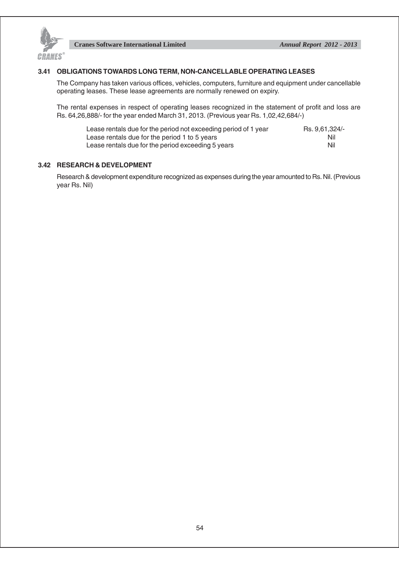

#### **3.41 OBLIGATIONS TOWARDS LONG TERM, NON-CANCELLABLE OPERATING LEASES**

The Company has taken various offices, vehicles, computers, furniture and equipment under cancellable operating leases. These lease agreements are normally renewed on expiry.

The rental expenses in respect of operating leases recognized in the statement of profit and loss are Rs. 64,26,888/- for the year ended March 31, 2013. (Previous year Rs. 1,02,42,684/-)

| Lease rentals due for the period not exceeding period of 1 year | Rs. 9.61.324/- |
|-----------------------------------------------------------------|----------------|
| Lease rentals due for the period 1 to 5 years                   | Nil            |
| Lease rentals due for the period exceeding 5 years              | Nil            |

#### **3.42 RESEARCH & DEVELOPMENT**

Research & development expenditure recognized as expenses during the year amounted to Rs. Nil. (Previous year Rs. Nil)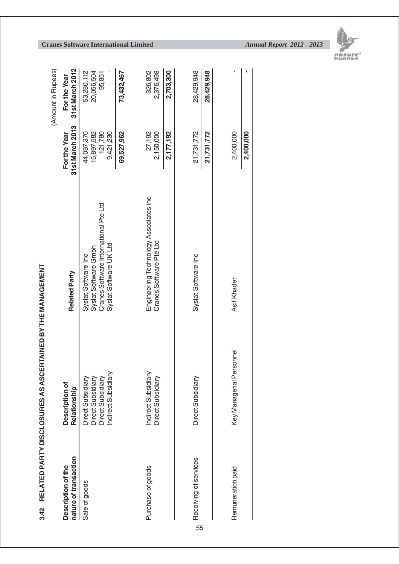|                                             |                                                             |                                                                                      |                                     | (Amount in Rupees)                 |
|---------------------------------------------|-------------------------------------------------------------|--------------------------------------------------------------------------------------|-------------------------------------|------------------------------------|
| nature of transaction<br>Description of the | Description of<br>Relationship                              | Related Party                                                                        | 31 st March 2013<br>For the Year    | 31st March 2012<br>For the Year    |
| Sale of goods                               | Direct Subsidiary<br>Direct Subsidiary<br>Direct Subsidiary | Cranes Software International Pte Ltd<br>Systat Software Gmbh<br>Systat Software Inc | 121,780<br>44,087,370<br>15,897,582 | 53,280,112<br>20,056,504<br>95,851 |
|                                             | Indirect Subsidiary                                         | Systat Software UK Ltd                                                               | 9,421,230<br>69,527,962             | 73,432,467                         |
| Purchase of goods                           | Indirect Subsidiary<br>Direct Subsidiary                    | Engineering Technology Associates Inc<br>Cranes Software Pte Ltd                     | 27,192<br>2,150,000                 | 2,376,498<br>326,802               |
|                                             |                                                             |                                                                                      | 2,177,192                           | 2,703,300                          |
| Receiving of services                       | Direct Subsidiary                                           | Systat Software Inc                                                                  | 21,731,772                          | 28,429,948                         |
|                                             |                                                             |                                                                                      | 21,731,772                          | 28,429,948                         |
| Remuneration paid                           | Key Managerial Personnel                                    | Asif Khader                                                                          | 2,400,000                           |                                    |
|                                             |                                                             |                                                                                      | 2,400,000                           |                                    |
|                                             |                                                             |                                                                                      |                                     |                                    |

3.42 RELATED PARTY DISCLOSURES AS ASCERTAINED BY THE MANAGEMENT **3.42 RELATED PARTY DISCLOSURES AS ASCERTAINED BY THE MANAGEMENT**

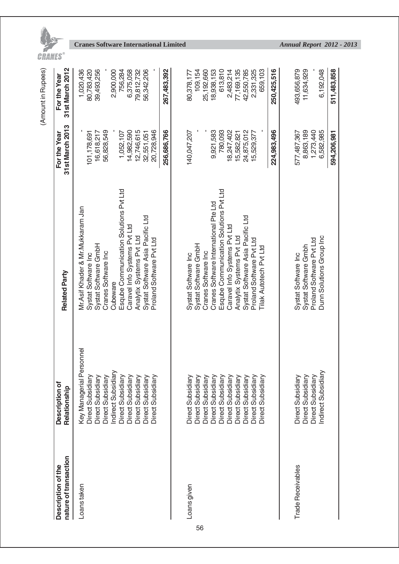|                                             |                                                                                                                                                                                                                              |                                                                                                                                                                                                                                                                                                             |                                                                                                                             | (Amount in Rupees)                                                                                                                           | <b>CHANES®</b>                        |
|---------------------------------------------|------------------------------------------------------------------------------------------------------------------------------------------------------------------------------------------------------------------------------|-------------------------------------------------------------------------------------------------------------------------------------------------------------------------------------------------------------------------------------------------------------------------------------------------------------|-----------------------------------------------------------------------------------------------------------------------------|----------------------------------------------------------------------------------------------------------------------------------------------|---------------------------------------|
| nature of transaction<br>Description of the | Description of<br>Relationship                                                                                                                                                                                               | <b>Related Party</b>                                                                                                                                                                                                                                                                                        | 31 st March 2013<br>For the Year                                                                                            | 31st March 2012<br>For the Year                                                                                                              |                                       |
| Loanstaken                                  | Key Managerial Personnel<br>Indirect Subsidiary<br>Direct Subsidiary<br>Direct Subsidiary<br>Direct Subsidiary<br>Direct Subsidiary<br>Direct Subsidiary<br>Direct Subsidiary<br>Direct Subsidiary<br>Direct Subsidiary      | Esqube Communication Solutions Pvt Ltd<br>Mr. Asif Khader & Mr. Mukkaram Jan<br>Systat Software Asia Pacific Ltd<br>Caravel Info Systems Pvt Ltd<br>Analytix Systems Pvt Ltd<br>Proland Software Pvt Ltd<br>Systat Software GmbH<br>Cranes Software Inc<br>Systat Software Inc<br>Cubeware                  | 256,686,766<br>56,828,549<br>14,982,590<br>12,746,615<br>20,728,946<br>1,052,107<br>101,178,691<br>16,618,217<br>32,551,051 | 267,483,392<br>1,020,436<br>80,783,420<br>39,493,256<br>2,900,000<br>756,284<br>6,375,058<br>79,812,732<br>56,342,206                        | Uranes Soitware International Limited |
| Loans given                                 | <b>Direct Subsidiary</b><br>Direct Subsidiary<br>Direct Subsidiary<br><b>Direct Subsidiary</b><br>Direct Subsidiary<br>Direct Subsidiary<br>Direct Subsidiary<br>Direct Subsidiary<br>Direct Subsidiary<br>Direct Subsidiary | Esqube Communication Solutions Pvt Ltd<br>Cranes Software International Pte Ltd<br>Systat Software Asia Pacific Ltd<br>Caravel Info Systems Pvt Ltd<br>Analytix Systems Pvt Ltd<br>Proland Software Pvt Ltd<br>Systat Software GmbH<br>Tilak Autotech Pvt Ltd<br>Cranes Software Inc<br>Systat Software Inc | 140,047,207<br>9,921,583<br>780,093<br>224,983,496<br>18,247,402<br>24,875,012<br>15,582,821<br>15,529,377                  | 109,154<br>659,103<br>250,425,516<br>25,192,660<br>613,810<br>77,169,135<br>42,550,785<br>2,331,325<br>18,938,153<br>2,483,214<br>80,378,177 |                                       |
| Trade Receivables                           | Indirect Subsidiary<br>Direct Subsidiary<br>Direct Subsidiary<br>Direct Subsidiary                                                                                                                                           | Dunn Solutions Group Inc<br>Proland Software Pvt Ltd<br>Systat Software Gmbh<br>Systat Software Inc                                                                                                                                                                                                         | 8,863,189<br>1,273,440<br>6,582,985<br>577,487,367<br>594,206,981                                                           | 493,656,879<br>11,634,929<br>6,192,048<br>511,483,858                                                                                        | Annual Keport<br><i><b>ZUIZ</b></i>   |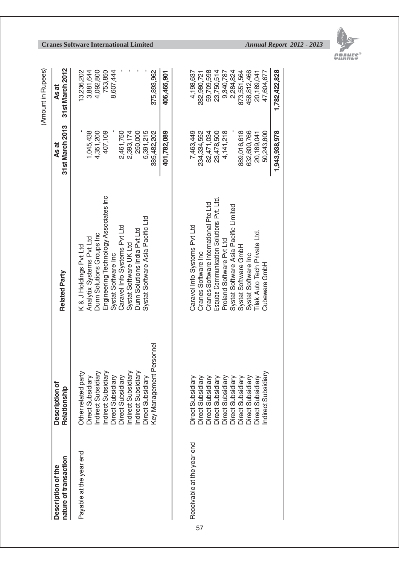|                                             |                                                                                                                                                                                                                                                                  |                                                                                                                                                                                                                                                                                                                     |                                                                                                                                              | (Amount in Rupees)                                                                                                                                        |
|---------------------------------------------|------------------------------------------------------------------------------------------------------------------------------------------------------------------------------------------------------------------------------------------------------------------|---------------------------------------------------------------------------------------------------------------------------------------------------------------------------------------------------------------------------------------------------------------------------------------------------------------------|----------------------------------------------------------------------------------------------------------------------------------------------|-----------------------------------------------------------------------------------------------------------------------------------------------------------|
| nature of transaction<br>Description of the | Description of<br>Relationship                                                                                                                                                                                                                                   | Related Party                                                                                                                                                                                                                                                                                                       | 31st March 2013<br>As at                                                                                                                     | 31 st March 2012<br>As at                                                                                                                                 |
| Payable at the year end                     | rsonnel<br>Key Management Pe<br>Indirect Subsidiary<br>Indirect Subsidiary<br>Other related party<br>ndirect Subsidiary<br>Indirect Subsidiary<br>Direct Subsidiary<br>Direct Subsidiary<br>Direct Subsidiary<br>Direct Subsidiary                               | Engineering Technology Associates Inc<br>Systat Software Asia Pacific Ltd<br>Caravel Info Systems Pvt Ltd<br>Dunn Solutions India Pvt Ltd<br>Dunn Solutions Groups Inc<br>Analytix Systems Pvt Ltd<br>Systat Software UK Ltd<br>K & J Holdings Pvt Ltd<br>Systat Software Inc                                       | 407,109<br>2,461,750<br>1,045,438<br>4,351,200<br>385,482,202<br>2,393,174<br>250,000<br>5,391,215<br>401,782,089                            | 375,893,962<br>13,236,202<br>3,881,644<br>4,092,800<br>753,850<br>8,607,444<br>406,465,901                                                                |
| Receivable at the year end                  | ndirect Subsidiary<br>Direct Subsidiary<br><b>Direct Subsidiary</b><br><b>Direct Subsidiary</b><br><b>Direct Subsidiary</b><br><b>Direct Subsidiary</b><br>Direct Subsidiary<br><b>Direct Subsidiary</b><br><b>Direct Subsidiary</b><br><b>Direct Subsidiary</b> | Esqube Communication Solutions Pvt. Ltd.<br>Cranes Software International Pte Ltd<br>Systat Software Asia Pacific Limited<br>Caravel Info Systems Pvt Ltd<br><b>Tilak Auto Tech Private Ltd.</b><br>Proland Software Pvt Ltd<br>Systat Software GmbH<br>Cranes Software Inc<br>Systat Software Inc<br>Cubeware GmbH | 7,463,449<br>234,334,552<br>4,141,218<br>889,016,618<br>632,600,766<br>82,471,034<br>23,478,500<br>50,243,800<br>1,943,938,978<br>20,189,041 | 458,812,466<br>1,782,422,828<br>59,709,598<br>873,551,564<br>23,750,514<br>2,284,824<br>9,340,787<br>47,604,677<br>4,198,637<br>282,980,721<br>20,189,041 |

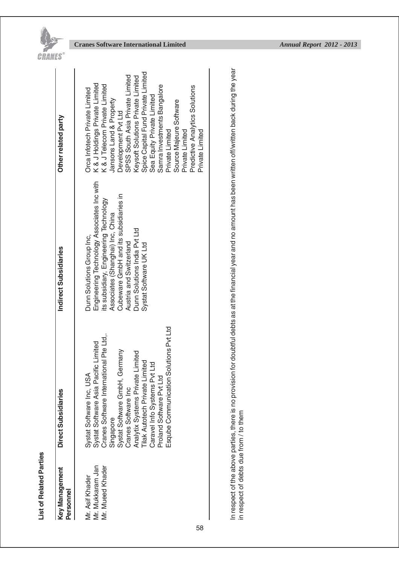**List of Related Parties List of Related Parties**

| <b>Key Management</b><br>Personnel                      | Direct Subsidiaries                                                                                                                                                                                                                                                                                                                                                 | Indirect Subsidiaries                                                                                                                                                                                                                                                               | Other related party                                                                                                                                                                                                                                                                                                                                                                                                                                 |
|---------------------------------------------------------|---------------------------------------------------------------------------------------------------------------------------------------------------------------------------------------------------------------------------------------------------------------------------------------------------------------------------------------------------------------------|-------------------------------------------------------------------------------------------------------------------------------------------------------------------------------------------------------------------------------------------------------------------------------------|-----------------------------------------------------------------------------------------------------------------------------------------------------------------------------------------------------------------------------------------------------------------------------------------------------------------------------------------------------------------------------------------------------------------------------------------------------|
| Mr. Mukkaram Jan<br>Mr. Mueed Khader<br>Mr. Asif Khader | Esqube Communication Solutions Pvt Ltd<br>Cranes Software International Pte Ltd,.<br>Systat Software Asia Pacific Limited<br>Systat Software GmbH, Germany<br>Analytix Systems Private Limited<br><b>Tilak Autotech Private Limited</b><br>Caravel Info Systems Pvt Ltd<br>Systat Software Inc, USA<br>Proland Software Pvt Ltd<br>Cranes Software Inc<br>Singapore | Engineering Technology Associates Inc with<br>Cubeware GmbH and its subsidiaries in<br>its subsidiary, Engineering Technology<br>Associates (Shanghai) Inc, China<br>Dunn Solutions India Pvt Ltd<br>Dunn Solutions Group Inc,<br>Austria and Switzerland<br>Systat Software UK Ltd | Spice Capital Fund Private Limited<br>SPSS South Asia Private Limited<br>Keysoft Solutions Private Limited<br>K & J Holdings Private Limited<br>K & J Telecom Private Limited<br>Samra Investments Bangalore<br>Predictive Analytics Solutions<br>Orca Infotech Private Limited<br>Sea Equity Private Limited<br>Jansons Land & Property<br>Source Majeure Software<br>Development Pvt Ltd<br>Private Limited<br>Private Limited<br>Private Limited |

In respect of the above parties, there is no provision for doubtful debts as at the financial year and no amount has been written off/written back during the year<br>in respect of debts due from / to them In respect of the above parties, there is no provision for doubtful debts as at the financial year and no amount has been written off/written back during the year in respect of debts due from / to them



CRANES®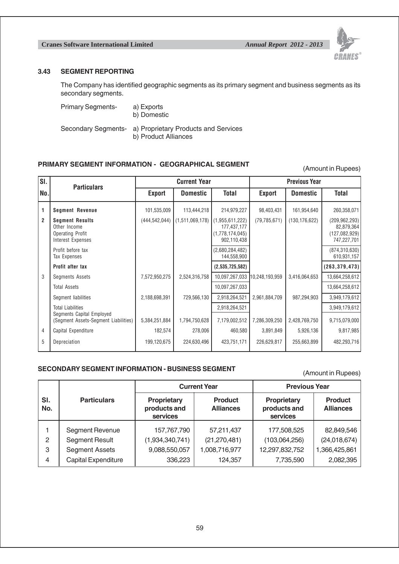

#### **3.43 SEGMENT REPORTING**

The Company has identified geographic segments as its primary segment and business segments as its secondary segments.

| <b>Primary Segments-</b> | a) Exports<br>b) Domestic                                                        |
|--------------------------|----------------------------------------------------------------------------------|
|                          | Secondary Segments- a) Proprietary Products and Services<br>b) Product Alliances |

#### **PRIMARY SEGMENT INFORMATION - GEOGRAPHICAL SEGMENT**

(Amount in Rupees)

| SI.            | <b>Particulars</b>                                                                     |                 | <b>Current Year</b> |                                                                  |                | <b>Previous Year</b> |                                                               |
|----------------|----------------------------------------------------------------------------------------|-----------------|---------------------|------------------------------------------------------------------|----------------|----------------------|---------------------------------------------------------------|
| No.            |                                                                                        | <b>Export</b>   | <b>Domestic</b>     | <b>Total</b>                                                     | <b>Export</b>  | <b>Domestic</b>      | Total                                                         |
| 1              | <b>Segment Revenue</b>                                                                 | 101,535,009     | 113,444,218         | 214,979,227                                                      | 98,403,431     | 161,954,640          | 260,358,071                                                   |
| $\overline{2}$ | <b>Segment Results</b><br>Other Income<br><b>Operating Profit</b><br>Interest Expenses | (444, 542, 044) | (1,511,069,178)     | (1,955,611,222)<br>177,437,177<br>(1,778,174,045)<br>902,110,438 | (79, 785, 671) | (130, 176, 622)      | (209, 962, 293)<br>82,879,364<br>(127,082,929)<br>747,227,701 |
|                | Profit before tax<br>Tax Expenses                                                      |                 |                     | (2,680,284,482)<br>144,558,900                                   |                |                      | (874, 310, 630)<br>610,931,157                                |
|                | Profit after tax                                                                       |                 |                     | (2,535,725,582)                                                  |                |                      | (263, 379, 473)                                               |
| 3              | Segments Assets                                                                        | 7,572,950,275   | 2,524,316,758       | 10,097,267,033 10,248,193,959                                    |                | 3,416,064,653        | 13,664,258,612                                                |
|                | <b>Total Assets</b>                                                                    |                 |                     | 10,097,267,033                                                   |                |                      | 13,664,258,612                                                |
|                | Segment liabilities                                                                    | 2,188,698,391   | 729,566,130         | 2,918,264,521                                                    | 2,961,884,709  | 987,294,903          | 3,949,179,612                                                 |
|                | <b>Total Liabilities</b>                                                               |                 |                     | 2,918,264,521                                                    |                |                      | 3,949,179,612                                                 |
|                | Segments Capital Employed<br>(Segment Assets-Segment Liabilities)                      | 5,384,251,884   | 1,794,750,628       | 7,179,002,512                                                    | 7,286,309,250  | 2,428,769,750        | 9,715,079,000                                                 |
| 4              | Capital Expenditure                                                                    | 182,574         | 278,006             | 460,580                                                          | 3,891,849      | 5,926,136            | 9,817,985                                                     |
| 5              | Depreciation                                                                           | 199,120,675     | 224,630,496         | 423,751,171                                                      | 226,629,817    | 255,663,899          | 482,293,716                                                   |

#### **SECONDARY SEGMENT INFORMATION - BUSINESS SEGMENT**

|            |                        |                                         | <b>Current Year</b>                | <b>Previous Year</b>                    |                                    |
|------------|------------------------|-----------------------------------------|------------------------------------|-----------------------------------------|------------------------------------|
| SI.<br>No. | <b>Particulars</b>     | Proprietary<br>products and<br>services | <b>Product</b><br><b>Alliances</b> | Proprietary<br>products and<br>services | <b>Product</b><br><b>Alliances</b> |
|            | <b>Segment Revenue</b> | 157,767,790                             | 57,211,437                         | 177,508,525                             | 82,849,546                         |
| 2          | <b>Segment Result</b>  | (1,934,340,741)                         | (21, 270, 481)                     | (103,064,256)                           | (24,018,674)                       |
| 3          | <b>Segment Assets</b>  | 9,088,550,057                           | 1,008,716,977                      | 12,297,832,752                          | 1,366,425,861                      |
| 4          | Capital Expenditure    | 336,223                                 | 124,357                            | 7,735,590                               | 2,082,395                          |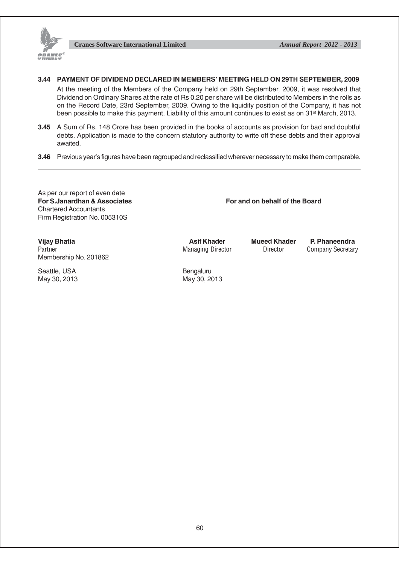

- **3.44 PAYMENT OF DIVIDEND DECLARED IN MEMBERS' MEETING HELD ON 29TH SEPTEMBER, 2009** At the meeting of the Members of the Company held on 29th September, 2009, it was resolved that Dividend on Ordinary Shares at the rate of Rs 0.20 per share will be distributed to Members in the rolls as on the Record Date, 23rd September, 2009. Owing to the liquidity position of the Company, it has not been possible to make this payment. Liability of this amount continues to exist as on 31st March, 2013.
- **3.45** A Sum of Rs. 148 Crore has been provided in the books of accounts as provision for bad and doubtful debts. Application is made to the concern statutory authority to write off these debts and their approval awaited.
- **3.46** Previous year's figures have been regrouped and reclassified wherever necessary to make them comparable.

As per our report of even date **For S.Janardhan & Associates For and on behalf of the Board** Chartered Accountants Firm Registration No. 005310S

**Vijay Bhatia Asif Khader Mueed Khader P. Phaneendra** Partner Managing Director Director Company Secretary Membership No. 201862

Seattle, USA Bengaluru May 30, 2013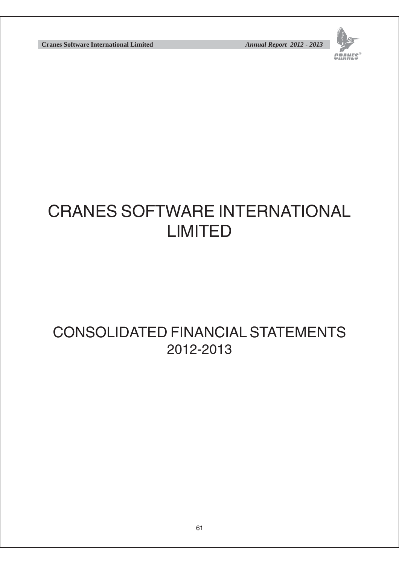

# CRANES SOFTWARE INTERNATIONAL LIMITED

# CONSOLIDATED FINANCIAL STATEMENTS 2012-2013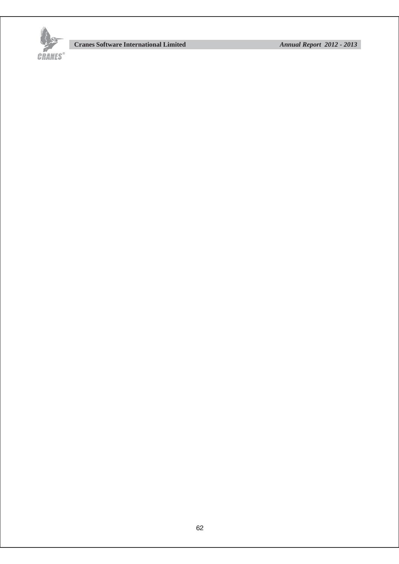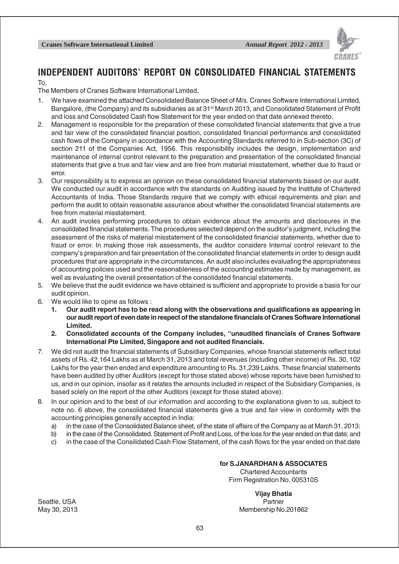

# **INDEPENDENT AUDITORS' REPORT ON CONSOLIDATED FINANCIAL STATEMENTS**

#### To,

The Members of Cranes Software International Limited,

- 1. We have examined the attached Consolidated Balance Sheet of M/s. Cranes Software International Limited, Bangalore, (the Company) and its subsidiaries as at 31st March 2013, and Consolidated Statement of Profit and loss and Consolidated Cash flow Statement for the year ended on that date annexed thereto.
- 2. Management is responsible for the preparation of these consolidated financial statements that give a true and fair view of the consolidated financial position, consolidated financial performance and consolidated cash flows of the Company in accordance with the Accounting Standards referred to in Sub-section (3C) of section 211 of the Companies Act, 1956. This responsibility includes the design, implementation and maintenance of internal control relevant to the preparation and presentation of the consolidated financial statements that give a true and fair view and are free from material misstatement, whether due to fraud or error.
- 3. Our responsibility is to express an opinion on these consolidated financial statements based on our audit. We conducted our audit in accordance with the standards on Auditing issued by the Institute of Chartered Accountants of India. Those Standards require that we comply with ethical requirements and plan and perform the audit to obtain reasonable assurance about whether the consolidated financial statements are free from material misstatement.
- 4. An audit involes performing procedures to obtain evidence about the amounts and disclosures in the consolidated financial statements. The procedures selected depend on the auditor's judgment, including the assessment of the risks of material misstatement of the consolidated financial statements, whether due to fraud or error. In making those risk assessments, the auditor considers Internal control relevant to the company's preparation and fair presentation of the consolidated financial statements in order to design audit procedures that are appropriate in the circumstances. An audit also includes evaluating the appropriateness of accounting policies used and the reasonableness of the accounting estimates made by management, as well as evaluating the overall presentation of the consolidated financial statements.
- 5. We believe that the audit evidence we have obtained is sufficient and appropriate to provide a basis for our audit opinion.
- 6. We would like to opine as follows :
	- **1. Our audit report has to be read along with the observations and qualifications as appearing in our audit report of even date in respect of the standalone financials of Cranes Software International Limited.**
	- **2. Consolidated accounts of the Company includes, "unaudited financials of Cranes Software International Pte Limited, Singapore and not audited financials.**
- 7. We did not audit the financial statements of Subsidiary Companies, whose financial statements reflect total assets of Rs. 42,164 Lakhs as at March 31, 2013 and total revenues (including other income) of Rs. 30, 102 Lakhs for the year then ended and expenditure amounting to Rs. 31,239 Lakhs. These financial statements have been audited by other Auditors (except for those stated above) whose reports have been furnished to us, and in our opinion, insofar as it relates the amounts included in respect of the Subsidiary Companies, is based solely on the report of the other Auditors (except for those stated above).
- 8. In our opinion and to the best of our information and according to the explanations given to us, subject to note no. 6 above, the consolidated financial statements give a true and fair view in conformity with the accounting principles generally accepted in India:
	- a) in the case of the Consolidated Balance sheet, of the state of affairs of the Company as at March 31, 2013:
	- b) in the case of the Consolidated. Statement of Profit and Loss, of the loss for the year ended on that date; and
	- c) in the case of the Consilidated Cash Flow Statement, of the cash flows for the year ended on that date

# **for S.JANARDHAN & ASSOCIATES**

Chartered Accountants Firm Registration No. 005310S

**Vijay Bhatia**

Membership No.201862

Seattle, USA<br>May 30, 2013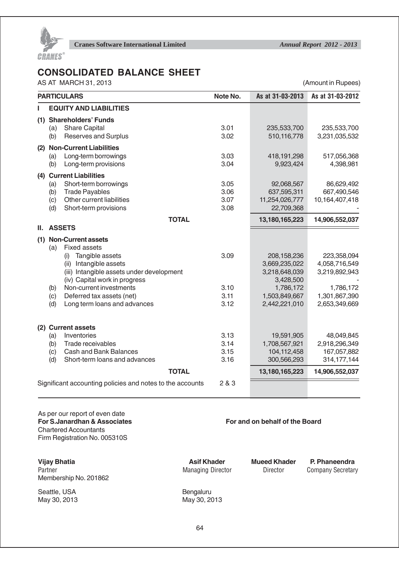

# **CONSOLIDATED BALANCE SHEET**

AS AT MARCH 31, 2013 (Amount in Rupees)

|     | <b>PARTICULARS</b>                                                                                                                                                                                                                                                                                     | Note No.                     | As at 31-03-2013                                                                                          | As at 31-03-2012                                                                             |
|-----|--------------------------------------------------------------------------------------------------------------------------------------------------------------------------------------------------------------------------------------------------------------------------------------------------------|------------------------------|-----------------------------------------------------------------------------------------------------------|----------------------------------------------------------------------------------------------|
|     | <b>EQUITY AND LIABILITIES</b>                                                                                                                                                                                                                                                                          |                              |                                                                                                           |                                                                                              |
|     | (1) Shareholders' Funds<br><b>Share Capital</b><br>(a)<br><b>Reserves and Surplus</b><br>(b)                                                                                                                                                                                                           | 3.01<br>3.02                 | 235,533,700<br>510,116,778                                                                                | 235,533,700<br>3,231,035,532                                                                 |
| (2) | <b>Non-Current Liabilities</b><br>Long-term borrowings<br>(a)<br>Long-term provisions<br>(b)                                                                                                                                                                                                           | 3.03<br>3.04                 | 418, 191, 298<br>9,923,424                                                                                | 517,056,368<br>4,398,981                                                                     |
| (4) | <b>Current Liabilities</b><br>Short-term borrowings<br>(a)<br><b>Trade Payables</b><br>(b)<br>Other current liabilities<br>(c)<br>(d)<br>Short-term provisions                                                                                                                                         | 3.05<br>3.06<br>3.07<br>3.08 | 92,068,567<br>637,595,311<br>11,254,026,777<br>22,709,368                                                 | 86,629,492<br>667,490,546<br>10,164,407,418                                                  |
| Ш.  | <b>TOTAL</b><br><b>ASSETS</b>                                                                                                                                                                                                                                                                          |                              | 13,180,165,223                                                                                            | 14,906,552,037                                                                               |
| (1) | <b>Non-Current assets</b><br><b>Fixed assets</b><br>(a)<br>Tangible assets<br>(i)<br>(ii) Intangible assets<br>(iii) Intangible assets under development<br>(iv) Capital work in progress<br>Non-current investments<br>(b)<br>(c)<br>Deferred tax assets (net)<br>(d)<br>Long term loans and advances | 3.09<br>3.10<br>3.11<br>3.12 | 208,158,236<br>3,669,235,022<br>3,218,648,039<br>3,428,500<br>1,786,172<br>1,503,849,667<br>2,442,221,010 | 223,358,094<br>4,058,716,549<br>3,219,892,943<br>1,786,172<br>1,301,867,390<br>2,653,349,669 |
|     | (2) Current assets<br>Inventories<br>(a)<br>Trade receivables<br>(b)<br><b>Cash and Bank Balances</b><br>(c)<br>(d)<br>Short-term loans and advances<br><b>TOTAL</b>                                                                                                                                   | 3.13<br>3.14<br>3.15<br>3.16 | 19,591,905<br>1,708,567,921<br>104,112,458<br>300,566,293<br>13,180,165,223                               | 48,049,845<br>2,918,296,349<br>167,057,882<br>314, 177, 144<br>14,906,552,037                |
|     | Significant accounting policies and notes to the accounts                                                                                                                                                                                                                                              | 2 & 3                        |                                                                                                           |                                                                                              |

As per our report of even date **For S.Janardhan & Associates For and on behalf of the Board** Chartered Accountants Firm Registration No. 005310S

**Vijay Bhatia Asif Khader Mueed Khader P. Phaneendra**<br> **Asif Khader Mueed Khader P. Phaneendra**<br>
Managing Director Director Company Secretary Membership No. 201862

Seattle, USA<br>
May 30, 2013<br>
May 30, 2013<br>
May 30, 2013 May 30, 2013

Managing Director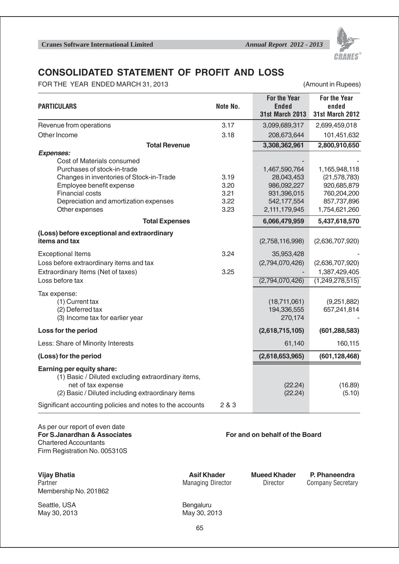

# **CONSOLIDATED STATEMENT OF PROFIT AND LOSS**

FOR THE YEAR ENDED MARCH 31, 2013 (Amount in Rupees)

| <b>PARTICULARS</b>                                                                                                                                                                                                        | Note No.                     | <b>For the Year</b><br><b>Ended</b><br><b>31st March 2013</b>              | <b>For the Year</b><br>ended<br><b>31st March 2012</b>                       |
|---------------------------------------------------------------------------------------------------------------------------------------------------------------------------------------------------------------------------|------------------------------|----------------------------------------------------------------------------|------------------------------------------------------------------------------|
| Revenue from operations                                                                                                                                                                                                   | 3.17                         | 3,099,689,317                                                              | 2,699,459,018                                                                |
| Other Income                                                                                                                                                                                                              | 3.18                         | 208,673,644                                                                | 101,451,632                                                                  |
| <b>Total Revenue</b>                                                                                                                                                                                                      |                              | 3,308,362,961                                                              | 2,800,910,650                                                                |
| <b>Expenses:</b><br>Cost of Materials consumed<br>Purchases of stock-in-trade<br>Changes in inventories of Stock-in-Trade<br>Employee benefit expense<br><b>Financial costs</b><br>Depreciation and amortization expenses | 3.19<br>3.20<br>3.21<br>3.22 | 1,467,590,764<br>28,043,453<br>986,092,227<br>931,396,015<br>542, 177, 554 | 1,165,948,118<br>(21, 578, 783)<br>920,685,879<br>760,204,200<br>857,737,896 |
| Other expenses                                                                                                                                                                                                            | 3.23                         | 2,111,179,945                                                              | 1,754,621,260                                                                |
| <b>Total Expenses</b>                                                                                                                                                                                                     |                              | 6,066,479,959                                                              | 5,437,618,570                                                                |
| (Loss) before exceptional and extraordinary<br>items and tax                                                                                                                                                              |                              | (2,758,116,998)                                                            | (2,636,707,920)                                                              |
| <b>Exceptional Items</b><br>Loss before extraordinary items and tax<br>Extraordinary Items (Net of taxes)<br>Loss before tax                                                                                              | 3.24<br>3.25                 | 35,953,428<br>(2,794,070,426)<br>(2,794,070,426)                           | (2,636,707,920)<br>1,387,429,405<br>(1,249,278,515)                          |
| Tax expense:<br>(1) Current tax<br>(2) Deferred tax<br>(3) Income tax for earlier year                                                                                                                                    |                              | (18,711,061)<br>194,336,555<br>270,174                                     | (9,251,882)<br>657,241,814                                                   |
| Loss for the period                                                                                                                                                                                                       |                              | (2,618,715,105)                                                            | (601, 288, 583)                                                              |
| Less: Share of Minority Interests                                                                                                                                                                                         |                              | 61,140                                                                     | 160,115                                                                      |
| (Loss) for the period                                                                                                                                                                                                     |                              | (2,618,653,965)                                                            | (601, 128, 468)                                                              |
| Earning per equity share:<br>(1) Basic / Diluted excluding extraordinary items,<br>net of tax expense<br>(2) Basic / Diluted including extraordinary items<br>Significant accounting policies and notes to the accounts   | 2 & 3                        | (22.24)<br>(22.24)                                                         | (16.89)<br>(5.10)                                                            |
|                                                                                                                                                                                                                           |                              |                                                                            |                                                                              |

As per our report of even date<br>For S.Janardhan & Associates Chartered Accountants Firm Registration No. 005310S

#### **For and on behalf of the Board**

**Vijay Bhatia Asif Khader Mueed Khader P. Phaneendra**<br> **Asif Khader Mueed Khader P. Phaneendra**<br>
Managing Director Director Company Secretary Membership No. 201862

Seattle, USA<br>
May 30, 2013<br>
May 30, 2013<br>
May 30, 2013 May 30, 2013

**Managing Director**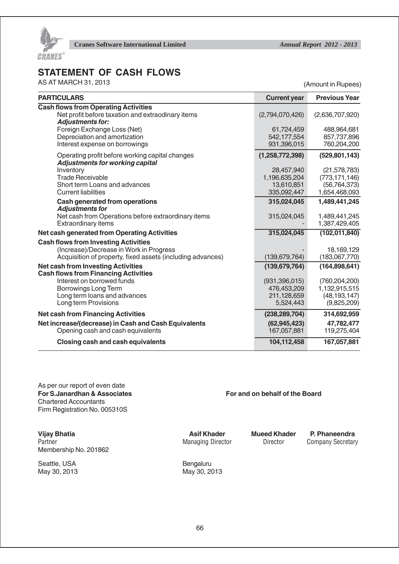

(Amount in Rupees)

# **STATEMENT OF CASH FLOWS**<br>AS AT MARCH 31, 2013

| <b>PARTICULARS</b>                                                                                                                                   | <b>Current year</b>                                        | <b>Previous Year</b>                                              |
|------------------------------------------------------------------------------------------------------------------------------------------------------|------------------------------------------------------------|-------------------------------------------------------------------|
| <b>Cash flows from Operating Activities</b><br>Net profit before taxation and extraodinary items<br><b>Adjustments for:</b>                          | (2,794,070,426)                                            | (2,636,707,920)                                                   |
| Foreign Exchange Loss (Net)<br>Depreciation and amortization<br>Interest expense on borrowings                                                       | 61,724,459<br>542,177,554<br>931,396,015                   | 488,964,681<br>857,737,896<br>760,204,200                         |
| Operating profit before working capital changes<br><b>Adjustments for working capital</b>                                                            | (1,258,772,398)                                            | (529, 801, 143)                                                   |
| Inventory<br><b>Trade Receivable</b><br>Short term Loans and advances                                                                                | 28,457,940<br>1,196,635,204<br>13,610,851                  | (21, 578, 783)<br>(773, 171, 146)<br>(56, 764, 373)               |
| <b>Current liabilities</b><br>Cash generated from operations<br><b>Adjustments for</b>                                                               | 335,092,447<br>315,024,045                                 | 1,654,468,093<br>1,489,441,245                                    |
| Net cash from Operations before extraordinary items<br><b>Extraordinary items</b>                                                                    | 315,024,045                                                | 1,489,441,245<br>1,387,429,405                                    |
| <b>Net cash generated from Operating Activities</b>                                                                                                  | 315,024,045                                                | (102, 011, 840)                                                   |
| <b>Cash flows from Investing Activities</b><br>(Increase)/Decrease in Work in Progress<br>Acquisition of property, fixed assets (including advances) | (139, 679, 764)                                            | 18,169,129<br>(183,067,770)                                       |
| <b>Net cash from Investing Activities</b><br><b>Cash flows from Financing Activities</b>                                                             | (139, 679, 764)                                            | (164, 898, 641)                                                   |
| Interest on borrowed funds<br><b>Borrowings Long Term</b><br>Long term loans and advances<br>Long term Provisions                                    | (931, 396, 015)<br>476,453,209<br>211,128,659<br>5,524,443 | (760, 204, 200)<br>1,132,915,515<br>(48, 193, 147)<br>(9,825,209) |
| <b>Net cash from Financing Activities</b>                                                                                                            | (238, 289, 704)                                            | 314,692,959                                                       |
| Net increase/(decrease) in Cash and Cash Equivalents<br>Opening cash and cash equivalents                                                            | (62, 945, 423)<br>167,057,881                              | 47,782,477<br>119,275,404                                         |
| <b>Closing cash and cash equivalents</b>                                                                                                             | 104,112,458                                                | 167,057,881                                                       |

As per our report of even date<br>For S.Janardhan & Associates Chartered Accountants Firm Registration No. 005310S

#### **For and on behalf of the Board**

Membership No. 201862

Seattle, USA Bengaluru<br>
May 30, 2013 May 30, 2013 May 30, 2013

Managing Director

**Vijay Bhatia Asif Khader Mueed Khader P. Phaneendra**<br> **Asif Khader Mueed Khader P. Phaneendra**<br>
Managing Director Director Company Secretary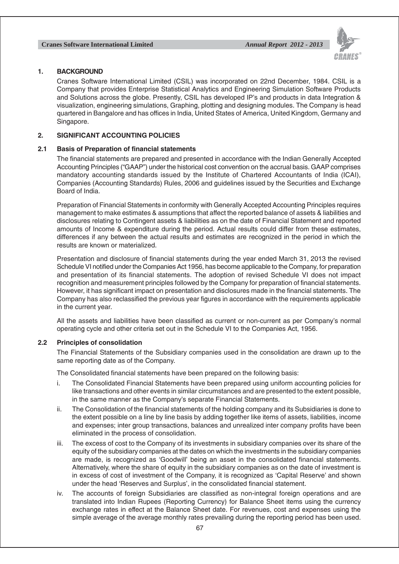

#### **1. BACKGROUND**

Cranes Software International Limited (CSIL) was incorporated on 22nd December, 1984. CSIL is a Company that provides Enterprise Statistical Analytics and Engineering Simulation Software Products and Solutions across the globe. Presently, CSIL has developed IP's and products in data Integration & visualization, engineering simulations, Graphing, plotting and designing modules. The Company is head quartered in Bangalore and has offices in India, United States of America, United Kingdom, Germany and Singapore.

#### **2. SIGNIFICANT ACCOUNTING POLICIES**

#### **2.1 Basis of Preparation of financial statements**

The financial statements are prepared and presented in accordance with the Indian Generally Accepted Accounting Principles ("GAAP") under the historical cost convention on the accrual basis. GAAP comprises mandatory accounting standards issued by the Institute of Chartered Accountants of India (ICAI), Companies (Accounting Standards) Rules, 2006 and guidelines issued by the Securities and Exchange Board of India.

Preparation of Financial Statements in conformity with Generally Accepted Accounting Principles requires management to make estimates & assumptions that affect the reported balance of assets & liabilities and disclosures relating to Contingent assets & liabilities as on the date of Financial Statement and reported amounts of Income & expenditure during the period. Actual results could differ from these estimates, differences if any between the actual results and estimates are recognized in the period in which the results are known or materialized.

Presentation and disclosure of financial statements during the year ended March 31, 2013 the revised Schedule VI notified under the Companies Act 1956, has become applicable to the Company, for preparation and presentation of its financial statements. The adoption of revised Schedule VI does not impact recognition and measurement principles followed by the Company for preparation of financial statements. However, it has significant impact on presentation and disclosures made in the financial statements. The Company has also reclassified the previous year figures in accordance with the requirements applicable in the current year.

All the assets and liabilities have been classified as current or non-current as per Company's normal operating cycle and other criteria set out in the Schedule VI to the Companies Act, 1956.

#### **2.2 Principles of consolidation**

The Financial Statements of the Subsidiary companies used in the consolidation are drawn up to the same reporting date as of the Company.

The Consolidated financial statements have been prepared on the following basis:

- i. The Consolidated Financial Statements have been prepared using uniform accounting policies for like transactions and other events in similar circumstances and are presented to the extent possible, in the same manner as the Company's separate Financial Statements.
- ii. The Consolidation of the financial statements of the holding company and its Subsidiaries is done to the extent possible on a line by line basis by adding together like items of assets, liabilities, income and expenses; inter group transactions, balances and unrealized inter company profits have been eliminated in the process of consolidation.
- iii. The excess of cost to the Company of its investments in subsidiary companies over its share of the equity of the subsidiary companies at the dates on which the investments in the subsidiary companies are made, is recognized as 'Goodwill' being an asset in the consolidated financial statements. Alternatively, where the share of equity in the subsidiary companies as on the date of investment is in excess of cost of investment of the Company, it is recognized as 'Capital Reserve' and shown under the head 'Reserves and Surplus', in the consolidated financial statement.
- iv. The accounts of foreign Subsidiaries are classified as non-integral foreign operations and are translated into Indian Rupees (Reporting Currency) for Balance Sheet items using the currency exchange rates in effect at the Balance Sheet date. For revenues, cost and expenses using the simple average of the average monthly rates prevailing during the reporting period has been used.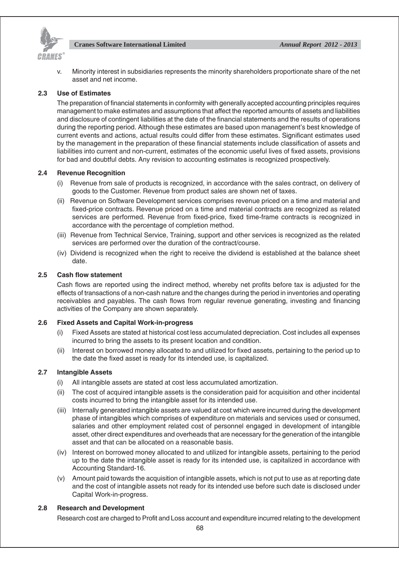

v. Minority interest in subsidiaries represents the minority shareholders proportionate share of the net asset and net income.

#### **2.3 Use of Estimates**

The preparation of financial statements in conformity with generally accepted accounting principles requires management to make estimates and assumptions that affect the reported amounts of assets and liabilities and disclosure of contingent liabilities at the date of the financial statements and the results of operations during the reporting period. Although these estimates are based upon management's best knowledge of current events and actions, actual results could differ from these estimates. Significant estimates used by the management in the preparation of these financial statements include classification of assets and liabilities into current and non-current, estimates of the economic useful lives of fixed assets, provisions for bad and doubtful debts. Any revision to accounting estimates is recognized prospectively.

#### **2.4 Revenue Recognition**

- (i) Revenue from sale of products is recognized, in accordance with the sales contract, on delivery of goods to the Customer. Revenue from product sales are shown net of taxes.
- (ii) Revenue on Software Development services comprises revenue priced on a time and material and fixed-price contracts. Revenue priced on a time and material contracts are recognized as related services are performed. Revenue from fixed-price, fixed time-frame contracts is recognized in accordance with the percentage of completion method.
- (iii) Revenue from Technical Service, Training, support and other services is recognized as the related services are performed over the duration of the contract/course.
- (iv) Dividend is recognized when the right to receive the dividend is established at the balance sheet date.

#### **2.5 Cash flow statement**

Cash flows are reported using the indirect method, whereby net profits before tax is adjusted for the effects of transactions of a non-cash nature and the changes during the period in inventories and operating receivables and payables. The cash flows from regular revenue generating, investing and financing activities of the Company are shown separately.

#### **2.6 Fixed Assets and Capital Work-in-progress**

- Fixed Assets are stated at historical cost less accumulated depreciation. Cost includes all expenses incurred to bring the assets to its present location and condition.
- (ii) Interest on borrowed money allocated to and utilized for fixed assets, pertaining to the period up to the date the fixed asset is ready for its intended use, is capitalized.

#### **2.7 Intangible Assets**

- (i) All intangible assets are stated at cost less accumulated amortization.
- (ii) The cost of acquired intangible assets is the consideration paid for acquisition and other incidental costs incurred to bring the intangible asset for its intended use.
- (iii) Internally generated intangible assets are valued at cost which were incurred during the development phase of intangibles which comprises of expenditure on materials and services used or consumed, salaries and other employment related cost of personnel engaged in development of intangible asset, other direct expenditures and overheads that are necessary for the generation of the intangible asset and that can be allocated on a reasonable basis.
- (iv) Interest on borrowed money allocated to and utilized for intangible assets, pertaining to the period up to the date the intangible asset is ready for its intended use, is capitalized in accordance with Accounting Standard-16.
- (v) Amount paid towards the acquisition of intangible assets, which is not put to use as at reporting date and the cost of intangible assets not ready for its intended use before such date is disclosed under Capital Work-in-progress.

#### **2.8 Research and Development**

Research cost are charged to Profit and Loss account and expenditure incurred relating to the development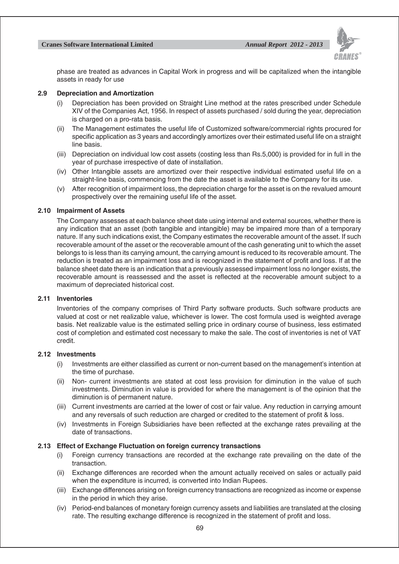

phase are treated as advances in Capital Work in progress and will be capitalized when the intangible assets in ready for use

#### **2.9 Depreciation and Amortization**

- Depreciation has been provided on Straight Line method at the rates prescribed under Schedule XIV of the Companies Act, 1956. In respect of assets purchased / sold during the year, depreciation is charged on a pro-rata basis.
- (ii) The Management estimates the useful life of Customized software/commercial rights procured for specific application as 3 years and accordingly amortizes over their estimated useful life on a straight line basis.
- (iii) Depreciation on individual low cost assets (costing less than Rs.5,000) is provided for in full in the year of purchase irrespective of date of installation.
- (iv) Other Intangible assets are amortized over their respective individual estimated useful life on a straight-line basis, commencing from the date the asset is available to the Company for its use.
- (v) After recognition of impairment loss, the depreciation charge for the asset is on the revalued amount prospectively over the remaining useful life of the asset.

#### **2.10 Impairment of Assets**

The Company assesses at each balance sheet date using internal and external sources, whether there is any indication that an asset (both tangible and intangible) may be impaired more than of a temporary nature. If any such indications exist, the Company estimates the recoverable amount of the asset. If such recoverable amount of the asset or the recoverable amount of the cash generating unit to which the asset belongs to is less than its carrying amount, the carrying amount is reduced to its recoverable amount. The reduction is treated as an impairment loss and is recognized in the statement of profit and loss. If at the balance sheet date there is an indication that a previously assessed impairment loss no longer exists, the recoverable amount is reassessed and the asset is reflected at the recoverable amount subject to a maximum of depreciated historical cost.

#### **2.11 Inventories**

Inventories of the company comprises of Third Party software products. Such software products are valued at cost or net realizable value, whichever is lower. The cost formula used is weighted average basis. Net realizable value is the estimated selling price in ordinary course of business, less estimated cost of completion and estimated cost necessary to make the sale. The cost of inventories is net of VAT credit.

#### **2.12 Investments**

- (i) Investments are either classified as current or non-current based on the management's intention at the time of purchase.
- (ii) Non- current investments are stated at cost less provision for diminution in the value of such investments. Diminution in value is provided for where the management is of the opinion that the diminution is of permanent nature.
- (iii) Current investments are carried at the lower of cost or fair value. Any reduction in carrying amount and any reversals of such reduction are charged or credited to the statement of profit & loss.
- (iv) Investments in Foreign Subsidiaries have been reflected at the exchange rates prevailing at the date of transactions.

#### **2.13 Effect of Exchange Fluctuation on foreign currency transactions**

- (i) Foreign currency transactions are recorded at the exchange rate prevailing on the date of the transaction.
- (ii) Exchange differences are recorded when the amount actually received on sales or actually paid when the expenditure is incurred, is converted into Indian Rupees.
- (iii) Exchange differences arising on foreign currency transactions are recognized as income or expense in the period in which they arise.
- (iv) Period-end balances of monetary foreign currency assets and liabilities are translated at the closing rate. The resulting exchange difference is recognized in the statement of profit and loss.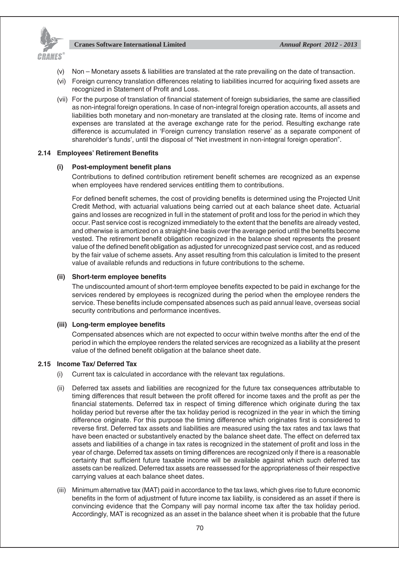

- (v) Non Monetary assets & liabilities are translated at the rate prevailing on the date of transaction.
- (vi) Foreign currency translation differences relating to liabilities incurred for acquiring fixed assets are recognized in Statement of Profit and Loss.
- (vii) For the purpose of translation of financial statement of foreign subsidiaries, the same are classified as non-integral foreign operations. In case of non-integral foreign operation accounts, all assets and liabilities both monetary and non-monetary are translated at the closing rate. Items of income and expenses are translated at the average exchange rate for the period. Resulting exchange rate difference is accumulated in 'Foreign currency translation reserve' as a separate component of shareholder's funds', until the disposal of "Net investment in non-integral foreign operation".

#### **2.14 Employees' Retirement Benefits**

#### **(i) Post-employment benefit plans**

Contributions to defined contribution retirement benefit schemes are recognized as an expense when employees have rendered services entitling them to contributions.

For defined benefit schemes, the cost of providing benefits is determined using the Projected Unit Credit Method, with actuarial valuations being carried out at each balance sheet date. Actuarial gains and losses are recognized in full in the statement of profit and loss for the period in which they occur. Past service cost is recognized immediately to the extent that the benefits are already vested, and otherwise is amortized on a straight-line basis over the average period until the benefits become vested. The retirement benefit obligation recognized in the balance sheet represents the present value of the defined benefit obligation as adjusted for unrecognized past service cost, and as reduced by the fair value of scheme assets. Any asset resulting from this calculation is limited to the present value of available refunds and reductions in future contributions to the scheme.

#### **(ii) Short-term employee benefits**

The undiscounted amount of short-term employee benefits expected to be paid in exchange for the services rendered by employees is recognized during the period when the employee renders the service. These benefits include compensated absences such as paid annual leave, overseas social security contributions and performance incentives.

#### **(iii) Long-term employee benefits**

Compensated absences which are not expected to occur within twelve months after the end of the period in which the employee renders the related services are recognized as a liability at the present value of the defined benefit obligation at the balance sheet date.

#### **2.15 Income Tax/ Deferred Tax**

- (i) Current tax is calculated in accordance with the relevant tax regulations.
- (ii) Deferred tax assets and liabilities are recognized for the future tax consequences attributable to timing differences that result between the profit offered for income taxes and the profit as per the financial statements. Deferred tax in respect of timing difference which originate during the tax holiday period but reverse after the tax holiday period is recognized in the year in which the timing difference originate. For this purpose the timing difference which originates first is considered to reverse first. Deferred tax assets and liabilities are measured using the tax rates and tax laws that have been enacted or substantively enacted by the balance sheet date. The effect on deferred tax assets and liabilities of a change in tax rates is recognized in the statement of profit and loss in the year of charge. Deferred tax assets on timing differences are recognized only if there is a reasonable certainty that sufficient future taxable income will be available against which such deferred tax assets can be realized. Deferred tax assets are reassessed for the appropriateness of their respective carrying values at each balance sheet dates.
- (iii) Minimum alternative tax (MAT) paid in accordance to the tax laws, which gives rise to future economic benefits in the form of adjustment of future income tax liability, is considered as an asset if there is convincing evidence that the Company will pay normal income tax after the tax holiday period. Accordingly, MAT is recognized as an asset in the balance sheet when it is probable that the future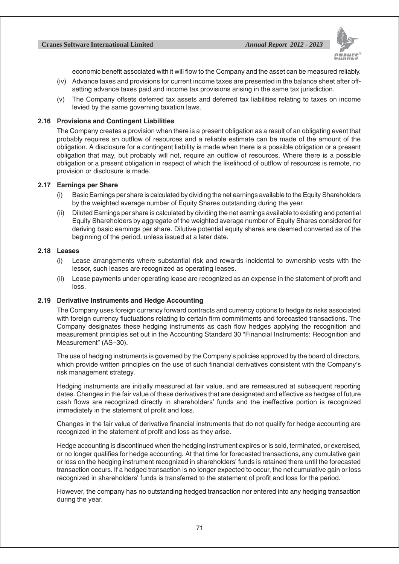

economic benefit associated with it will flow to the Company and the asset can be measured reliably.

- (iv) Advance taxes and provisions for current income taxes are presented in the balance sheet after offsetting advance taxes paid and income tax provisions arising in the same tax jurisdiction.
- (v) The Company offsets deferred tax assets and deferred tax liabilities relating to taxes on income levied by the same governing taxation laws.

#### **2.16 Provisions and Contingent Liabilities**

The Company creates a provision when there is a present obligation as a result of an obligating event that probably requires an outflow of resources and a reliable estimate can be made of the amount of the obligation. A disclosure for a contingent liability is made when there is a possible obligation or a present obligation that may, but probably will not, require an outflow of resources. Where there is a possible obligation or a present obligation in respect of which the likelihood of outflow of resources is remote, no provision or disclosure is made.

#### **2.17 Earnings per Share**

- Basic Earnings per share is calculated by dividing the net earnings available to the Equity Shareholders by the weighted average number of Equity Shares outstanding during the year.
- (ii) Diluted Earnings per share is calculated by dividing the net earnings available to existing and potential Equity Shareholders by aggregate of the weighted average number of Equity Shares considered for deriving basic earnings per share. Dilutive potential equity shares are deemed converted as of the beginning of the period, unless issued at a later date.

#### **2.18 Leases**

- (i) Lease arrangements where substantial risk and rewards incidental to ownership vests with the lessor, such leases are recognized as operating leases.
- (ii) Lease payments under operating lease are recognized as an expense in the statement of profit and loss.

#### **2.19 Derivative Instruments and Hedge Accounting**

The Company uses foreign currency forward contracts and currency options to hedge its risks associated with foreign currency fluctuations relating to certain firm commitments and forecasted transactions. The Company designates these hedging instruments as cash flow hedges applying the recognition and measurement principles set out in the Accounting Standard 30 "Financial Instruments: Recognition and Measurement" (AS–30).

The use of hedging instruments is governed by the Company's policies approved by the board of directors, which provide written principles on the use of such financial derivatives consistent with the Company's risk management strategy.

Hedging instruments are initially measured at fair value, and are remeasured at subsequent reporting dates. Changes in the fair value of these derivatives that are designated and effective as hedges of future cash flows are recognized directly in shareholders' funds and the ineffective portion is recognized immediately in the statement of profit and loss.

Changes in the fair value of derivative financial instruments that do not qualify for hedge accounting are recognized in the statement of profit and loss as they arise.

Hedge accounting is discontinued when the hedging instrument expires or is sold, terminated, or exercised, or no longer qualifies for hedge accounting. At that time for forecasted transactions, any cumulative gain or loss on the hedging instrument recognized in shareholders' funds is retained there until the forecasted transaction occurs. If a hedged transaction is no longer expected to occur, the net cumulative gain or loss recognized in shareholders' funds is transferred to the statement of profit and loss for the period.

However, the company has no outstanding hedged transaction nor entered into any hedging transaction during the year.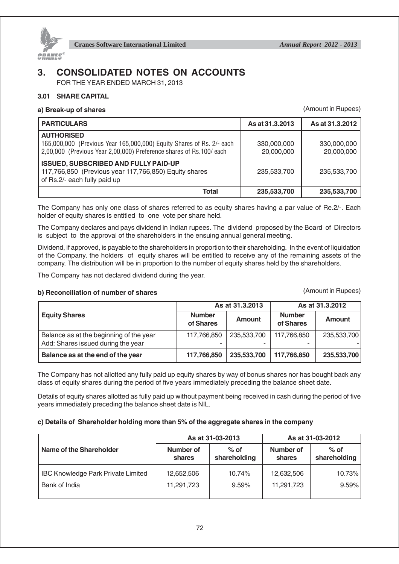

# **3. CONSOLIDATED NOTES ON ACCOUNTS**

FOR THE YEAR ENDED MARCH 31, 2013

#### **3.01 SHARE CAPITAL**

#### **a) Break-up of shares**

(Amount in Rupees)

| <b>PARTICULARS</b>                                                                                                                                               | As at 31.3.2013           | As at 31.3.2012           |
|------------------------------------------------------------------------------------------------------------------------------------------------------------------|---------------------------|---------------------------|
| <b>AUTHORISED</b><br>165,000,000 (Previous Year 165,000,000) Equity Shares of Rs. 2/- each<br>2,00,000 (Previous Year 2,00,000) Preference shares of Rs.100/each | 330,000,000<br>20,000,000 | 330,000,000<br>20,000,000 |
| <b>ISSUED, SUBSCRIBED AND FULLY PAID-UP</b><br>117,766,850 (Previous year 117,766,850) Equity shares<br>of Rs.2/- each fully paid up                             | 235,533,700               | 235.533.700               |
| Total                                                                                                                                                            | 235,533,700               | 235,533,700               |

The Company has only one class of shares referred to as equity shares having a par value of Re.2/-. Each holder of equity shares is entitled to one vote per share held.

The Company declares and pays dividend in Indian rupees. The dividend proposed by the Board of Directors is subject to the approval of the shareholders in the ensuing annual general meeting.

Dividend, if approved, is payable to the shareholders in proportion to their shareholding. In the event of liquidation of the Company, the holders of equity shares will be entitled to receive any of the remaining assets of the company. The distribution will be in proportion to the number of equity shares held by the shareholders.

The Company has not declared dividend during the year.

#### **b) Reconciliation of number of shares**

(Amount in Rupees)

|                                                                               |                            | As at 31.3.2013 | As at 31.3.2012            |             |
|-------------------------------------------------------------------------------|----------------------------|-----------------|----------------------------|-------------|
| <b>Equity Shares</b>                                                          | <b>Number</b><br>of Shares | Amount          | <b>Number</b><br>of Shares | Amount      |
| Balance as at the beginning of the year<br>Add: Shares issued during the year | 117,766,850<br>-           | 235,533,700     | 117,766,850                | 235,533,700 |
| Balance as at the end of the year                                             | 117,766,850                | 235,533,700     | 117,766,850                | 235,533,700 |

The Company has not allotted any fully paid up equity shares by way of bonus shares nor has bought back any class of equity shares during the period of five years immediately preceding the balance sheet date.

Details of equity shares allotted as fully paid up without payment being received in cash during the period of five years immediately preceding the balance sheet date is NIL.

#### **c) Details of Shareholder holding more than 5% of the aggregate shares in the company**

|                                           | As at 31-03-2013    |                        | As at 31-03-2012    |                        |
|-------------------------------------------|---------------------|------------------------|---------------------|------------------------|
| Name of the Shareholder                   | Number of<br>shares | $%$ of<br>shareholding | Number of<br>shares | $%$ of<br>shareholding |
| <b>IBC Knowledge Park Private Limited</b> | 12,652,506          | 10.74%<br>9.59%        | 12,632,506          | 10.73%                 |
| Bank of India                             | 11,291,723          |                        | 11,291,723          | 9.59%                  |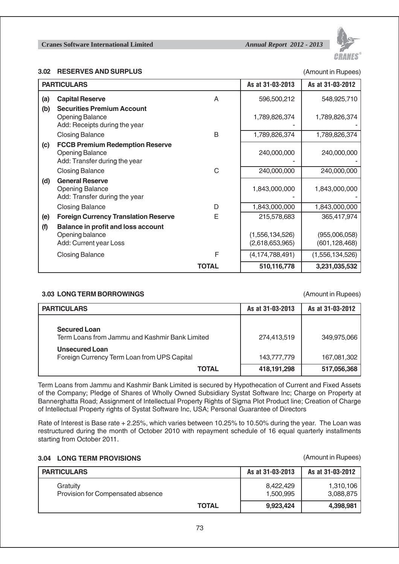

(Amount in Rupees)

#### **3.02 RESERVES AND SURPLUS**

|     | <b>PARTICULARS</b>                                                                                |              | As at 31-03-2013                   | As at 31-03-2012                 |
|-----|---------------------------------------------------------------------------------------------------|--------------|------------------------------------|----------------------------------|
| (a) | <b>Capital Reserve</b>                                                                            | A            | 596,500,212                        | 548,925,710                      |
| (b) | <b>Securities Premium Account</b><br><b>Opening Balance</b><br>Add: Receipts during the year      |              | 1,789,826,374                      | 1,789,826,374                    |
|     | <b>Closing Balance</b>                                                                            | B            | 1,789,826,374                      | 1,789,826,374                    |
| (c) | <b>FCCB Premium Redemption Reserve</b><br><b>Opening Balance</b><br>Add: Transfer during the year |              | 240,000,000                        | 240,000,000                      |
|     | <b>Closing Balance</b>                                                                            | C            | 240,000,000                        | 240,000,000                      |
| (d) | <b>General Reserve</b><br><b>Opening Balance</b><br>Add: Transfer during the year                 |              | 1,843,000,000                      | 1,843,000,000                    |
|     | <b>Closing Balance</b>                                                                            | D            | 1,843,000,000                      | 1,843,000,000                    |
| (e) | <b>Foreign Currency Translation Reserve</b>                                                       | Е            | 215,578,683                        | 365,417,974                      |
| (f) | <b>Balance in profit and loss account</b><br>Opening balance<br>Add: Current year Loss            |              | (1,556,134,526)<br>(2,618,653,965) | (955,006,058)<br>(601, 128, 468) |
|     | <b>Closing Balance</b>                                                                            | F            | (4, 174, 788, 491)                 | (1,556,134,526)                  |
|     |                                                                                                   | <b>TOTAL</b> | 510,116,778                        | 3,231,035,532                    |

#### **3.03 LONG TERM BORROWINGS**

(Amount in Rupees)

(Amount in Rupees)

| <b>PARTICULARS</b>                                                    | As at 31-03-2013 | As at 31-03-2012 |
|-----------------------------------------------------------------------|------------------|------------------|
| <b>Secured Loan</b><br>Term Loans from Jammu and Kashmir Bank Limited | 274,413,519      | 349,975,066      |
| <b>Unsecured Loan</b><br>Foreign Currency Term Loan from UPS Capital  | 143,777,779      | 167,081,302      |
| <b>TOTAL</b>                                                          | 418,191,298      | 517,056,368      |

Term Loans from Jammu and Kashmir Bank Limited is secured by Hypothecation of Current and Fixed Assets of the Company; Pledge of Shares of Wholly Owned Subsidiary Systat Software Inc; Charge on Property at Bannerghatta Road; Assignment of Intellectual Property Rights of Sigma Plot Product line; Creation of Charge of Intellectual Property rights of Systat Software Inc, USA; Personal Guarantee of Directors

Rate of Interest is Base rate + 2.25%, which varies between 10.25% to 10.50% during the year. The Loan was restructured during the month of October 2010 with repayment schedule of 16 equal quarterly installments starting from October 2011.

#### **3.04 LONG TERM PROVISIONS**

| <b>PARTICULARS</b>                            |              | As at 31-03-2013       | As at 31-03-2012       |
|-----------------------------------------------|--------------|------------------------|------------------------|
| Gratuity<br>Provision for Compensated absence |              | 8.422.429<br>1.500.995 | 1.310.106<br>3,088,875 |
|                                               | <b>TOTAL</b> | 9,923,424              | 4,398,981              |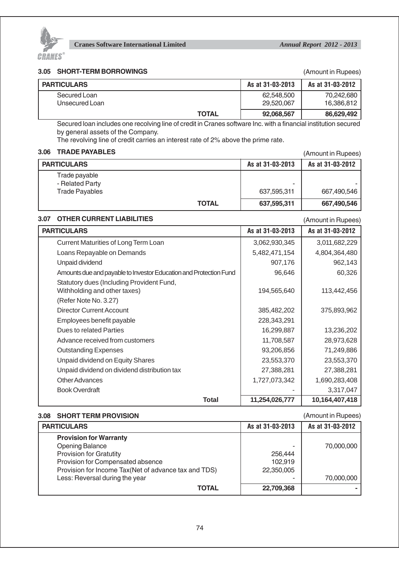

**3.05 SHORT-TERM BORROWINGS**

| (Amount in Rupees) |  |
|--------------------|--|
|--------------------|--|

(Amount in Rupees)

| <b>PARTICULARS</b>             |              | As at 31-03-2013         | As at 31-03-2012         |
|--------------------------------|--------------|--------------------------|--------------------------|
| Secured Loan<br>Unsecured Loan |              | 62,548,500<br>29,520,067 | 70,242,680<br>16,386,812 |
|                                | <b>TOTAL</b> | 92,068,567               | 86,629,492               |

Secured loan includes one recolving line of credit in Cranes software Inc. with a financial institution secured by general assets of the Company.

The revolving line of credit carries an interest rate of 2% above the prime rate.

# **3.06 TRADE PAYABLES**

|                       |              |                  | $(7.1110$ and $1.11110$ $(0.0000)$ |
|-----------------------|--------------|------------------|------------------------------------|
| <b>PARTICULARS</b>    |              | As at 31-03-2013 | As at 31-03-2012                   |
| Trade payable         |              |                  |                                    |
| - Related Party       |              | -                |                                    |
| <b>Trade Payables</b> |              | 637,595,311      | 667,490,546                        |
|                       | <b>TOTAL</b> | 637,595,311      | 667,490,546                        |

# **3.07 OTHER CURRENT LIABILITIES**

| 3.07<br><b>OTHER CURRENT LIABILITIES</b>                                  |                  | (Amount in Rupees) |
|---------------------------------------------------------------------------|------------------|--------------------|
| <b>PARTICULARS</b>                                                        | As at 31-03-2013 | As at 31-03-2012   |
| Current Maturities of Long Term Loan                                      | 3,062,930,345    | 3,011,682,229      |
| Loans Repayable on Demands                                                | 5,482,471,154    | 4,804,364,480      |
| Unpaid dividend                                                           | 907,176          | 962,143            |
| Amounts due and payable to Investor Education and Protection Fund         | 96,646           | 60,326             |
| Statutory dues (Including Provident Fund,<br>Withholding and other taxes) | 194,565,640      | 113,442,456        |
| (Refer Note No. 3.27)                                                     |                  |                    |
| <b>Director Current Account</b>                                           | 385,482,202      | 375,893,962        |
| Employees benefit payable                                                 | 228,343,291      |                    |
| Dues to related Parties                                                   | 16,299,887       | 13,236,202         |
| Advance received from customers                                           | 11,708,587       | 28,973,628         |
| <b>Outstanding Expenses</b>                                               | 93,206,856       | 71,249,886         |
| Unpaid dividend on Equity Shares                                          | 23,553,370       | 23,553,370         |
| Unpaid dividend on dividend distribution tax                              | 27,388,281       | 27,388,281         |
| <b>Other Advances</b>                                                     | 1,727,073,342    | 1,690,283,408      |
| <b>Book Overdraft</b>                                                     |                  | 3,317,047          |
| <b>Total</b>                                                              | 11,254,026,777   | 10,164,407,418     |

# **3.08 SHORT TERM PROVISION**

| <b>SHORT TERM PROVISION</b><br>3.08                  |                  | (Amount in Rupees) |
|------------------------------------------------------|------------------|--------------------|
| <b>PARTICULARS</b>                                   | As at 31-03-2013 | As at 31-03-2012   |
| <b>Provision for Warranty</b>                        |                  |                    |
| <b>Opening Balance</b>                               |                  | 70,000,000         |
| <b>Provision for Gratutity</b>                       | 256,444          |                    |
| Provision for Compensated absence                    | 102,919          |                    |
| Provision for Income Tax(Net of advance tax and TDS) | 22,350,005       |                    |
| Less: Reversal during the year                       |                  | 70,000,000         |
| <b>TOTAL</b>                                         | 22,709,368       |                    |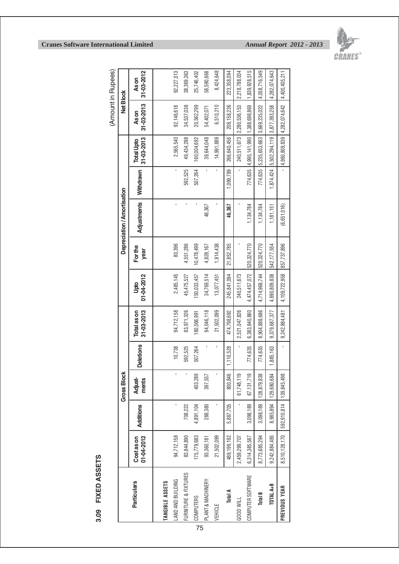

|                          |                          |             |                    |                  |                           |                    |                |                             |           |                                 |                     | (Amount in Rupees)        |
|--------------------------|--------------------------|-------------|--------------------|------------------|---------------------------|--------------------|----------------|-----------------------------|-----------|---------------------------------|---------------------|---------------------------|
|                          |                          |             | <b>Gross Block</b> |                  |                           |                    |                | Depreciation / Amortisation |           |                                 | Net Block           |                           |
| <b>Particulars</b>       | 01-04-2012<br>Cost as on | Additions   | Adjust-<br>ments   | <b>Deletions</b> | 31-03-2013<br>Total as on | 01-04-2012<br>Upto | Forthe<br>year | Adjustments                 | Withdrawn | 31-03-2013<br><b>Total Upto</b> | 31-03-2013<br>As on | 31-03-2012<br><b>Ason</b> |
| TANGIBLE ASSETS          |                          |             |                    |                  |                           |                    |                |                             |           |                                 |                     |                           |
| <b>LAND AND BUILDING</b> | 94,712,158               |             |                    | 10,738           | 94,712,158                | 2,485,145          | 80,396         |                             | ï         | 2,565,540                       | 92,146,618          | 92,227,013                |
| FURNITURE & FIXTURES     | 83,844,890               | 708,222     |                    | 592,525          | 83,971,326                | 45,475,527         | 4,551,286      |                             | 592,525   | 49,434,288                      | 34,537,038          | 38,369,363                |
| <b>COMPUTERS</b>         | 175,779,683              | 4,891,104   | 403,289            | 507,264          | 80,566,991                | 50,033,457         | 0,478,499      |                             | 507,264   | 60,004,692                      | 20,562,299          | 25,746,402                |
| PLANT & MACHINERY        | 93,360,181               | 288,380     | 397,557            |                  | 94,046,118                | 34,769,514         | 4,828,167      | 46,367                      |           | 39,644,048                      | 54,402,071          | 58,590,668                |
| VEHICLE                  | 21,502,099               |             |                    |                  | 21,502,099                | 13,077,451         | 1,914,438      |                             | ı.        | 14,991,889                      | 6,510,210           | 8,424,648                 |
| Total A                  | 469, 199, 192            | 5,887,705   | 800,846            | 1,110,528        | 474,798,692               | 245,841,094        | 21,852,785     | 46,367                      | 1,099,789 | 266,640,456                     | 208,158,236         | 223,358,094               |
| GOOD WILL                | 2,459,299,707            |             | 61,748,119         |                  | 2,521,047,826             | 240,511,673        |                |                             |           | 240,511,673                     | 2,280,536,153       | 2,218,788,034             |
| COMPUTER SOFTWARE        | 6,314,385,587            | 3,098,189   | 67,131,719         | 774,635          | 6,383,840,860             | 4,474,457,072      | 520, 324, 770  | 1,134,784                   | 774,635   | 4,995,141,990                   | 1,388,698,869       | 839,928,515               |
| <b>Total B</b>           | 8,773,685,294            | 3,098,189   | 128,879,838        | 774,635          | 8,904,888,686             | 4,714,968,744      | 520, 324, 770  | 1,134,784                   | 774,635   | 5,235,653,663                   | 3,669,235,022       | 4,058,716,549             |
| TOTAL A+B                | 9,242,884,485            | 8,985,894   | 129,680,684        | 1,885,163        | 9,379,687,377             | 4,690,809,838      | 542, 177, 554  | 1,181,151                   | 1,874,424 | 5,502,294,119                   | 3,877,393,258       | 4,282,074,643             |
| PREVIOUS YEAR            | 8,510,128,170            | 592,910,814 | 139,845,498        |                  | 9,242,884,481             | 4,109,722,958      | 857,737,896    | (6,651,016)                 |           | 4,960,809,839                   | 4,282,074,642       | 4,400,405,211             |
|                          |                          |             |                    |                  |                           |                    |                |                             |           |                                 |                     |                           |

3.09 FIXED ASSETS **3.09 FIXED ASSETS**

75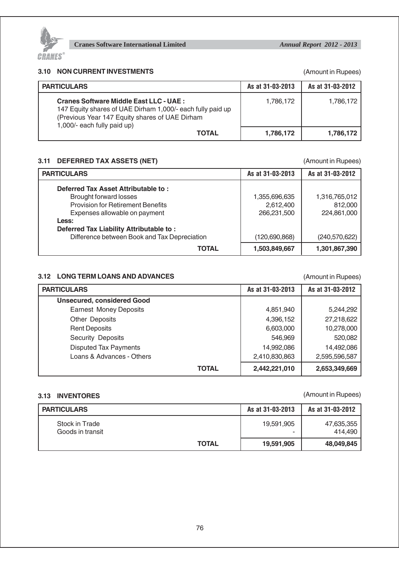

#### **3.10 NON CURRENT INVESTMENTS**

(Amount in Rupees)

| <b>PARTICULARS</b>                                                                                                                                                                           |              | As at 31-03-2013 | As at 31-03-2012 |
|----------------------------------------------------------------------------------------------------------------------------------------------------------------------------------------------|--------------|------------------|------------------|
| <b>Cranes Software Middle East LLC - UAE:</b><br>147 Equity shares of UAE Dirham 1,000/- each fully paid up<br>(Previous Year 147 Equity shares of UAE Dirham<br>1,000/- each fully paid up) |              | 1,786,172        | 1,786,172        |
|                                                                                                                                                                                              | <b>TOTAL</b> | 1,786,172        | 1,786,172        |

# **3.11 DEFERRED TAX ASSETS (NET)**

| <b>PARTICULARS</b>                           | As at 31-03-2013 | As at 31-03-2012 |
|----------------------------------------------|------------------|------------------|
| Deferred Tax Asset Attributable to:          |                  |                  |
| Brought forward losses                       | 1,355,696,635    | 1,316,765,012    |
| <b>Provision for Retirement Benefits</b>     | 2,612,400        | 812,000          |
| Expenses allowable on payment                | 266,231,500      | 224,861,000      |
| Less:                                        |                  |                  |
| Deferred Tax Liability Attributable to:      |                  |                  |
| Difference between Book and Tax Depreciation | (120,690,868)    | (240, 570, 622)  |
| TOTAL                                        | 1,503,849,667    | 1,301,867,390    |

# **3.12 LONG TERM LOANS AND ADVANCES**

| 3.12 LONG TERM LOANS AND ADVANCES |                  | (Amount in Rupees) |
|-----------------------------------|------------------|--------------------|
| <b>PARTICULARS</b>                | As at 31-03-2013 | As at 31-03-2012   |
| <b>Unsecured, considered Good</b> |                  |                    |
| <b>Earnest Money Deposits</b>     | 4,851,940        | 5,244,292          |
| <b>Other Deposits</b>             | 4,396,152        | 27,218,622         |
| <b>Rent Deposits</b>              | 6,603,000        | 10,278,000         |
| Security Deposits                 | 546,969          | 520,082            |
| <b>Disputed Tax Payments</b>      | 14,992,086       | 14,492,086         |
| Loans & Advances - Others         | 2,410,830,863    | 2,595,596,587      |
| <b>TOTAL</b>                      | 2,442,221,010    | 2,653,349,669      |

#### **3.13 INVENTORES**

| <b>PARTICULARS</b>                 |              | As at 31-03-2013 | As at 31-03-2012      |
|------------------------------------|--------------|------------------|-----------------------|
| Stock in Trade<br>Goods in transit |              | 19,591,905       | 47,635,355<br>414.490 |
|                                    | <b>TOTAL</b> | 19,591,905       | 48,049,845            |

(Amount in Rupees)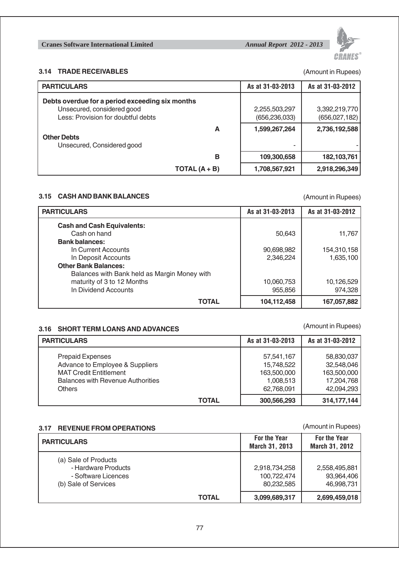77

| <b>Cranes Software International Limited</b> | <b>Annual Report 2012 - 2013</b> |
|----------------------------------------------|----------------------------------|

# **3.14 TRADE RECEIVABLES**

| <b>PARTICULARS</b>                              | As at 31-03-2013 | As at 31-03-2012 |
|-------------------------------------------------|------------------|------------------|
| Debts overdue for a period exceeding six months |                  |                  |
| Unsecured, considered good                      | 2,255,503,297    | 3,392,219,770    |
| Less: Provision for doubtful debts              | (656, 236, 033)  | (656, 027, 182)  |
| A                                               | 1,599,267,264    | 2,736,192,588    |
| <b>Other Debts</b>                              |                  |                  |
| Unsecured, Considered good                      |                  |                  |
| в                                               | 109,300,658      | 182,103,761      |
| TOTAL $(A + B)$                                 | 1,708,567,921    | 2,918,296,349    |

# **3.15 CASH AND BANK BALANCES**

| <b>PARTICULARS</b>                           | As at 31-03-2013 | As at 31-03-2012 |
|----------------------------------------------|------------------|------------------|
| <b>Cash and Cash Equivalents:</b>            |                  |                  |
| Cash on hand                                 | 50,643           | 11,767           |
| <b>Bank balances:</b>                        |                  |                  |
| In Current Accounts                          | 90,698,982       | 154,310,158      |
| In Deposit Accounts                          | 2,346,224        | 1,635,100        |
| <b>Other Bank Balances:</b>                  |                  |                  |
| Balances with Bank held as Margin Money with |                  |                  |
| maturity of 3 to 12 Months                   | 10,060,753       | 10,126,529       |
| In Dividend Accounts                         | 955,856          | 974,328          |
| TOTAL                                        | 104,112,458      | 167,057,882      |

### **3.16 SHORT TERM LOANS AND ADVANCES**

| <b>PARTICULARS</b>                                                                                                                                       | As at 31-03-2013                                                   | As at 31-03-2012                                                    |
|----------------------------------------------------------------------------------------------------------------------------------------------------------|--------------------------------------------------------------------|---------------------------------------------------------------------|
| <b>Prepaid Expenses</b><br>Advance to Employee & Suppliers<br><b>MAT Credit Entitlement</b><br><b>Balances with Revenue Authorities</b><br><b>Others</b> | 57,541,167<br>15,748,522<br>163,500,000<br>1,008,513<br>62,768,091 | 58,830,037<br>32,548,046<br>163,500,000<br>17,204,768<br>42,094,293 |
| <b>TOTAL</b>                                                                                                                                             | 300,566,293                                                        | 314, 177, 144                                                       |

#### **3.17 REVENUE FROM OPERATIONS**

| <b>PARTICULARS</b>                                                                         |              | <b>For the Year</b><br>March 31, 2013      | <b>For the Year</b><br>March 31, 2012     |
|--------------------------------------------------------------------------------------------|--------------|--------------------------------------------|-------------------------------------------|
| (a) Sale of Products<br>- Hardware Products<br>- Software Licences<br>(b) Sale of Services |              | 2,918,734,258<br>100.722.474<br>80.232.585 | 2,558,495,881<br>93,964,406<br>46,998,731 |
|                                                                                            | <b>TOTAL</b> | 3,099,689,317                              | 2,699,459,018                             |

(Amount in Rupees)

(Amount in Rupees)

(Amount in Rupees)

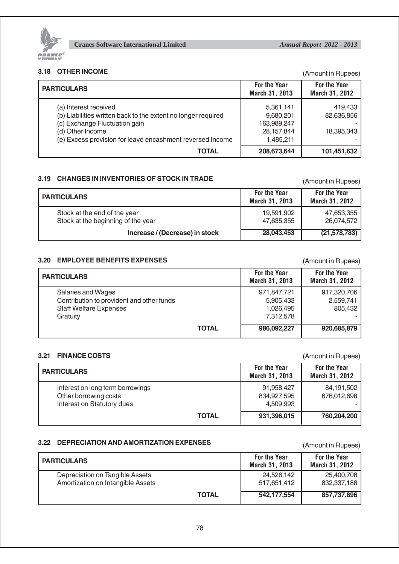

(Amount in Rupees)

# **3.18 OTHER INCOME**

| <b>PARTICULARS</b>                                                                                                                                                                                       | <b>For the Year</b><br>March 31, 2013                            | <b>For the Year</b><br>March 31, 2012 |
|----------------------------------------------------------------------------------------------------------------------------------------------------------------------------------------------------------|------------------------------------------------------------------|---------------------------------------|
| (a) Interest received<br>(b) Liabilities written back to the extent no longer required<br>(c) Exchange Fluctuation gain<br>(d) Other Income<br>(e) Excess provision for leave encashment reversed Income | 5,361,141<br>9,680,201<br>163,989,247<br>28,157,844<br>1,485,211 | 419,433<br>82,636,856<br>18,395,343   |
| TOTAL                                                                                                                                                                                                    | 208,673,644                                                      | 101,451,632                           |

#### **3.19 CHANGES IN INVENTORIES OF STOCK IN TRADE**

| <b>PARTICULARS</b>                                                 | <b>For the Year</b><br>March 31, 2013 | <b>For the Year</b><br>March 31, 2012 |
|--------------------------------------------------------------------|---------------------------------------|---------------------------------------|
| Stock at the end of the year<br>Stock at the beginning of the year | 19,591,902<br>47,635,355              | 47,653,355<br>26,074,572              |
| Increase / (Decrease) in stock                                     | 28,043,453                            | (21, 578, 783)                        |

# **3.20 EMPLOYEE BENEFITS EXPENSES**

Salaries and Wages<br>Contribution to provident and other funds<br>  $5.905,433$ 971,847,721
971,847,721
971,847,721
971,847,721
971,847,721
971,847,721
971,847,721
917,320,706 Contribution to provident and other funds<br>
Staff Welfare Expenses<br>
305,432 1,026,495 Staff Welfare Expenses 1,026,495<br>Gratuity 7,312,578 Gratuity 7,312,578 - TOTAL 986,092,227 920,685,879 **PARTICULARS For the Year** For the Year For the Year For the Year For the Year For the Year For the Year For the Year For the Year For the Year For the Year For the Year For the Year For the Year For the Year For the Yea **March 31, 2013** 

# **3.21 FINANCE COSTS**

| <b>PARTICULARS</b>                                                                      |              | <b>For the Year</b><br>March 31, 2013  | For the Year<br>March 31, 2012 |
|-----------------------------------------------------------------------------------------|--------------|----------------------------------------|--------------------------------|
| Interest on long term borrowings<br>Other borrowing costs<br>Interest on Statutory dues |              | 91,958,427<br>834,927,595<br>4,509,993 | 84,191,502<br>676,012,698      |
|                                                                                         | <b>TOTAL</b> | 931,396,015                            | 760,204,200                    |

#### **3.22 DEPRECIATION AND AMORTIZATION EXPENSES**

| <b>PARTICULARS</b>                                                   |              | <b>For the Year</b><br>March 31, 2013 | <b>For the Year</b><br>March 31, 2012 |
|----------------------------------------------------------------------|--------------|---------------------------------------|---------------------------------------|
| Depreciation on Tangible Assets<br>Amortization on Intangible Assets |              | 24,526,142<br>517,651,412             | 25,400,708<br>832,337,188             |
|                                                                      | <b>TOTAL</b> | 542,177,554                           | 857,737,896                           |

(Amount in Rupees)

(Amount in Rupees)

(Amount in Rupees)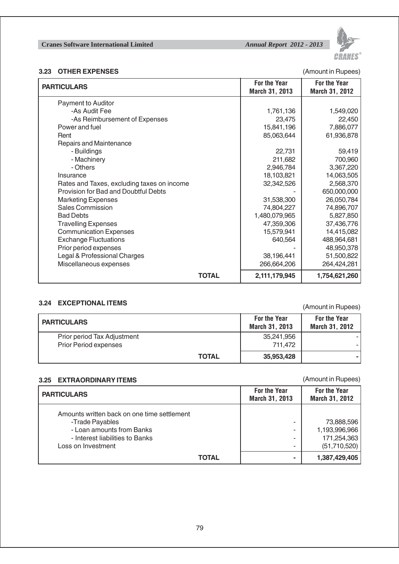

(Amount in Rupees)

# **3.23 OTHER EXPENSES**

| <b>PARTICULARS</b>                         | <b>For the Year</b><br>March 31, 2013 | <b>For the Year</b><br>March 31, 2012 |
|--------------------------------------------|---------------------------------------|---------------------------------------|
| Payment to Auditor                         |                                       |                                       |
| -As Audit Fee                              | 1,761,136                             | 1,549,020                             |
| -As Reimbursement of Expenses              | 23,475                                | 22,450                                |
| Power and fuel                             | 15,841,196                            | 7,886,077                             |
| Rent                                       | 85,063,644                            | 61,936,878                            |
| Repairs and Maintenance                    |                                       |                                       |
| - Buildings                                | 22,731                                | 59,419                                |
| - Machinery                                | 211,682                               | 700,960                               |
| - Others                                   | 2,946,784                             | 3,367,220                             |
| Insurance                                  | 18,103,821                            | 14,063,505                            |
| Rates and Taxes, excluding taxes on income | 32,342,526                            | 2,568,370                             |
| Provision for Bad and Doubtful Debts       |                                       | 650,000,000                           |
| <b>Marketing Expenses</b>                  | 31,538,300                            | 26,050,784                            |
| <b>Sales Commission</b>                    | 74,804,227                            | 74,896,707                            |
| <b>Bad Debts</b>                           | 1,480,079,965                         | 5,827,850                             |
| <b>Travelling Expenses</b>                 | 47,359,306                            | 37,436,776                            |
| <b>Communication Expenses</b>              | 15,579,941                            | 14,415,082                            |
| <b>Exchange Fluctuations</b>               | 640,564                               | 488,964,681                           |
| Prior period expenses                      |                                       | 48,950,378                            |
| Legal & Professional Charges               | 38,196,441                            | 51,500,822                            |
| Miscellaneous expenses                     | 266,664,206                           | 264,424,281                           |
| <b>TOTAL</b>                               | 2,111,179,945                         | 1,754,621,260                         |

#### **3.24 EXCEPTIONAL ITEMS**

(Amount in Rupees)

| <b>PARTICULARS</b>                                          |              | <b>For the Year</b><br>March 31, 2013 | <b>For the Year</b><br>March 31, 2012 |
|-------------------------------------------------------------|--------------|---------------------------------------|---------------------------------------|
| Prior period Tax Adjustment<br><b>Prior Period expenses</b> |              | 35,241,956<br>711.472                 |                                       |
|                                                             | <b>TOTAL</b> | 35,953,428                            |                                       |

#### **3.25 EXTRAORDINARY ITEMS**

| <b>PARTICULARS</b>                                                                                                                                   | <b>For the Year</b><br>March 31, 2013 | <b>For the Year</b><br>March 31, 2012                      |
|------------------------------------------------------------------------------------------------------------------------------------------------------|---------------------------------------|------------------------------------------------------------|
| Amounts written back on one time settlement<br>-Trade Payables<br>- Loan amounts from Banks<br>- Interest liabilities to Banks<br>Loss on Investment | -<br>-<br>-                           | 73,888,596<br>1,193,996,966<br>171,254,363<br>(51,710,520) |
| <b>TOTAL</b>                                                                                                                                         |                                       | 1,387,429,405                                              |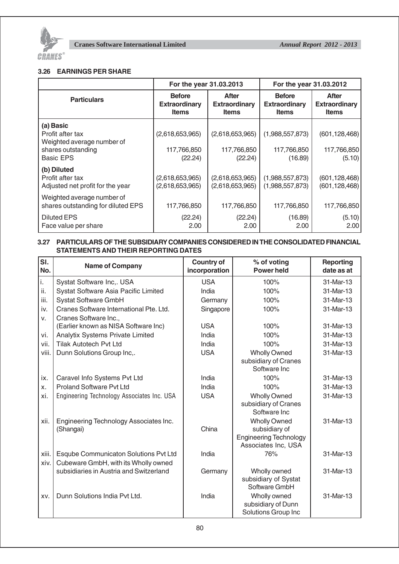

# **3.26 EARNINGS PER SHARE**

|                                                                                                       |                                                       | For the year 31.03.2013<br>For the year 31.03.2012 |                                                       |                                               |
|-------------------------------------------------------------------------------------------------------|-------------------------------------------------------|----------------------------------------------------|-------------------------------------------------------|-----------------------------------------------|
| <b>Particulars</b>                                                                                    | <b>Before</b><br><b>Extraordinary</b><br><b>Items</b> | After<br><b>Extraordinary</b><br><b>Items</b>      | <b>Before</b><br><b>Extraordinary</b><br><b>Items</b> | After<br><b>Extraordinary</b><br><b>Items</b> |
| (a) Basic<br>Profit after tax<br>Weighted average number of<br>shares outstanding<br><b>Basic EPS</b> | (2,618,653,965)<br>117,766,850<br>(22.24)             | (2,618,653,965)<br>117,766,850<br>(22.24)          | (1,988,557,873)<br>117,766,850<br>(16.89)             | (601, 128, 468)<br>117,766,850<br>(5.10)      |
| (b) Diluted<br>Profit after tax<br>Adjusted net profit for the year                                   | (2,618,653,965)<br>(2,618,653,965)                    | (2,618,653,965)<br>(2,618,653,965)                 | (1,988,557,873)<br>(1,988,557,873)                    | (601, 128, 468)<br>(601, 128, 468)            |
| Weighted average number of<br>shares outstanding for diluted EPS                                      | 117,766,850                                           | 117,766,850                                        | 117,766,850                                           | 117,766,850                                   |
| <b>Diluted EPS</b><br>Face value per share                                                            | (22.24)<br>2.00                                       | (22.24)<br>2.00                                    | (16.89)<br>2.00                                       | (5.10)<br>2.00                                |

# **3.27 PARTICULARS OF THE SUBSIDIARY COMPANIES CONSIDERED IN THE CONSOLIDATED FINANCIAL STATEMENTS AND THEIR REPORTING DATES**

| SI.<br>No. | <b>Name of Company</b>                     | <b>Country of</b><br>incorporation | % of voting<br><b>Power held</b>                     | <b>Reporting</b><br>date as at |
|------------|--------------------------------------------|------------------------------------|------------------------------------------------------|--------------------------------|
| i.         | Systat Software Inc,. USA                  | <b>USA</b>                         | 100%                                                 | 31-Mar-13                      |
| ii.        | Systat Software Asia Pacific Limited       | India                              | 100%                                                 | 31-Mar-13                      |
| iii.       | Systat Software GmbH                       | Germany                            | 100%                                                 | 31-Mar-13                      |
| iv.        | Cranes Software International Pte. Ltd.    | Singapore                          | 100%                                                 | 31-Mar-13                      |
| V.         | Cranes Software Inc.,                      |                                    |                                                      |                                |
|            | (Earlier known as NISA Software Inc)       | <b>USA</b>                         | 100%                                                 | 31-Mar-13                      |
| vi.        | Analytix Systems Private Limited           | India                              | 100%                                                 | 31-Mar-13                      |
| vii.       | <b>Tilak Autotech Pvt Ltd</b>              | India                              | 100%                                                 | 31-Mar-13                      |
| viii.      | Dunn Solutions Group Inc,.                 | <b>USA</b>                         | <b>Wholly Owned</b>                                  | 31-Mar-13                      |
|            |                                            |                                    | subsidiary of Cranes<br>Software Inc                 |                                |
| ix.        | Caravel Info Systems Pvt Ltd               | India                              | 100%                                                 | 31-Mar-13                      |
| $X_{-}$    | <b>Proland Software Pvt Ltd</b>            | India                              | 100%                                                 | 31-Mar-13                      |
| xi.        | Engineering Technology Associates Inc. USA | <b>USA</b>                         | <b>Wholly Owned</b>                                  | 31-Mar-13                      |
|            |                                            |                                    | subsidiary of Cranes<br>Software Inc                 |                                |
| xii.       | Engineering Technology Associates Inc.     |                                    | <b>Wholly Owned</b>                                  | 31-Mar-13                      |
|            | (Shangai)                                  | China                              | subsidiary of                                        |                                |
|            |                                            |                                    | <b>Engineering Technology</b><br>Associates Inc, USA |                                |
| xiii.      | Esqube Communicaton Solutions Pvt Ltd      | India                              | 76%                                                  | 31-Mar-13                      |
| xiv.       | Cubeware GmbH, with its Wholly owned       |                                    |                                                      |                                |
|            | subsidiaries in Austria and Switzerland    | Germany                            | Wholly owned                                         | 31-Mar-13                      |
|            |                                            |                                    | subsidiary of Systat<br>Software GmbH                |                                |
| XV.        | Dunn Solutions India Pvt Ltd.              | India                              | Wholly owned                                         | 31-Mar-13                      |
|            |                                            |                                    | subsidiary of Dunn                                   |                                |
|            |                                            |                                    | Solutions Group Inc                                  |                                |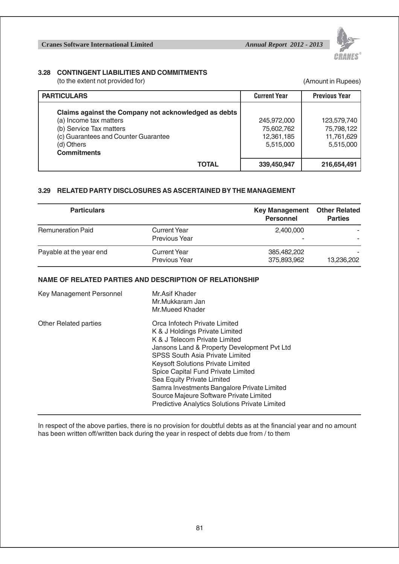

(Amount in Rupees)

# **3.28 CONTINGENT LIABILITIES AND COMMITMENTS**

(to the extent not provided for)

| <b>PARTICULARS</b>                                   | <b>Current Year</b> | <b>Previous Year</b> |
|------------------------------------------------------|---------------------|----------------------|
| Claims against the Company not acknowledged as debts |                     |                      |
| (a) Income tax matters                               | 245,972,000         | 123,579,740          |
| (b) Service Tax matters                              | 75,602,762          | 75,798,122           |
| (c) Guarantees and Counter Guarantee                 | 12,361,185          | 11,761,629           |
| (d) Others                                           | 5,515,000           | 5,515,000            |
| <b>Commitments</b>                                   |                     |                      |
| <b>TOTAL</b>                                         | 339,450,947         | 216,654,491          |

# **3.29 RELATED PARTY DISCLOSURES AS ASCERTAINED BY THE MANAGEMENT**

| <b>Particulars</b>       |                                      | <b>Key Management</b><br><b>Personnel</b> | <b>Other Related</b><br><b>Parties</b> |
|--------------------------|--------------------------------------|-------------------------------------------|----------------------------------------|
| <b>Remuneration Paid</b> | <b>Current Year</b><br>Previous Year | 2,400,000<br>-                            |                                        |
| Payable at the year end  | <b>Current Year</b><br>Previous Year | 385,482,202<br>375,893,962                | 13,236,202                             |

#### **NAME OF RELATED PARTIES AND DESCRIPTION OF RELATIONSHIP**

| Key Management Personnel     | Mr. Asif Khader<br>Mr.Mukkaram Jan<br>Mr.Mueed Khader                                                                                                                                                                                                                                                                                                                                                                                                        |
|------------------------------|--------------------------------------------------------------------------------------------------------------------------------------------------------------------------------------------------------------------------------------------------------------------------------------------------------------------------------------------------------------------------------------------------------------------------------------------------------------|
| <b>Other Related parties</b> | Orca Infotech Private Limited<br>K & J Holdings Private Limited<br>K & J Telecom Private Limited<br>Jansons Land & Property Development Pvt Ltd<br><b>SPSS South Asia Private Limited</b><br><b>Keysoft Solutions Private Limited</b><br>Spice Capital Fund Private Limited<br>Sea Equity Private Limited<br>Samra Investments Bangalore Private Limited<br>Source Majeure Software Private Limited<br><b>Predictive Analytics Solutions Private Limited</b> |

In respect of the above parties, there is no provision for doubtful debts as at the financial year and no amount has been written off/written back during the year in respect of debts due from / to them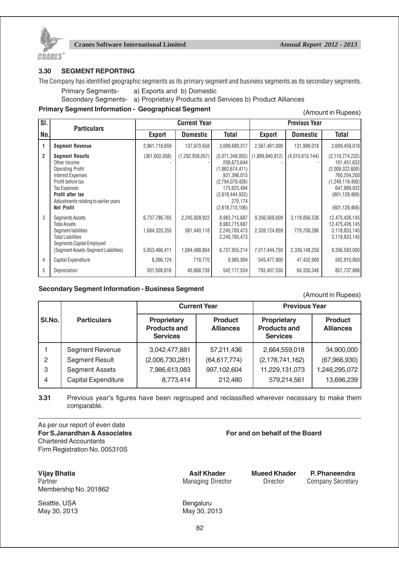

# **3.30 SEGMENT REPORTING**

The Company has identified geographic segments as its primary segment and business segments as its secondary segments.

Primary Segments- a) Exports and b) Domestic Secondary Segments- a) Proprietary Products and Services b) Product Alliances

# **Primary Segment Information - Geographical Segment**

(Amount in Rupees)

| SI.            | <b>Particulars</b>                                                                                                                                                                                                   |                                | <b>Current Year</b>          |                                                                                                                                                     |                                | <b>Previous Year</b>         |                                                                                                                                             |
|----------------|----------------------------------------------------------------------------------------------------------------------------------------------------------------------------------------------------------------------|--------------------------------|------------------------------|-----------------------------------------------------------------------------------------------------------------------------------------------------|--------------------------------|------------------------------|---------------------------------------------------------------------------------------------------------------------------------------------|
| No.            |                                                                                                                                                                                                                      | <b>Export</b>                  | <b>Domestic</b>              | <b>Total</b>                                                                                                                                        | <b>Export</b>                  | <b>Domestic</b>              | <b>Total</b>                                                                                                                                |
|                | <b>Segment Revenue</b>                                                                                                                                                                                               | 2,961,718,659                  | 137,970,658                  | 3.099.689.317                                                                                                                                       | 2,567,461,000                  | 131,998,018                  | 2,699,459,018                                                                                                                               |
| $\overline{2}$ | <b>Segment Results</b><br>Other Income<br><b>Operating Profit</b><br>Interest Expenses<br>Profit before tax<br><b>Tax Expenses</b><br>Profit after tax<br>Adjustments relating to earlier years<br><b>Net Profit</b> | (361, 602, 058)                | (1, 292, 939, 057)           | (2,071,348,055)<br>208,673,644<br>(1,862,674,411)<br>931,396,015<br>(2,794,070,426)<br>175,625,494<br>(2,618,444,932)<br>270.174<br>(2,618,715,106) | (1,899,840,912)                | (4,010,615,144)              | (2, 110, 774, 232)<br>101,451,632<br>(2,009,322,600)<br>760,204,200<br>(1,249,118,400)<br>647,989,932<br>(601, 128, 468)<br>(601, 128, 468) |
| 3              | <b>Segments Assets</b><br><b>Total Assets</b><br>Segment liabilities<br><b>Total Liabilities</b><br>Segments Capital Employed                                                                                        | 6,737,786,765<br>1,684,320,355 | 2,245,928,922<br>561,440,118 | 8,983,715,687<br>8,983,715,687<br>2,245,760,473<br>2,245,760,473                                                                                    | 9,356,569,609<br>2,339,124,859 | 3,118,856,536<br>779,708,286 | 12,475,426,145<br>12,475,426,145<br>3,118,833,145<br>3,118,833,145                                                                          |
|                | (Segment Assets-Segment Liabilities)                                                                                                                                                                                 | 5.053,466,411                  | 1,684,488,804                | 6,737,955,214                                                                                                                                       | 7.017.444.750                  | 2,339,148,250                | 9,356,593,000                                                                                                                               |
| 4              | Capital Expenditure                                                                                                                                                                                                  | 8,266,124                      | 719,770                      | 8,985,894                                                                                                                                           | 545,477,900                    | 47,432,900                   | 592,910,800                                                                                                                                 |
| 5              | Depreciation                                                                                                                                                                                                         | 501,508,816                    | 40,668,738                   | 542,177,554                                                                                                                                         | 793,407,550                    | 64,330,346                   | 857,737,896                                                                                                                                 |

# **Secondary Segment Information - Business Segment**

(Amount in Rupees)

|        |                        |                                                       | <b>Current Year</b>                | <b>Previous Year</b>                                  |                                    |  |
|--------|------------------------|-------------------------------------------------------|------------------------------------|-------------------------------------------------------|------------------------------------|--|
| SI.No. | <b>Particulars</b>     | Proprietary<br><b>Products and</b><br><b>Services</b> | <b>Product</b><br><b>Alliances</b> | Proprietary<br><b>Products and</b><br><b>Services</b> | <b>Product</b><br><b>Alliances</b> |  |
|        | <b>Segment Revenue</b> | 3,042,477,881                                         | 57,211,436                         | 2,664,559,018                                         | 34,900,000                         |  |
| 2      | <b>Segment Result</b>  | (2,006,730,281)                                       | (64, 617, 774)                     | (2, 178, 741, 162)                                    | (67,966,930)                       |  |
| 3      | <b>Segment Assets</b>  | 7,986,613,083                                         | 997,102,604                        | 11,229,131,073                                        | 1,246,295,072                      |  |
| 4      | Capital Expenditure    | 8,773,414                                             | 212,480                            | 579,214,561                                           | 13,696,239                         |  |

**3.31** Previous year's figures have been regrouped and reclassified wherever necessary to make them comparable.

As per our report of even date **For S.Janardhan & Associates For and on behalf of the Board** Chartered Accountants Firm Registration No. 005310S

**Vijay Bhatia Asif Khader Mueed Khader P. Phaneendra** Partner **Managing Director** Director **Company Secretary** Director **Company Secretary** Membership No. 201862

Seattle, USA<br>
May 30, 2013<br>
May 30, 2013

May 30, 2013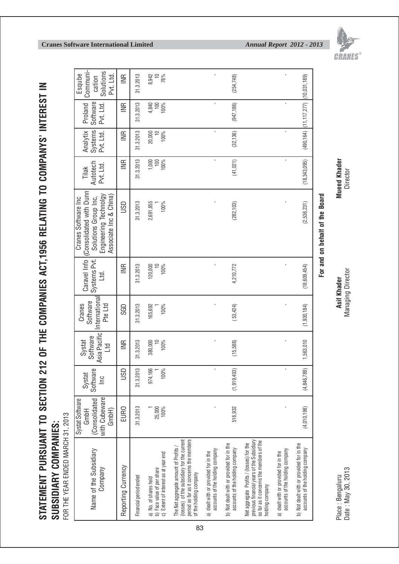STATEMENT PURSUANT TO SECTION 212 OF THE COMPANIES ACT, 1956 RELATING TO COMPANYS' INTEREST IN **STATEMENT PURSUANT TO SECTION 212 OF THE COMPANIES ACT,1956 RELATING TO COMPANYS' INTEREST IN** SUBSIDIARY COMPANIES: **SUBSIDIARY COMPANIES:**

FOR THE YEAR ENDED MARCH 31, 2013 FOR THE YEAR ENDED MARCH 31, 2013

| Communi-<br>Solutions<br>Esqube<br>Pvt. Ltd.<br>cation                                                                    | li⊠                | 31.3.2013              | 8,942<br>$\approx$<br>76%                                                                   |                                                                                                                                                           |                                                                         | (254, 748)                                                                  |                                                                                                                                                       |                                                                         |                                                                             |
|---------------------------------------------------------------------------------------------------------------------------|--------------------|------------------------|---------------------------------------------------------------------------------------------|-----------------------------------------------------------------------------------------------------------------------------------------------------------|-------------------------------------------------------------------------|-----------------------------------------------------------------------------|-------------------------------------------------------------------------------------------------------------------------------------------------------|-------------------------------------------------------------------------|-----------------------------------------------------------------------------|
| Software<br>Pvt. Ltd.<br>Proland                                                                                          | li⊠                | 31.3.2013              | $4,840$<br>100%                                                                             |                                                                                                                                                           | ï                                                                       | (947, 186)                                                                  |                                                                                                                                                       | ï                                                                       | $(490, 164)$ $(11, 117, 277)$ $(10, 031, 189)$                              |
| Systems<br>Pvt. Ltd.<br>Analytix                                                                                          | li⊠                | 31.3.2013              | 20,000<br>100%                                                                              |                                                                                                                                                           | ï                                                                       | (32, 136)                                                                   |                                                                                                                                                       | ï                                                                       |                                                                             |
| Autotech<br>Pvt. Ltd.<br>Tilak                                                                                            | li⊠                | 31.3.2013              | $1,000$<br>$100%$                                                                           |                                                                                                                                                           | ï                                                                       | (41,021)                                                                    |                                                                                                                                                       | ï                                                                       | (18, 343, 095)                                                              |
| Consolidated with Dunn)<br>Engineering Technolgy<br>Associate Inc & China)<br>Solutions Group Inc,<br>Cranes Software Inc | 50                 | 31.3.2013              | $100\%$<br>2,691,855                                                                        |                                                                                                                                                           |                                                                         | (282, 103)                                                                  |                                                                                                                                                       |                                                                         | (2,536,231)                                                                 |
| Caravel Info<br>Systems Pvt.<br>Ltd.                                                                                      | li⊠                | 31.3.2013              | 120,000<br>$\approx$<br>100%                                                                |                                                                                                                                                           |                                                                         | 4,210,772                                                                   |                                                                                                                                                       |                                                                         | (18,609,454)                                                                |
| Internationa<br>Software<br>Pte Ltd<br>Cranes                                                                             | SGD                | 31.3.2013              | 165,692<br>$100\%$                                                                          |                                                                                                                                                           |                                                                         | (53, 424)                                                                   |                                                                                                                                                       |                                                                         | (1,930,184)                                                                 |
| Asia Pacific<br>Software<br>Systat<br>Ltd                                                                                 | li⊠                | 31.3.2013              | 380,000<br>100%                                                                             |                                                                                                                                                           | ï                                                                       | (15,588)                                                                    |                                                                                                                                                       |                                                                         | 1,563,010                                                                   |
| Software<br>Systat<br>$\tilde{=}$                                                                                         | 50                 | 31.3.2013              | 974,166<br>$100\%$                                                                          |                                                                                                                                                           |                                                                         | (1,919,403)                                                                 |                                                                                                                                                       |                                                                         | (4, 846, 789)                                                               |
| with Cubeware<br>(Consolidated<br>Systat Software<br>GmbH)<br>GmbH                                                        | <b>EURO</b>        | 31.3.2013              | 25,000<br>100%                                                                              |                                                                                                                                                           |                                                                         | 516,932                                                                     |                                                                                                                                                       |                                                                         | (4,010,198)                                                                 |
| Name of the Subsidiary<br>Company                                                                                         | Reporting Currency | Financial period ended | c) Extent of interest as at year end<br>b) Face value of per share<br>a) No. of shares held | (losses) of the subsidiary for the current<br>beriod so far as it concerns the members<br>The Net aggregate amount of Profits /<br>of the holding company | accounts of the holding company<br>a) dealt with or provided for in the | b) Not dealt with or provided for in the<br>accounts of the holding company | previous financial years of the Subsidiary<br>so far as it concerns the members of the<br>Net aggregate Profits / (losses) for the<br>holding company | accounts of the holding company<br>a) dealt with or provided for in the | b) Not dealt with or provided for in the<br>accounts of the holding company |

For and on behalf of the Board **For and on behalf of the Board**

Place : Bengaluru **Asif Khader Mueed Khader** Date : May 30, 2013 Partes torn Managing Director Director Director Director Asif Khader<br>Managing Director

Place : Bengaluru<br>Date : May 30, 2013

Mueed Khader<br>Director

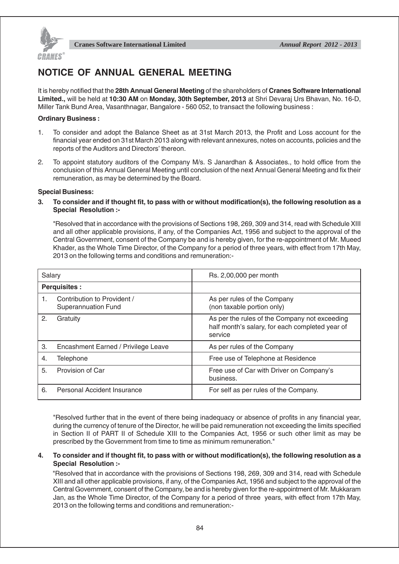

# **NOTICE OF ANNUAL GENERAL MEETING**

It is hereby notified that the **28th Annual General Meeting** of the shareholders of **Cranes Software International Limited.,** will be held at **10:30 AM** on **Monday, 30th September, 2013** at Shri Devaraj Urs Bhavan, No. 16-D, Miller Tank Bund Area, Vasanthnagar, Bangalore - 560 052, to transact the following business :

#### **Ordinary Business :**

- 1. To consider and adopt the Balance Sheet as at 31st March 2013, the Profit and Loss account for the financial year ended on 31st March 2013 along with relevant annexures, notes on accounts, policies and the reports of the Auditors and Directors' thereon.
- 2. To appoint statutory auditors of the Company M/s. S Janardhan & Associates., to hold office from the conclusion of this Annual General Meeting until conclusion of the next Annual General Meeting and fix their remuneration, as may be determined by the Board.

#### **Special Business:**

**3. To consider and if thought fit, to pass with or without modification(s), the following resolution as a Special Resolution :-**

"Resolved that in accordance with the provisions of Sections 198, 269, 309 and 314, read with Schedule XIII and all other applicable provisions, if any, of the Companies Act, 1956 and subject to the approval of the Central Government, consent of the Company be and is hereby given, for the re-appointment of Mr. Mueed Khader, as the Whole Time Director, of the Company for a period of three years, with effect from 17th May, 2013 on the following terms and conditions and remuneration:-

| Salary |                                                           | Rs. 2,00,000 per month                                                                                      |  |  |
|--------|-----------------------------------------------------------|-------------------------------------------------------------------------------------------------------------|--|--|
|        | <b>Perquisites:</b>                                       |                                                                                                             |  |  |
| 1.     | Contribution to Provident /<br><b>Superannuation Fund</b> | As per rules of the Company<br>(non taxable portion only)                                                   |  |  |
| 2.     | Gratuity                                                  | As per the rules of the Company not exceeding<br>half month's salary, for each completed year of<br>service |  |  |
| 3.     | Encashment Earned / Privilege Leave                       | As per rules of the Company                                                                                 |  |  |
| 4.     | <b>Telephone</b>                                          | Free use of Telephone at Residence                                                                          |  |  |
| 5.     | Provision of Car                                          | Free use of Car with Driver on Company's<br>business.                                                       |  |  |
| 6.     | Personal Accident Insurance                               | For self as per rules of the Company.                                                                       |  |  |

"Resolved further that in the event of there being inadequacy or absence of profits in any financial year, during the currency of tenure of the Director, he will be paid remuneration not exceeding the limits specified in Section II of PART II of Schedule XIII to the Companies Act, 1956 or such other limit as may be prescribed by the Government from time to time as minimum remuneration."

#### **4. To consider and if thought fit, to pass with or without modification(s), the following resolution as a Special Resolution :-**

 "Resolved that in accordance with the provisions of Sections 198, 269, 309 and 314, read with Schedule XIII and all other applicable provisions, if any, of the Companies Act, 1956 and subject to the approval of the Central Government, consent of the Company, be and is hereby given for the re-appointment of Mr. Mukkaram Jan, as the Whole Time Director, of the Company for a period of three years, with effect from 17th May, 2013 on the following terms and conditions and remuneration:-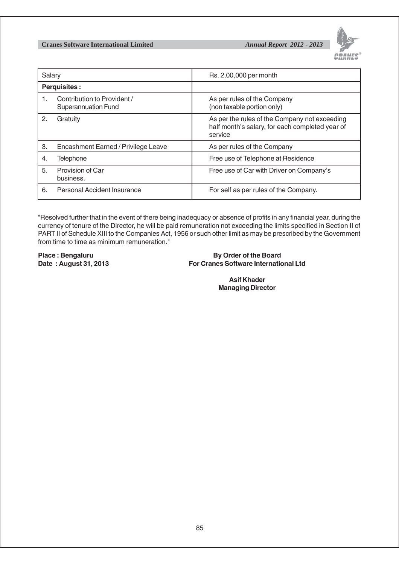

| Salary |                                                           | Rs. 2,00,000 per month                                                                                      |
|--------|-----------------------------------------------------------|-------------------------------------------------------------------------------------------------------------|
|        | <b>Perquisites:</b>                                       |                                                                                                             |
| 1.     | Contribution to Provident /<br><b>Superannuation Fund</b> | As per rules of the Company<br>(non taxable portion only)                                                   |
| 2.     | Gratuity                                                  | As per the rules of the Company not exceeding<br>half month's salary, for each completed year of<br>service |
| 3.     | Encashment Earned / Privilege Leave                       | As per rules of the Company                                                                                 |
| 4.     | <b>Telephone</b>                                          | Free use of Telephone at Residence                                                                          |
| 5.     | Provision of Car<br>business.                             | Free use of Car with Driver on Company's                                                                    |
| 6.     | <b>Personal Accident Insurance</b>                        | For self as per rules of the Company.                                                                       |

"Resolved further that in the event of there being inadequacy or absence of profits in any financial year, during the currency of tenure of the Director, he will be paid remuneration not exceeding the limits specified in Section II of PART II of Schedule XIII to the Companies Act, 1956 or such other limit as may be prescribed by the Government from time to time as minimum remuneration."

#### Place : Bengaluru **By Order of the Board**<br>Date : August 31, 2013 **By Order of the Board For Cranes Software International Ltd**

**Asif Khader Managing Director**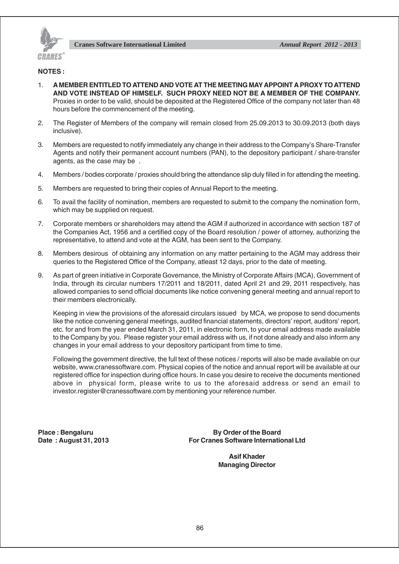

#### **NOTES :**

- 1. **A MEMBER ENTITLED TO ATTEND AND VOTE AT THE MEETING MAY APPOINT A PROXY TO ATTEND AND VOTE INSTEAD OF HIMSELF. SUCH PROXY NEED NOT BE A MEMBER OF THE COMPANY.** Proxies in order to be valid, should be deposited at the Registered Office of the company not later than 48 hours before the commencement of the meeting.
- 2. The Register of Members of the company will remain closed from 25.09.2013 to 30.09.2013 (both days inclusive).
- 3. Members are requested to notify immediately any change in their address to the Company's Share-Transfer Agents and notify their permanent account numbers (PAN), to the depository participant / share-transfer agents, as the case may be .
- 4. Members / bodies corporate / proxies should bring the attendance slip duly filled in for attending the meeting.
- 5. Members are requested to bring their copies of Annual Report to the meeting.
- 6. To avail the facility of nomination, members are requested to submit to the company the nomination form, which may be supplied on request.
- 7. Corporate members or shareholders may attend the AGM if authorized in accordance with section 187 of the Companies Act, 1956 and a certified copy of the Board resolution / power of attorney, authorizing the representative, to attend and vote at the AGM, has been sent to the Company.
- 8. Members desirous of obtaining any information on any matter pertaining to the AGM may address their queries to the Registered Office of the Company, atleast 12 days, prior to the date of meeting.
- 9. As part of green initiative in Corporate Governance, the Ministry of Corporate Affairs (MCA), Government of India, through its circular numbers 17/2011 and 18/2011, dated April 21 and 29, 2011 respectively, has allowed companies to send official documents like notice convening general meeting and annual report to their members electronically.

Keeping in view the provisions of the aforesaid circulars issued by MCA, we propose to send documents like the notice convening general meetings, audited financial statements, directors' report, auditors' report, etc. for and from the year ended March 31, 2011, in electronic form, to your email address made available to the Company by you. Please register your email address with us, if not done already and also inform any changes in your email address to your depository participant from time to time.

Following the government directive, the full text of these notices / reports will also be made available on our website, www.cranessoftware.com. Physical copies of the notice and annual report will be available at our registered office for inspection during office hours. In case you desire to receive the documents mentioned above in physical form, please write to us to the aforesaid address or send an email to investor.register@cranessoftware.com by mentioning your reference number.

Place : Bengaluru **By Order of the Board**<br>Date : August 31, 2013 **By Order of the Board For Cranes Software International Ltd** 

> **Asif Khader Managing Director**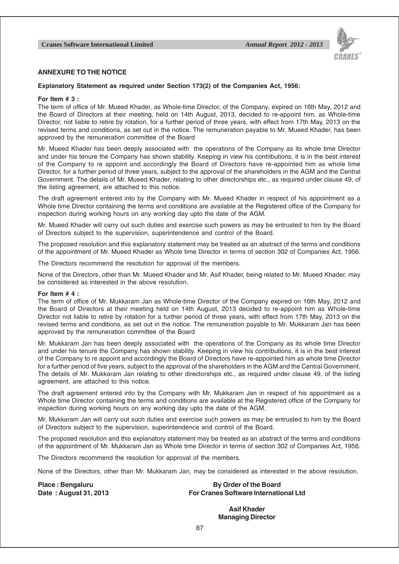

#### **ANNEXURE TO THE NOTICE**

#### **Explanatory Statement as required under Section 173(2) of the Companies Act, 1956:**

#### **For Item # 3 :**

The term of office of Mr. Mueed Khader, as Whole-time Director, of the Company, expired on 16th May, 2012 and the Board of Directors at their meeting, held on 14th August, 2013, decided to re-appoint him, as Whole-time Director, not liable to retire by rotation, for a further period of three years, with effect from 17th May, 2013 on the revised terms and conditions, as set out in the notice. The remuneration payable to Mr. Mueed Khader, has been approved by the remuneration committee of the Board

Mr. Mueed Khader has been deeply associated with the operations of the Company as its whole time Director and under his tenure the Company has shown stability. Keeping in view his contributions, it is in the best interest of the Company to re appoint and accordingly the Board of Directors have re-appointed him as whole time Director, for a further period of three years, subject to the approval of the shareholders in the AGM and the Central Government. The details of Mr. Mueed Khader, relating to other directorships etc., as required under clause 49, of the listing agreement, are attached to this notice.

The draft agreement entered into by the Company with Mr. Mueed Khader in respect of his appointment as a Whole time Director containing the terms and conditions are available at the Registered office of the Company for inspection during working hours on any working day upto the date of the AGM.

Mr. Mueed Khader will carry out such duties and exercise such powers as may be entrusted to him by the Board of Directors subject to the supervision, superintendence and control of the Board.

The proposed resolution and this explanatory statement may be treated as an abstract of the terms and conditions of the appointment of Mr. Mueed Khader as Whole time Director in terms of section 302 of Companies Act, 1956.

The Directors recommend the resolution for approval of the members.

None of the Directors, other than Mr. Mueed Khader and Mr. Asif Khader, being related to Mr. Mueed Khader, may be considered as interested in the above resolution.

#### **For Item # 4 :**

The term of office of Mr. Mukkaram Jan as Whole-time Director of the Company expired on 16th May, 2012 and the Board of Directors at their meeting held on 14th August, 2013 decided to re-appoint him as Whole-time Director not liable to retire by rotation for a further period of three years, with effect from 17th May, 2013 on the revised terms and conditions, as set out in the notice. The remuneration payable to Mr. Mukkaram Jan has been approved by the remuneration committee of the Board

Mr. Mukkaram Jan has been deeply associated with the operations of the Company as its whole time Director and under his tenure the Company has shown stability. Keeping in view his contributions, it is in the best interest of the Company to re appoint and accordingly the Board of Directors have re-appointed him as whole time Director for a further period of five years, subject to the approval of the shareholders in the AGM and the Central Government. The details of Mr. Mukkaram Jan relating to other directorships etc., as required under clause 49, of the listing agreement, are attached to this notice.

The draft agreement entered into by the Company with Mr. Mukkaram Jan in respect of his appointment as a Whole time Director containing the terms and conditions are available at the Registered office of the Company for inspection during working hours on any working day upto the date of the AGM.

Mr. Mukkaram Jan will carry out such duties and exercise such powers as may be entrusted to him by the Board of Directors subject to the supervision, superintendence and control of the Board.

The proposed resolution and this explanatory statement may be treated as an abstract of the terms and conditions of the appointment of Mr. Mukkaram Jan as Whole time Director in terms of section 302 of Companies Act, 1956.

The Directors recommend the resolution for approval of the members.

None of the Directors, other than Mr. Mukkaram Jan, may be considered as interested in the above resolution.

**Place : Bengaluru By Order of the Board<br>Date : August 31. 2013 Connect August 2013 For Cranes Software International Ltd** 

> **Asif Khader Managing Director**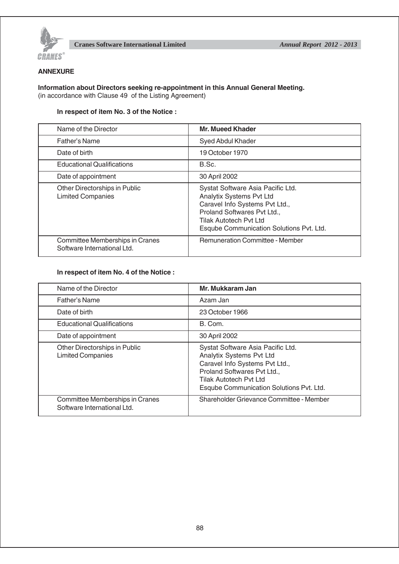

# **ANNEXURE**

**Information about Directors seeking re-appointment in this Annual General Meeting.** (in accordance with Clause 49 of the Listing Agreement)

# **In respect of item No. 3 of the Notice :**

| Name of the Director                                           | <b>Mr. Mueed Khader</b>                                                                                                                                                                              |
|----------------------------------------------------------------|------------------------------------------------------------------------------------------------------------------------------------------------------------------------------------------------------|
| Father's Name                                                  | Syed Abdul Khader                                                                                                                                                                                    |
| Date of birth                                                  | 19 October 1970                                                                                                                                                                                      |
| <b>Educational Qualifications</b>                              | B.Sc.                                                                                                                                                                                                |
| Date of appointment                                            | 30 April 2002                                                                                                                                                                                        |
| Other Directorships in Public<br><b>Limited Companies</b>      | Systat Software Asia Pacific Ltd.<br>Analytix Systems Pvt Ltd<br>Caravel Info Systems Pvt Ltd.,<br>Proland Softwares Pvt Ltd.,<br>Tilak Autotech Pvt Ltd<br>Esqube Communication Solutions Pvt. Ltd. |
| Committee Memberships in Cranes<br>Software International Ltd. | <b>Remuneration Committee - Member</b>                                                                                                                                                               |

#### **In respect of item No. 4 of the Notice :**

| Name of the Director                                           | Mr. Mukkaram Jan                                                                                                                                                                                            |
|----------------------------------------------------------------|-------------------------------------------------------------------------------------------------------------------------------------------------------------------------------------------------------------|
| Father's Name                                                  | Azam Jan                                                                                                                                                                                                    |
| Date of birth                                                  | 23 October 1966                                                                                                                                                                                             |
| <b>Educational Qualifications</b>                              | B. Com.                                                                                                                                                                                                     |
| Date of appointment                                            | 30 April 2002                                                                                                                                                                                               |
| Other Directorships in Public<br><b>Limited Companies</b>      | Systat Software Asia Pacific Ltd.<br>Analytix Systems Pvt Ltd<br>Caravel Info Systems Pvt Ltd.,<br>Proland Softwares Pvt Ltd.,<br><b>Tilak Autotech Pyt Ltd</b><br>Esqube Communication Solutions Pvt. Ltd. |
| Committee Memberships in Cranes<br>Software International Ltd. | Shareholder Grievance Committee - Member                                                                                                                                                                    |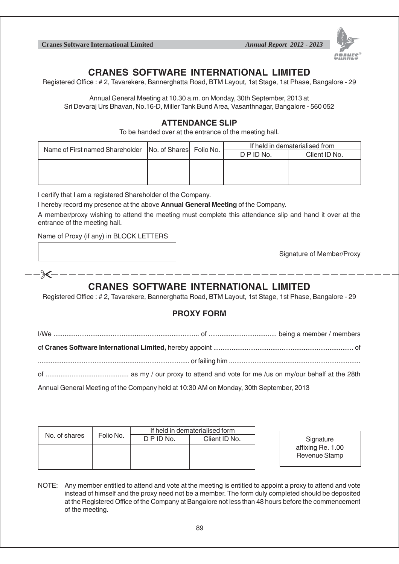**Cranes Software International Limited** *Annual Report 2012 - 2013* **CRANES SOFTWARE INTERNATIONAL LIMITED** Registered Office : # 2, Tavarekere, Bannerghatta Road, BTM Layout, 1st Stage, 1st Phase, Bangalore - 29 Annual General Meeting at 10.30 a.m. on Monday, 30th September, 2013 at Sri Devaraj Urs Bhavan, No.16-D, Miller Tank Bund Area, Vasanthnagar, Bangalore - 560 052 **ATTENDANCE SLIP** To be handed over at the entrance of the meeting hall. Name of First named Shareholder No. of Shares Folio No. If held in dematerialised from Client ID No. I certify that I am a registered Shareholder of the Company. I hereby record my presence at the above **Annual General Meeting** of the Company. A member/proxy wishing to attend the meeting must complete this attendance slip and hand it over at the entrance of the meeting hall. Name of Proxy (if any) in BLOCK LETTERS Signature of Member/Proxy Ӿ **CRANES SOFTWARE INTERNATIONAL LIMITED** Registered Office : # 2, Tavarekere, Bannerghatta Road, BTM Layout, 1st Stage, 1st Phase, Bangalore - 29 **PROXY FORM** I/We ............................................................................... of ..................................... being a member / members of **Cranes Software International Limited,** hereby appoint ............................................................................ of ................................................................................... or failing him ........................................................................ of ............................................. as my / our proxy to attend and vote for me /us on my/our behalf at the 28th Annual General Meeting of the Company held at 10:30 AM on Monday, 30th September, 2013 If held in dematerialised form<br>D P ID No. Client ID No No. of shares  $\vert$  Folio No. Client ID No. **Signature** affixing Re. 1.00 Revenue Stamp

NOTE: Any member entitled to attend and vote at the meeting is entitled to appoint a proxy to attend and vote instead of himself and the proxy need not be a member. The form duly completed should be deposited at the Registered Office of the Company at Bangalore not less than 48 hours before the commencement of the meeting.